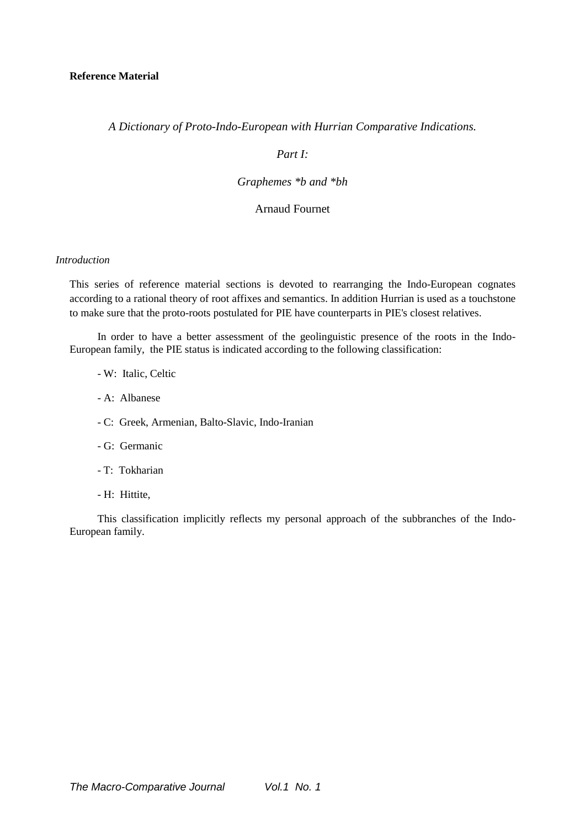*A Dictionary of Proto-Indo-European with Hurrian Comparative Indications.* 

### *Part I:*

### *Graphemes \*b and \*bh*

### Arnaud Fournet

## *Introduction*

This series of reference material sections is devoted to rearranging the Indo-European cognates according to a rational theory of root affixes and semantics. In addition Hurrian is used as a touchstone to make sure that the proto-roots postulated for PIE have counterparts in PIE's closest relatives.

In order to have a better assessment of the geolinguistic presence of the roots in the Indo-European family, the PIE status is indicated according to the following classification:

- W: Italic, Celtic
- A: Albanese
- C: Greek, Armenian, Balto-Slavic, Indo-Iranian
- G: Germanic
- T: Tokharian
- H: Hittite,

This classification implicitly reflects my personal approach of the subbranches of the Indo-European family.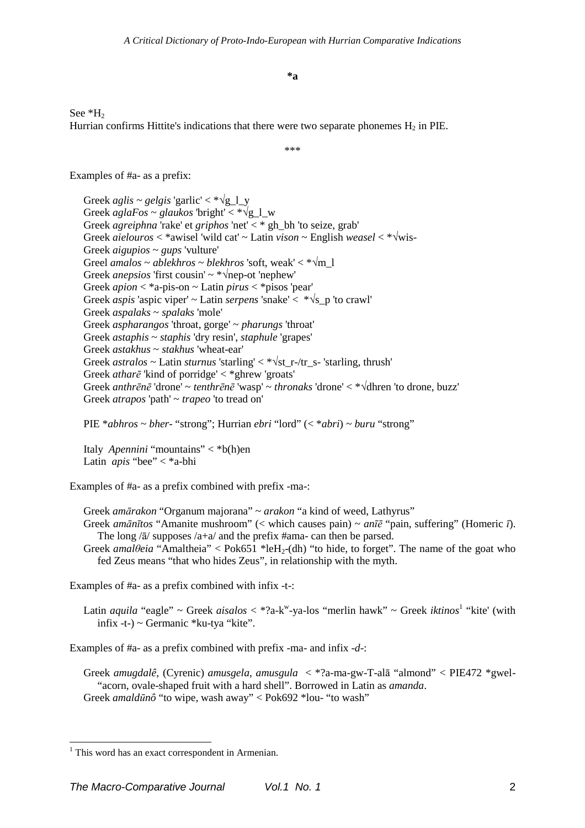**\*a** 

See \*H<sub>2</sub> Hurrian confirms Hittite's indications that there were two separate phonemes  $H_2$  in PIE.

\*\*\*

Examples of #a- as a prefix:

Greek *aglis* ~ *gelgis* 'garlic' < \* $\sqrt{g}$  1 y Greek  $\alpha$ *glaFos* ~ *glaukos* 'bright' < \* $\sqrt{g}$  1 w Greek *agreiphna* 'rake' et *griphos* 'net' < \* gh\_bh 'to seize, grab' Greek *aielouros* < \*awisel 'wild cat' ~ Latin *vison* ~ English *weasel* < \*√wis-Greek *aigupios* ~ *gups* 'vulture' Greel *amalos* ~ *ablekhros* ~ *blekhros* 'soft, weak' < \*√m\_l Greek *anepsios* 'first cousin'  $\sim$  \* $\sqrt{\text{nep}-\text{ot}}$  'nephew' Greek *apion* < \*a-pis-on ~ Latin *pirus* < \*pisos 'pear' Greek *aspis* 'aspic viper' ~ Latin *serpens* 'snake' < \*√s\_p 'to crawl' Greek *aspalaks* ~ *spalaks* 'mole' Greek *aspharangos* 'throat, gorge' ~ *pharungs* 'throat' Greek *astaphis* ~ *staphis* 'dry resin', *staphule* 'grapes' Greek *astakhus* ~ *stakhus* 'wheat-ear' Greek *astralos* ~ Latin *sturnus* 'starling' < \*√st\_r-/tr\_s- 'starling, thrush' Greek *atharē* 'kind of porridge' < \*ghrew 'groats' Greek *anthrēnē* 'drone' ~ *tenthrēnē* 'wasp' ~ *thronaks* 'drone' < \*√dhren 'to drone, buzz' Greek *atrapos* 'path' ~ *trapeo* 'to tread on'

PIE \**abhros* ~ *bher*- "strong"; Hurrian *ebri* "lord" (< \**abri*) ~ *buru* "strong"

fed Zeus means "that who hides Zeus", in relationship with the myth.

Italy *Apennini* "mountains" < \*b(h)en Latin *apis* "bee" < \*a-bhi

Examples of #a- as a prefix combined with prefix -ma-:

Greek *amārakon* "Organum majorana" ~ *arakon* "a kind of weed, Lathyrus" Greek *amānītos* "Amanite mushroom" (< which causes pain) ~ *anīē* "pain, suffering" (Homeric *ī*). The long  $\sqrt{a}$  supposes  $\sqrt{a}$  and the prefix #ama- can then be parsed. Greek *amalθeia* "Amaltheia" < Pok651 \*leH<sub>2</sub>-(dh) "to hide, to forget". The name of the goat who

Examples of #a- as a prefix combined with infix -t-:

Latin *aquila* "eagle" ~ Greek *aisalos* < \*?a-k<sup>w</sup>-ya-los "merlin hawk" ~ Greek *iktinos*<sup>1</sup> "kite' (with infix -t-) ~ Germanic \*ku-tya "kite".

Examples of #a- as a prefix combined with prefix -ma- and infix -*d*-:

Greek *amugdalê,* (Cyrenic) *amusgela, amusgula* < \*?a-ma-gw-T-alā "almond" < PIE472 \*gwel- "acorn, ovale-shaped fruit with a hard shell". Borrowed in Latin as *amanda*. Greek *amaldūnô* "to wipe, wash away" < Pok692 \*lou- "to wash"

 1 This word has an exact correspondent in Armenian.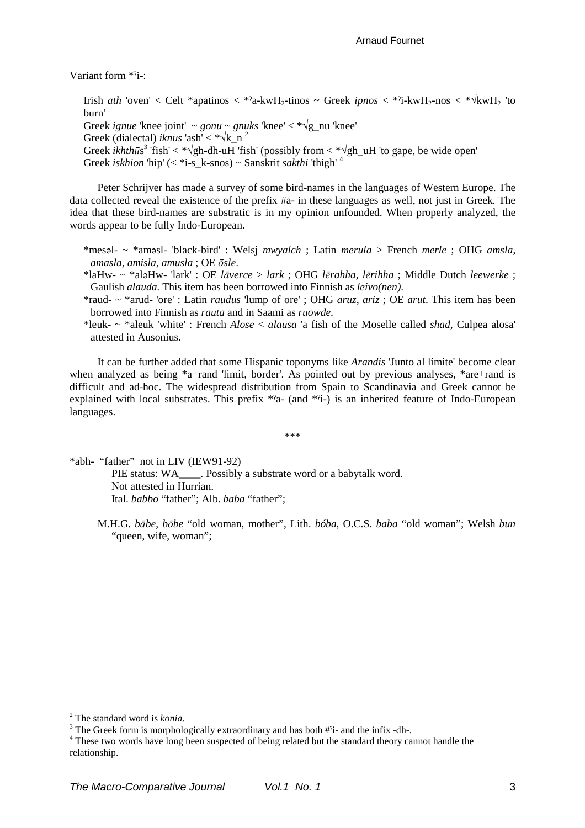Variant form \*ˀi-:

Irish *ath* 'oven' < Celt \*apatinos < \*?a-kwH<sub>2</sub>-tinos ~ Greek *ipnos* < \*?i-kwH<sub>2</sub>-nos < \* $\sqrt{kwH_2}$  'to burn' Greek *ignue* 'knee joint'  $\sim$  *gonu*  $\sim$  *gnuks* 'knee'  $\lt^* \sqrt{g}$  nu 'knee' Greek (dialectal) *iknus* 'ash' < \* $\sqrt{k}$  n<sup>2</sup> Greek *ikhthū*s 3 'fish' < \*√gh-dh-uH 'fish' (possibly from < \*√gh\_uH 'to gape, be wide open' Greek *iskhion* 'hip' (< \*i-s\_k-snos) ~ Sanskrit *sakthi* 'thigh' <sup>4</sup>

Peter Schrijver has made a survey of some bird-names in the languages of Western Europe. The data collected reveal the existence of the prefix #a- in these languages as well, not just in Greek. The idea that these bird-names are substratic is in my opinion unfounded. When properly analyzed, the words appear to be fully Indo-European.

- \*mesəl- ~ \*aməsl- 'black-bird' : Welsj *mwyalch* ; Latin *merula* > French *merle* ; OHG *amsla*, *amasla*, *amisla*, *amusla* ; OE *ōsle*.
- \*laHw- ~ \*aləHw- 'lark' : OE *lāverce* > *lark* ; OHG *lērahha*, *lērihha* ; Middle Dutch *leewerke* ; Gaulish *alauda.* This item has been borrowed into Finnish as *leivo(nen)*.
- \*raud- ~ \*arud- 'ore' : Latin *raudus* 'lump of ore' ; OHG *aruz*, *ariz* ; OE *arut*. This item has been borrowed into Finnish as *rauta* and in Saami as *ruowde*.
- \*leuk- ~ \*aleuk 'white' : French *Alose* < *alausa* 'a fish of the Moselle called *shad*, Culpea alosa' attested in Ausonius.

It can be further added that some Hispanic toponyms like *Arandis* 'Junto al límite' become clear when analyzed as being \*a+rand 'limit, border'. As pointed out by previous analyses, \*are+rand is difficult and ad-hoc. The widespread distribution from Spain to Scandinavia and Greek cannot be explained with local substrates. This prefix  $a^2$ - (and  $a^2$ i-) is an inherited feature of Indo-European languages.

\*\*\*

\*abh- "father" not in LIV (IEW91-92) PIE status: WA\_\_\_\_\_. Possibly a substrate word or a babytalk word. Not attested in Hurrian. Ital. *babbo* "father"; Alb. *baba* "father";

M.H.G. *bābe*, *bōbe* "old woman, mother", Lith. *bóba*, O.C.S. *baba* "old woman"; Welsh *bun* "queen, wife, woman";

 $\overline{a}$ 

<sup>2</sup> The standard word is *konia*.

 $3$  The Greek form is morphologically extraordinary and has both  $#$ <sup>2</sup>i- and the infix -dh-.

<sup>&</sup>lt;sup>4</sup> These two words have long been suspected of being related but the standard theory cannot handle the relationship.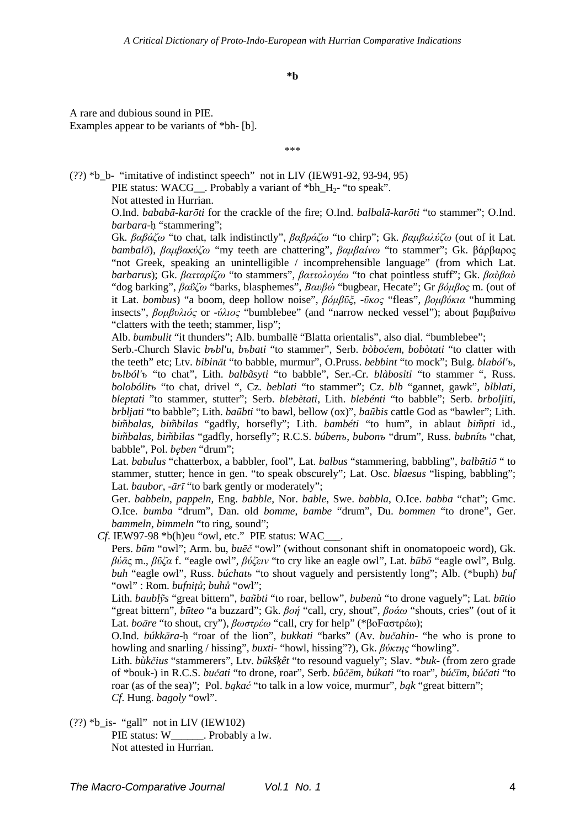**\*b** 

A rare and dubious sound in PIE. Examples appear to be variants of \*bh- [b].

\*\*\*

(??) \*b\_b- "imitative of indistinct speech" not in LIV (IEW91-92, 93-94, 95)

PIE status: WACG\_\_. Probably a variant of \*bh\_H<sub>2</sub>- "to speak".

Not attested in Hurrian.

O.Ind. *bababā-karōti* for the crackle of the fire; O.Ind. *balbalā-karōti* "to stammer"; O.Ind. *barbara*-ḥ "stammering";

Gk. *βαβάζω* "to chat, talk indistinctly", *βαβράζω* "to chirp"; Gk. *βαµβαλύζω* (out of it Lat. *bambalō*), *βαµβακύζω* "my teeth are chattering", *βαµβαίνω* "to stammer"; Gk. βάρβαρος "not Greek, speaking an unintelligible / incomprehensible language" (from which Lat. *barbarus*); Gk. *βατταρίζω* "to stammers", *βαττολογέω* "to chat pointless stuff"; Gk. *βαὺβαὺ* "dog barking", *βαΰζω* "barks, blasphemes", *Βαυβώ* "bugbear, Hecate"; Gr *βόµβος* m. (out of it Lat. *bombus*) "a boom, deep hollow noise", *βόµβῡξ*, -*ῡκος* "fleas", *βοµβύκια* "humming insects", *βοµβυλιός* or -*ύλιος* "bumblebee" (and "narrow necked vessel"); about βαµβαίνω "clatters with the teeth; stammer, lisp";

Alb. *bumbulit* "it thunders"; Alb. bumballë "Blatta orientalis", also dial. "bumblebee";

Serb.-Church Slavic *bъbl'u*, *bъbati* "to stammer", Serb. *bòboćem*, *bobòtati* "to clatter with the teeth" etc; Ltv. *bibināt* "to babble, murmur", O.Pruss. *bebbint* "to mock"; Bulg. *blаbо́ l'ъ*, *bъlból'ъ* "to chat", Lith. *balbãsyti* "to babble", Ser.-Cr. *blàbositi* "to stammer ", Russ. *bolobólitъ* "to chat, drivel ", Cz. *beblati* "to stammer"; Cz. *blb* "gannet, gawk", *blblati*, *bleptati* "to stammer, stutter"; Serb. *blebètati*, Lith. *blebénti* "to babble"; Serb. *brboljiti*, *brbljati* "to babble"; Lith. *baũbti* "to bawl, bellow (ox)", *baũbis* cattle God as "bawler"; Lith. *bim̃balas*, *bim̃bilas* "gadfly, horsefly"; Lith. *bambéti* "to hum", in ablaut *bim̃pti* id., *bim̃balas*, *bim̃bilas* "gadfly, horsefly"; R.C.S. *búbenъ*, *bubonъ* "drum", Russ. *bubnítь* "chat, babble", Pol. *bęben* "drum";

Lat. *babulus* "chatterbox, a babbler, fool", Lat. *balbus* "stammering, babbling", *balbūtiō* " to stammer, stutter; hence in gen. "to speak obscurely"; Lat. Osc. *blaesus* "lisping, babbling"; Lat. *baubor*, -*ārī* "to bark gently or moderately";

Ger. *babbeln*, *pappeln*, Eng. *babble*, Nor. *bable*, Swe. *babbla*, O.Ice. *babba* "chat"; Gmc. O.Ice. *bumba* "drum", Dan. old *bomme*, *bambe* "drum", Du. *bommen* "to drone", Ger. *bammeln*, *bimmeln* "to ring, sound";

*Cf*. IEW97-98 \*b(h)eu "owl, etc." PIE status: WAC\_\_\_.

Pers. *būm* "owl"; Arm. bu, *buēč* "owl" (without consonant shift in onomatopoeic word), Gk. *βύᾱ*ς m., *βῦζα* f. "eagle owl", *βύζειν* "to cry like an eagle owl", Lat. *būbō* "eagle owl", Bulg. *buh* "eagle owl", Russ. *búchatь* "to shout vaguely and persistently long"; Alb. (\*buph) *buf* "owl" : Rom. *bufniţů*; *buhů* "owl";

Lith. *baublỹs* "great bittern", *baũbti* "to roar, bellow", *bubenù* "to drone vaguely"; Lat. *būtio* "great bittern", *būteo* "a buzzard"; Gk. *βοή* "call, cry, shout", *βοάω* "shouts, cries" (out of it Lat. *boāre* "to shout, cry"), *βωστρέω* "call, cry for help" (\*βοFαστρέω);

O.Ind. *búkkāra*-ḥ "roar of the lion", *bukkati* "barks" (Av. *bučahin*- "he who is prone to howling and snarling / hissing", *buxti*- "howl, hissing"?), Gk. *βύκτης* "howling".

Lith. *bùkčius* "stammerers", Ltv. *bũkšk̨êt* "to resound vaguely"; Slav. \**buk*- (from zero grade of \*bouk-) in R.C.S. *bučati* "to drone, roar", Serb. *bûčēm*, *búkati* "to roar", *búčīm*, *búčati* "to roar (as of the sea)"; Pol. *bąkać* "to talk in a low voice, murmur", *bąk* "great bittern"; *Cf*. Hung. *bagoly* "owl".

 $(??)$  \*b\_is- "gall" not in LIV (IEW102) PIE status: W\_\_\_\_\_\_\_. Probably a lw. Not attested in Hurrian.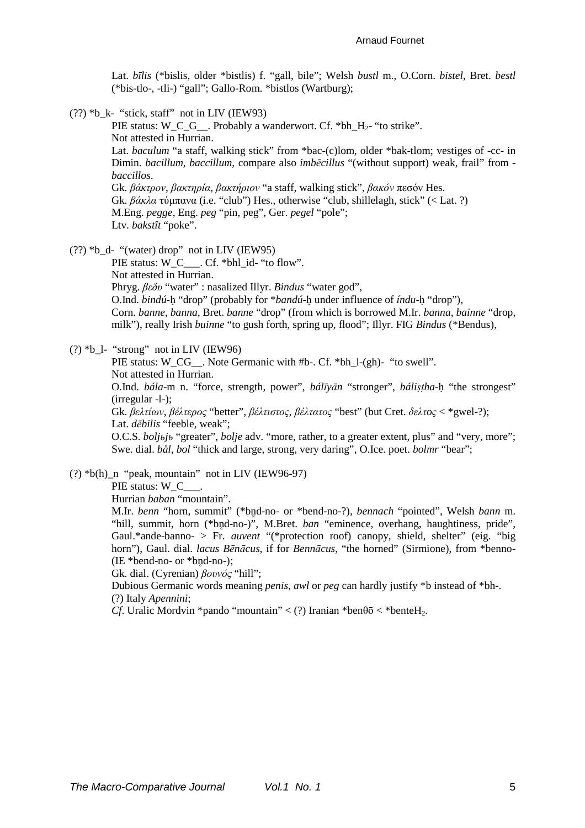Lat. *bīlis* (\*bislis, older \*bistlis) f. "gall, bile"; Welsh *bustl* m., O.Corn. *bistel*, Bret. *bestl* (\*bis-tlo-, -tli-) "gall"; Gallo-Rom. \*bistlos (Wartburg);

 $(?)$  \*b\_k- "stick, staff" not in LIV (IEW93)

PIE status: W\_C\_G\_\_. Probably a wanderwort. Cf. \*bh\_H<sub>2</sub>- "to strike". Not attested in Hurrian.

Lat. *baculum* "a staff, walking stick" from \*bac-(c)lom, older \*bak-tlom; vestiges of -cc- in Dimin. *bacillum*, *baccillum*, compare also *imbēcillus* "(without support) weak, frail" from *baccillos*.

Gk. *βάκτρον*, *βακτηρία*, *βακτήριον* "a staff, walking stick", *βακόν* πεσόν Hes. Gk. *βάκλα* τύµπανα (i.e. "club") Hes., otherwise "club, shillelagh, stick" (< Lat. ?) M.Eng. *pegge*, Eng. *peg* "pin, peg", Ger. *pegel* "pole"; Ltv. *bakstît* "poke".

(??) \*b\_d- "(water) drop" not in LIV (IEW95)

PIE status: W\_C\_\_\_. Cf. \*bhl\_id- "to flow". Not attested in Hurrian. Phryg. *βεδυ* "water" : nasalized Illyr. *Bindus* "water god", O.Ind. *bindú*-ḥ "drop" (probably for \**bandú*-ḥ under influence of *índu*-ḥ "drop"), Corn. *banne*, *banna*, Bret. *banne* "drop" (from which is borrowed M.Ir. *banna*, *bainne* "drop, milk"), really Irish *buinne* "to gush forth, spring up, flood"; Illyr. FIG *Bindus* (\*Bendus),

 $(?) *b_l - "strong" not in LIV (IEW96)$ 

PIE status: W\_CG\_\_. Note Germanic with #b-. Cf. \*bh\_l-(gh)- "to swell". Not attested in Hurrian. O.Ind. *bála*-m n. "force, strength, power", *bálīyān* "stronger", *báliṣṭha*-ḥ "the strongest" (irregular -l-); Gk. *βελτίων*, *βέλτερος* "better", *βέλτιστος*, *βέλτατος* "best" (but Cret. *δελτoς* < \*gwel-?); Lat. *dēbilis* "feeble, weak"; O.C.S. *boljьjь* "greater", *bolje* adv. "more, rather, to a greater extent, plus" and "very, more";

Swe. dial. *bål*, *bol* "thick and large, strong, very daring", O.Ice. poet. *bolmr* "bear";

### $(?) *b(h)_n$  "peak, mountain" not in LIV (IEW96-97)

PIE status: W\_C\_

Hurrian *baban* "mountain".

M.Ir. *benn* "horn, summit" (\*bn̥d-no- or \*bend-no-?), *bennach* "pointed", Welsh *bann* m. "hill, summit, horn (\*bnd-no-)", M.Bret. *ban* "eminence, overhang, haughtiness, pride", Gaul.\*ande-banno- > Fr. *auvent* "(\*protection roof) canopy, shield, shelter" (eig. "big horn"), Gaul. dial. *lacus Bēnācus*, if for *Bennācus*, "the horned" (Sirmione), from \*benno-  $(IE * bend-no- or *bnd-no-);$ 

Gk. dial. (Cyrenian) *βουνός* "hill";

Dubious Germanic words meaning *penis*, *awl* or *peg* can hardly justify \*b instead of \*bh-. (?) Italy *Apennini*;

*Cf.* Uralic Mordvin \*pando "mountain" < (?) Iranian \*ben $\theta$ ō < \*benteH<sub>2</sub>.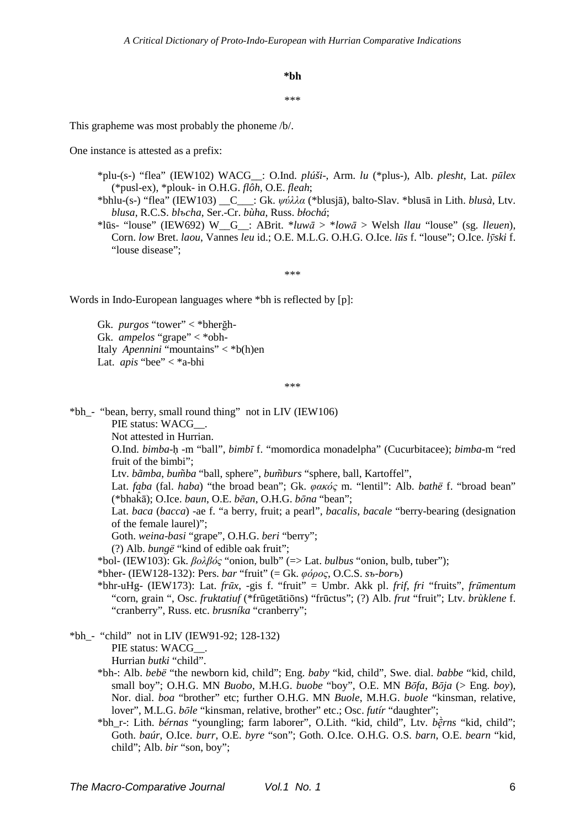$*hh$ 

#### sk sk sk

This grapheme was most probably the phoneme /b/.

One instance is attested as a prefix:

- \*plu-(s-) "flea" (IEW102) WACG\_: O.Ind. plúši-, Arm. lu (\*plus-), Alb. plesht, Lat. pūlex (\*pusl-ex), \*plouk- in O.H.G. flôh, O.E. fleah;
- \*bhlu-(s-) "flea" (IEW103)  $C : Gk$ .  $\psi \phi \lambda \lambda \alpha$  (\*blusjā), balto-Slav. \*blusā in Lith. blusà, Ltv. blusa, R.C.S. blocha, Ser.-Cr. bùha, Russ. błochá:
- \*lūs- "louse" (IEW692) W<sub>G</sub>: ABrit. \**luwā* > \**lowā* > Welsh *llau* "louse" (sg. *lleuen*), Corn. low Bret. laou, Vannes leu id.; O.E. M.L.G. O.H.G. O.Ice. lūs f. "louse"; O.Ice. l $\bar{v}$ ski f. "louse disease":

\*\*\*

Words in Indo-European languages where \*bh is reflected by [p]:

Gk. *purgos* "tower"  $\lt^*$ bherğh-Gk. ampelos "grape" < \*obh-Italy Apennini "mountains"  $\langle *b(h)\rangle$ en Lat. *apis* "bee"  $\lt^*$ a-bhi

 $***$ 

\*bh\_- "bean, berry, small round thing" not in LIV (IEW106)

PIE status: WACG .

Not attested in Hurrian.

O.Ind. bimba-h -m "ball", bimbī f. "momordica monadelpha" (Cucurbitacee); bimba-m "red fruit of the bimbi":

Ltv. bāmba, bumba "ball, sphere", bumburs "sphere, ball, Kartoffel",

Lat. faba (fal. haba) "the broad bean"; Gk. φακός m. "lentil": Alb. bathë f. "broad bean" (\*bhaka); O.Ice. baun, O.E. bean, O.H.G. bona "bean":

Lat. baca (bacca) -ae f. "a berry, fruit; a pearl", bacalis, bacale "berry-bearing (designation of the female laurel)";

Goth. weina-basi "grape", O.H.G. beri "berry";

(?) Alb. *bungë* "kind of edible oak fruit";

\*bol- (IEW103): Gk.  $\beta$ o $\lambda\beta$ óς "onion, bulb" (=> Lat. bulbus "onion, bulb, tuber");

\*bher- (IEW128-132): Pers. bar "fruit" (= Gk.  $\varphi \acute{o} \rho o \varsigma$ , O.C.S. sb-borb)

\*bhr-uHg- (IEW173): Lat. frūx, -gis f. "fruit" = Umbr. Akk pl. frif, fri "fruits", frūmentum "corn. grain ". Osc. fruktatiuf (\*frūgetātiōns) "frūctus": (?) Alb. frut "fruit": Ltv. brùklene f. "cranberry", Russ. etc. brusníka "cranberry";

\*bh\_- "child" not in LIV (IEW91-92; 128-132) PIE status: WACG . Hurrian butki "child".

- \*bh-: Alb. bebë "the newborn kid, child"; Eng. baby "kid, child", Swe. dial. babbe "kid, child, small boy"; O.H.G. MN Buobo, M.H.G. buobe "boy", O.E. MN Bōfa, Bōja (> Eng. boy), Nor. dial. boa "brother" etc: further O.H.G. MN Buole, M.H.G. buole "kinsman, relative, lover", M.L.G. bole "kinsman, relative, brother" etc.; Osc. futír "daughter";
- \*bh\_r-: Lith. bérnas "youngling; farm laborer", O.Lith. "kid, child", Ltv. berns "kid, child"; Goth. baúr, O.Ice. burr, O.E. byre "son"; Goth. O.Ice. O.H.G. O.S. barn, O.E. bearn "kid, child"; Alb. bir "son, boy";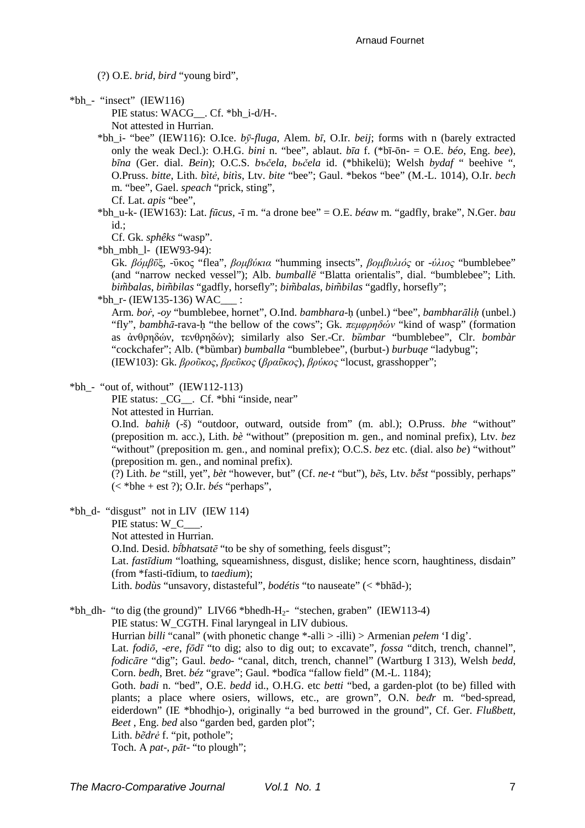(?) O.E. *brid*, *bird* "young bird",

 $*bh$ <sub>-</sub> "insect" (IEW116)

PIE status: WACG . Cf. \*bh\_i-d/H-. Not attested in Hurrian.

- \*bh\_i- "bee" (IEW116): O.Ice. *bӯ-fluga*, Alem. *bī*, O.Ir. *beij*; forms with n (barely extracted only the weak Decl.): O.H.G. *bini* n. "bee", ablaut. *bīa* f. (\*bī-ōn- = O.E. *béo*, Eng. *bee*), *bīna* (Ger. dial. *Bein*); O.C.S. *bъčela*, *bьčela* id. (\*bhikelü); Welsh *bydaf* " beehive ", O.Pruss. *bitte*, Lith. *bìtė*, *bitìs*, Ltv. *bite* "bee"; Gaul. \*bekos "bee" (M.-L. 1014), O.Ir. *bech* m. "bee", Gael. *speach* "prick, sting",
	- Cf. Lat. *apis* "bee",
- \*bh\_u-k- (IEW163): Lat. *fūcus*,  $-\bar{i}$  m. "a drone bee" = O.E. *béaw* m. "gadfly, brake", N.Ger. *bau* id.;
	- Cf. Gk. *sphêks* "wasp".

 $*bh$  mbh 1- (IEW93-94):

Gk. *βόµβῡ*ξ, -ῡκος "flea", *βοµβύκια* "humming insects", *βοµβυλιός* or -*ύλιος* "bumblebee" (and "narrow necked vessel"); Alb. *bumballë* "Blatta orientalis", dial. "bumblebee"; Lith. *bim̃balas*, *bim̃bilas* "gadfly, horsefly"; *bim̃balas*, *bim̃bilas* "gadfly, horsefly";

\*bh  $r$ - (IEW135-136) WAC\_\_\_ :

Arm. *boṙ*, -*oy* "bumblebee, hornet", O.Ind. *bambhara*-ḥ (unbel.) "bee", *bambharāliḥ* (unbel.) "fly", *bambhā*-rava-ḥ "the bellow of the cows"; Gk. *πεµφρηδών* "kind of wasp" (formation as ἀνθρηδών, τενθρηδών); similarly also Ser.-Cr. *bȕmbar* "bumblebee", Clr. *bombàr* "cockchafer"; Alb. (\*bümbar) *bumballa* "bumblebee", (burbut-) *burbuqe* "ladybug"; (IEW103): Gk. *βροῦκος*, *βρεῦκος* (*βραῦκος*), *βρύκος* "locust, grasshopper";

 $*bh$ <sup>-</sup> "out of, without" (IEW112-113)

PIE status: \_CG\_\_. Cf. \*bhi "inside, near" Not attested in Hurrian.

O.Ind. *bahiḥ* (-š) "outdoor, outward, outside from" (m. abl.); O.Pruss. *bhe* "without" (preposition m. acc.), Lith. *bè* "without" (preposition m. gen., and nominal prefix), Ltv. *bez* "without" (preposition m. gen., and nominal prefix); O.C.S. *bez* etc. (dial. also *be*) "without" (preposition m. gen., and nominal prefix).

(?) Lith. *be* "still, yet", *bèt* "however, but" (Cf. *ne-t* "but"), *bẽs*, Ltv. *bē̆st* "possibly, perhaps" (< \*bhe + est ?); O.Ir. *bés* "perhaps",

- $*bh$  d- "disgust" not in LIV (IEW 114)
	- PIE status: W\_C\_\_\_.
	- Not attested in Hurrian.

O.Ind. Desid. *bī́bhatsatē* "to be shy of something, feels disgust";

Lat. *fastīdium* "loathing, squeamishness, disgust, dislike; hence scorn, haughtiness, disdain" (from \*fasti-tīdium, to *taedium*);

Lith. *bodùs* "unsavory, distasteful", *bodétis* "to nauseate" (< \*bhād-);

\*bh\_dh- "to dig (the ground)" LIV66 \*bhedh-H<sub>2</sub>- "stechen, graben" (IEW113-4)

PIE status: W\_CGTH. Final laryngeal in LIV dubious.

Hurrian *billi* "canal" (with phonetic change \*-alli > -illi) > Armenian *pelem* 'I dig'.

Lat. *fodiō*, -*ere*, *fōdī* "to dig; also to dig out; to excavate", *fossa* "ditch, trench, channel", *fodicāre* "dig"; Gaul. *bedo*- "canal, ditch, trench, channel" (Wartburg I 313), Welsh *bedd*, Corn. *bedh*, Bret. *béz* "grave"; Gaul. \*bodīca "fallow field" (M.-L. 1184);

Goth. *badi* n. "bed", O.E. *bedd* id., O.H.G. etc *betti* "bed, a garden-plot (to be) filled with plants; a place where osiers, willows, etc., are grown", O.N. *beđr* m. "bed-spread, eiderdown" (IE \*bhodhio-), originally "a bed burrowed in the ground", Cf. Ger. *Flußbett*, *Beet* , Eng. *bed* also "garden bed, garden plot";

Lith. *bẽdrė* f. "pit, pothole";

Toch. A *pat*-, *pāt*- "to plough";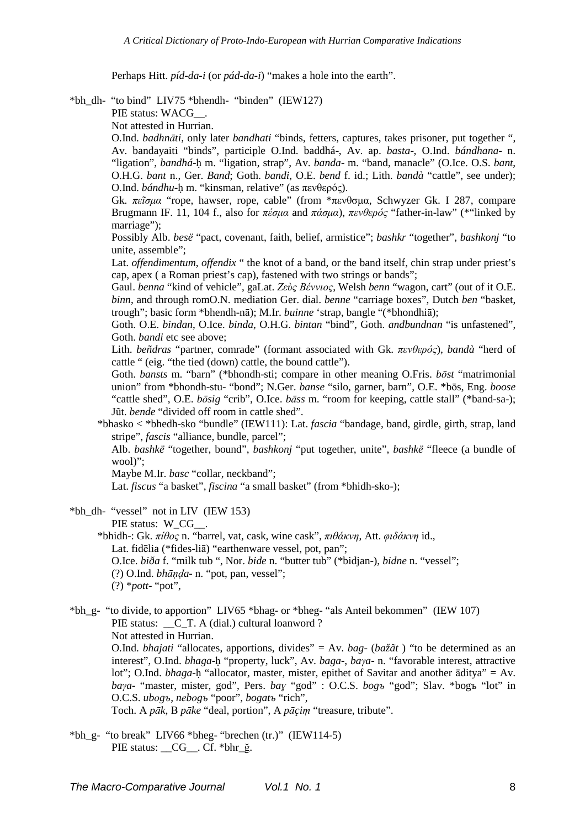Perhaps Hitt. *píd-da-i* (or *pád-da-i*) "makes a hole into the earth".

\*bh\_dh- "to bind" LIV75 \*bhendh- "binden" (IEW127)

PIE status: WACG\_\_.

Not attested in Hurrian.

O.Ind. *badhnāti*, only later *bandhati* "binds, fetters, captures, takes prisoner, put together ", Av. bandayaiti "binds", participle O.Ind. baddhá-, Av. ap. *basta*-, O.Ind. *bándhana*- n. "ligation", *bandhá*-ḥ m. "ligation, strap", Av. *banda*- m. "band, manacle" (O.Ice. O.S. *bant*, O.H.G. *bant* n., Ger. *Band*; Goth. *bandi*, O.E. *bend* f. id.; Lith. *bandà* "cattle", see under); O.Ind. *bándhu*-ḥ m. "kinsman, relative" (as πενθερός).

Gk. *πεῖσµα* "rope, hawser, rope, cable" (from \*πενθσµα, Schwyzer Gk. I 287, compare Brugmann IF. 11, 104 f., also for *πέσµα* and *πάσµα*), *πενθερός* "father-in-law" (\*"linked by marriage");

Possibly Alb. *besë* "pact, covenant, faith, belief, armistice"; *bashkr* "together", *bashkonj* "to unite, assemble";

Lat. *offendimentum*, *offendix* " the knot of a band, or the band itself, chin strap under priest's cap, apex ( a Roman priest's cap), fastened with two strings or bands";

Gaul. *benna* "kind of vehicle", gaLat. *Ζεὺς Βέννιος*, Welsh *benn* "wagon, cart" (out of it O.E. *binn*, and through romO.N. mediation Ger. dial. *benne* "carriage boxes", Dutch *ben* "basket, trough"; basic form \*bhendh-nā); M.Ir. *buinne* 'strap, bangle "(\*bhondhiā);

Goth. O.E. *bindan*, O.Ice. *binda*, O.H.G. *bintan* "bind", Goth. *andbundnan* "is unfastened", Goth. *bandi* etc see above:

Lith. *beñdras* "partner, comrade" (formant associated with Gk. *πενθερός*), *bandà* "herd of cattle " (eig. "the tied (down) cattle, the bound cattle").

Goth. *bansts* m. "barn" (\*bhondh-sti; compare in other meaning O.Fris. *bōst* "matrimonial union" from \*bhondh-stu- "bond"; N.Ger. *banse* "silo, garner, barn", O.E. \*bōs, Eng. *boose* "cattle shed", O.E. *bōsig* "crib", O.Ice. *bāss* m. "room for keeping, cattle stall" (\*band-sa-); Jũt. *bende* "divided off room in cattle shed".

\*bhasko < \*bhedh-sko "bundle" (IEW111): Lat. *fascia* "bandage, band, girdle, girth, strap, land stripe", *fascis* "alliance, bundle, parcel";

Alb. *bashkë* "together, bound", *bashkonj* "put together, unite", *bashkë* "fleece (a bundle of wool)";

Maybe M.Ir. *basc* "collar, neckband";

Lat. *fiscus* "a basket", *fiscina* "a small basket" (from \*bhidh-sko-);

 $*bh$  dh- "vessel" not in LIV (IEW 153)

PIE status: W\_CG\_ .

- \*bhidh-: Gk. *πίθος* n. "barrel, vat, cask, wine cask", *πιθάκνη*, Att. *φιδάκνη* id., Lat. fidēlia (\*fides-liā) "earthenware vessel, pot, pan"; O.Ice. *biða* f. "milk tub ", Nor. *bide* n. "butter tub" (\*bidjan-), *bidne* n. "vessel"; (?) O.Ind. *bhāṇḍa*- n. "pot, pan, vessel"; (?) \**pott*- "pot",
- \*bh\_g- "to divide, to apportion" LIV65 \*bhag- or \*bheg- "als Anteil bekommen" (IEW 107) PIE status: \_\_C\_T. A (dial.) cultural loanword? Not attested in Hurrian. O.Ind. *bhajati* "allocates, apportions, divides" = Av. *bag*- (*bažãt* ) "to be determined as an interest", O.Ind. *bhaga*-ḥ "property, luck", Av. *baga*-, *baγa*- n. "favorable interest, attractive lot"; O.Ind. *bhaga*-ḥ "allocator, master, mister, epithet of Savitar and another āditya" = Av. *baγa*- "master, mister, god", Pers. *baɣ* "god" : O.C.S. *bogъ* "god"; Slav. \*bogъ "lot" in O.C.S. *ubоgъ*, *nеbоgъ* "poor", *bogatъ* "rich", Toch. A *pāk*, В *pāke* "deal, portion", A *pāc̨iṃ* "treasure, tribute".

 $*bh_g-$  "to break" LIV66  $*bheg-$  "brechen (tr.)" (IEW114-5) PIE status: CG . Cf. \*bhr ğ.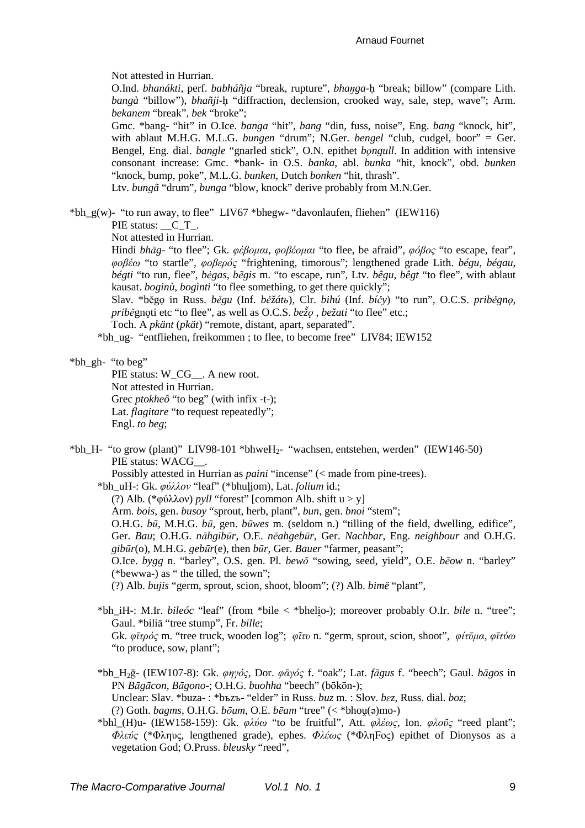Not attested in Hurrian.

O.Ind. *bhanákti*, perf. *babháñja* "break, rupture", *bhaŋga*-ḥ "break; billow" (compare Lith. *bangà* "billow"), *bhañji*-ḥ "diffraction, declension, crooked way, sale, step, wave"; Arm. *bekanem* "break", *bek* "broke";

Gmc. \*bang- "hit" in O.Ice. *banga* "hit", *bang* "din, fuss, noise", Eng. *bang* "knock, hit", with ablaut M.H.G. M.L.G. *bungen* "drum"; N.Ger. *bengel* "club, cudgel, boor" = Ger. Bengel, Eng. dial. *bangle* "gnarled stick", O.N. epithet *bǫngull*. In addition with intensive consonant increase: Gmc. \*bank- in O.S. *banka*, abl. *bunka* "hit, knock", obd. *bunken* "knock, bump, poke", M.L.G. *bunken*, Dutch *bonken* "hit, thrash".

Ltv. *bungã* "drum", *bunga* "blow, knock" derive probably from M.N.Ger.

\*bh\_g(w)- "to run away, to flee" LIV67 \*bhegw- "davonlaufen, fliehen" (IEW116)

PIE status:  $C$  T.

Not attested in Hurrian.

Hindi *bhāg*- "to flee"; Gk. *φέβοµαι*, *φοβέοµαι* "to flee, be afraid", *φόβος* "to escape, fear", *φοβέω* "to startle", *φοβερός* "frightening, timorous"; lengthened grade Lith. *bégu*, *bégau*, *bégti* "to run, flee", *bėgas*, *bẽgis* m. "to escape, run", Ltv. *bêgu*, *bêgt* "to flee", with ablaut kausat. *boginù*, *bogìnti* "to flee something, to get there quickly";

Slav. \*běgǫ in Russ. *běgu* (Inf. *běžátь*), Clr. *bihú* (Inf. *bíčy*) "to run", O.C.S. *priběgnǫ*, *pribě*gnoti etc "to flee", as well as O.C.S. *bežo*, *bežati* "to flee" etc.;

Toch. A *pkänt* (*pkät*) "remote, distant, apart, separated".

\*bh\_ug- "entfliehen, freikommen ; to flee, to become free" LIV84; IEW152

\*bh\_gh- "to beg"

PIE status: W\_CG\_\_. A new root. Not attested in Hurrian. Grec *ptokheô* "to beg" (with infix -t-); Lat. *flagitare* "to request repeatedly"; Engl. *to beg*;

### \*bh H- "to grow (plant)" LIV98-101 \*bhweH<sub>2</sub>- "wachsen, entstehen, werden" (IEW146-50) PIE status: WACG\_\_.

Possibly attested in Hurrian as *paini* "incense" (< made from pine-trees).

\*bh\_uH-: Gk. *φύλλον* "leaf" (\*bhuļi̯om), Lat. *folium* id.;

(?) Alb. (\*φύλλον) *pyll* "forest" [common Alb. shift u > y]

Arm. *bois*, gen. *busoy* "sprout, herb, plant", *bun*, gen. *bnoi* "stem";

O.H.G. *bū*, M.H.G. *bū*, gen. *būwes* m. (seldom n.) "tilling of the field, dwelling, edifice", Ger. *Bau*; O.H.G. *nāhgibūr*, O.E. *nēahgebūr*, Ger. *Nachbar*, Eng. *neighbour* and O.H.G. *gibūr*(o), M.H.G. *gebūr*(e), then *būr*, Ger. *Bauer* "farmer, peasant";

O.Ice. *bygg* n. "barley", O.S. gen. Pl. *bewō* "sowing, seed, yield", O.E. *bēow* n. "barley" (\*bewwa-) as " the tilled, the sown";

(?) Alb. *bujis* "germ, sprout, scion, shoot, bloom"; (?) Alb. *bimë* "plant",

- \*bh iH-: M.Ir. *bileóc* "leaf" (from \*bile < \*bhelio-); moreover probably O.Ir. *bile* n. "tree"; Gaul. \*biliā "tree stump", Fr. *bille*; Gk. *φῑτρός* m. "tree truck, wooden log"; *φῖτυ* n. "germ, sprout, scion, shoot", *φίτῡµα*, *φῑτύω* "to produce, sow, plant";
- \*bh\_H2ğ- (IEW107-8): Gk. *φηγός*, Dor. *φᾱγός* f. "oak"; Lat. *fāgus* f. "beech"; Gaul. *bāgos* in PN *Bāgācon*, *Bāgono*-; O.H.G. *buohha* "beech" (bōkōn-); Unclear: Slav. \*buza- : \*bъzъ- "elder" in Russ. *buz* m. : Slov. *bɛz*, Russ. dial. *boz*;

(?) Goth. *bagms*, O.H.G. *bōum*, O.E. *bēam* "tree" (< \*bhou̯(ǝ)mo-)

\*bhl\_(H)u- (IEW158-159): Gk. *φλύω* "to be fruitful", Att. *φλέως*, Ion. *φλοῦς* "reed plant"; *Φλεύς* (\*Φληυς, lengthened grade), ephes. *Φλέως* (\*ΦληFος) epithet of Dionysos as a vegetation God; O.Pruss. *bleusky* "reed",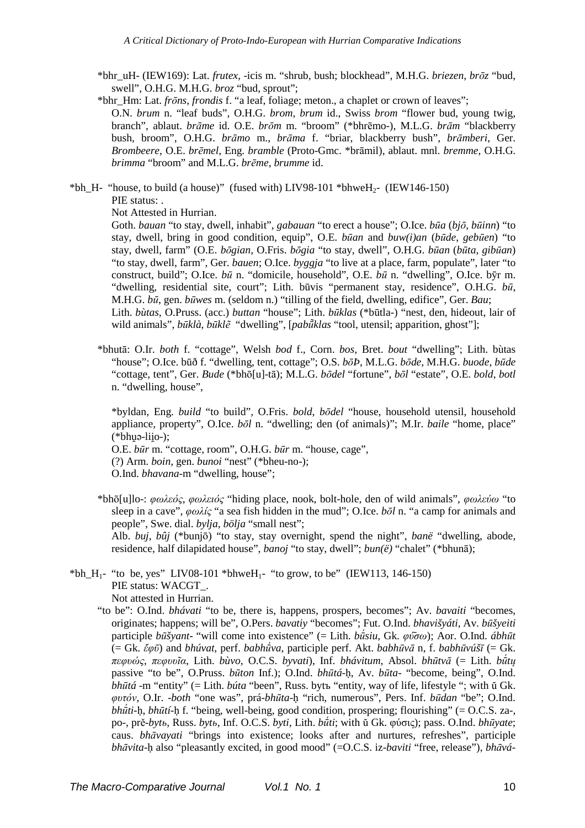- \*bhr\_uH- (IEW169): Lat. *frutex*, -icis m. "shrub, bush; blockhead", M.H.G. *briezen*, *brōz* "bud, swell", O.H.G. M.H.G. *broz* "bud, sprout";
- \*bhr\_Hm: Lat. *frōns*, *frondis* f. "a leaf, foliage; meton., a chaplet or crown of leaves"; O.N. *brum* n. "leaf buds", O.H.G. *brom*, *brum* id., Swiss *brom* "flower bud, young twig, branch", ablaut. *brāme* id. O.E. *brōm* m. "broom" (\*bhrēmo-), M.L.G. *brām* "blackberry bush, broom", O.H.G. *brāmo* m., *brāma* f. "briar, blackberry bush", *brāmberi*, Ger. *Brombeere*, O.E. *brēmel*, Eng. *bramble* (Proto-Gmc. \*brāmil), ablaut. mnl. *bremme*, O.H.G. *brimma* "broom" and M.L.G. *brēme*, *brumme* id.
- \*bh\_H- "house, to build (a house)" (fused with) LIV98-101 \*bhweH<sub>2</sub>- (IEW146-150) PIE status: .

Not Attested in Hurrian.

Goth. *bauan* "to stay, dwell, inhabit", *gabauan* "to erect a house"; O.Ice. *būa* (*bjō*, *būinn*) "to stay, dwell, bring in good condition, equip", O.E. *būan* and *buw(i)an* (*būde*, *gebūen*) "to stay, dwell, farm" (O.E. *bōgian*, O.Fris. *bōgia* "to stay, dwell", O.H.G. *būan* (*būta*, *gibūan*) "to stay, dwell, farm", Ger. *bauen*; O.Ice. *byggja* "to live at a place, farm, populate", later "to construct, build"; O.Ice. *bū* n. "domicile, household", O.E. *bū* n. "dwelling", O.Ice. bȳr m. "dwelling, residential site, court"; Lith. būvis "permanent stay, residence", O.H.G. *bū*, M.H.G. *bū*, gen. *būwes* m. (seldom n.) "tilling of the field, dwelling, edifice", Ger. *Bau*; Lith. *bùtas*, O.Pruss. (acc.) *buttan* "house"; Lith. *būklas* (\*būtla-) "nest, den, hideout, lair of wild animals", *būklà*, *būklẽ* "dwelling", [*pabū̃klas* "tool, utensil; apparition, ghost"];

\*bhutā: O.Ir. *both* f. "cottage", Welsh *bod* f., Corn. *bos*, Bret. *bout* "dwelling"; Lith. bùtas "house"; O.Ice. būð f. "dwelling, tent, cottage"; O.S. *bōÞ*, M.L.G. *bōde*, M.H.G. *buode*, *būde* "cottage, tent", Ger. *Bude* (\*bhō[u]-tā); M.L.G. *bōdel* "fortune", *bōl* "estate", O.E. *bold*, *botl* n. "dwelling, house",

\*byldan, Eng. *build* "to build", O.Fris. *bold*, *bōdel* "house, household utensil, household appliance, property", O.Ice. *bōl* n. "dwelling; den (of animals)"; M.Ir. *baile* "home, place"  $(*bhuə-liio-)$ ;

O.E. *būr* m. "cottage, room", O.H.G. *būr* m. "house, cage", (?) Arm. *boin*, gen. *bunoi* "nest" (\*bheu-no-); O.Ind. *bhavana*-m "dwelling, house";

\*bhō[u]lo-: *φωλεός*, *φωλειός* "hiding place, nook, bolt-hole, den of wild animals", *φωλεύω* "to sleep in a cave", *φωλίς* "a sea fish hidden in the mud"; O.Ice. *bōl* n. "a camp for animals and people", Swe. dial. *bylja*, *bölja* "small nest";

Alb. *buj*, *bûj* (\*bunjō) "to stay, stay overnight, spend the night", *banë* "dwelling, abode, residence, half dilapidated house", *banoj* "to stay, dwell"; *bun(ë)* "chalet" (\*bhunā);

- \*bh\_H<sub>1</sub>- "to be, yes" LIV08-101 \*bhweH<sub>1</sub>- "to grow, to be" (IEW113, 146-150) PIE status: WACGT. Not attested in Hurrian.
	- "to be": O.Ind. *bhávati* "to be, there is, happens, prospers, becomes"; Av. *bavaiti* "becomes, originates; happens; will be", O.Pers. *bavatiy* "becomes"; Fut. O.Ind. *bhavišyáti*, Av. *būšyeiti* participle *būšyant*- "will come into existence" (= Lith. *bū́siu*, Gk. *φύ̄σω*); Aor. O.Ind. *ábhūt* (= Gk. *ἔφῡ*) and *bhúvat*, perf. *babhū́va*, participle perf. Akt. *babhūvā* n, f. *babhūvúšī* (= Gk. *πεφυώς*, *πεφυυῖα*, Lith. *bùvo*, O.C.S. *byvati*), Inf. *bhávitum*, Absol. *bhūtvā* (= Lith. *bū́tų* passive "to be", O.Pruss. *būton* Inf.); O.Ind. *bhūtá*-ḥ, Av. *būta*- "become, being", O.Ind. *bhūtá* -m "entity" (= Lith. *búta* "been", Russ. bytъ "entity, way of life, lifestyle "; with ŭ Gk. *φυτόν*, O.Ir. -*both* "one was", prá-*bhūta*-ḥ "rich, numerous", Pers. Inf. *būdan* "be"; O.Ind. *bhū́ti*-ḥ, *bhūtí*-ḥ f. "being, well-being, good condition, prospering; flourishing" (= O.C.S. za-, po-, prě-*bytь*, Russ. *bytь*, Inf. O.C.S. *byti*, Lith. *bū́ti*; with ŭ Gk. φύσις); pass. O.Ind. *bhūyate*; caus. *bhāvayati* "brings into existence; looks after and nurtures, refreshes", participle *bhāvita*-ḥ also "pleasantly excited, in good mood" (=O.C.S. iz-*baviti* "free, release"), *bhāvá*-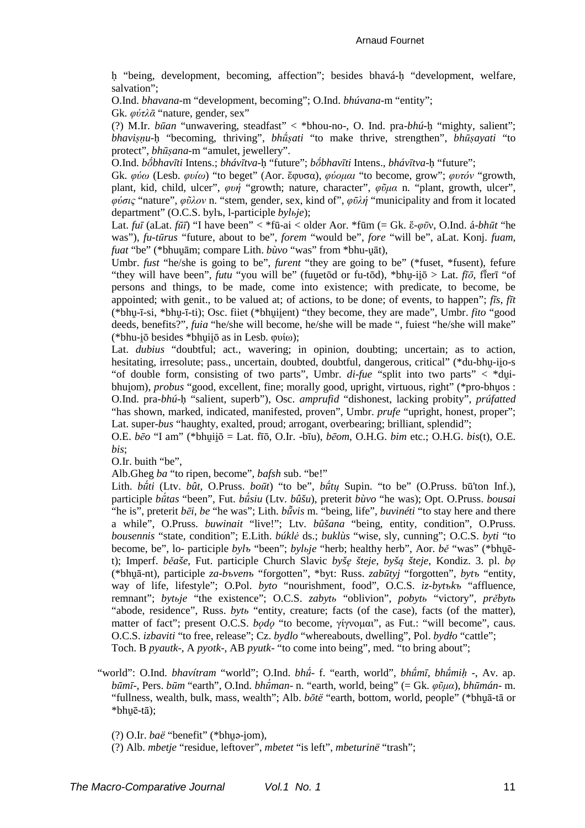ḥ "being, development, becoming, affection"; besides bhavá-ḥ "development, welfare, salvation";

O.Ind. *bhavana*-m "development, becoming"; O.Ind. *bhúvana*-m "entity"; Gk. *φύτλᾱ* "nature, gender, sex"

(?) M.Ir. *būan* "unwavering, steadfast" < \*bhou-no-, O. Ind. pra-*bhú*-ḥ "mighty, salient"; *bhaviṣṇu*-ḥ "becoming, thriving", *bhū́ṣati* "to make thrive, strengthen", *bhūṣayati* "to protect", *bhūṣana*-m "amulet, jewellery".

O.Ind. *bṓbhavīti* Intens.; *bhávītva*-ḥ "future"; *bṓbhavīti* Intens., *bhávītva*-ḥ "future";

Gk. *φύω* (Lesb. *φυίω*) "to beget" (Aor. ἔφυσα), *φύοµαι* "to become, grow"; *φυτόν* "growth, plant, kid, child, ulcer", *φυή* "growth; nature, character", *φῦµα* n. "plant, growth, ulcer", *φύσις* "nature", *φῦλον* n. "stem, gender, sex, kind of", *φῡλή* "municipality and from it located department" (O.C.S. bylъ, l-participle *bylьje*);

Lat. *fuī* (aLat. *fūī*) "I have been" < \*fū-ai < older Aor. \*fūm (= Gk. ἔ-*φῡ*ν, O.Ind. á-*bhūt* "he was"), *fu-tūrus* "future, about to be", *forem* "would be", *fore* "will be", aLat. Konj. *fuam*, *fuat* "be" (\*bhuu̯ām; compare Lith. *bùvo* "was" from \*bhu-u̯āt),

Umbr. *fust* "he/she is going to be", *furent* "they are going to be" (\*fuset, \*fusent), fefure "they will have been", *futu* "you will be" (fuu̯etōd or fu-tōd), \*bhu̯-ii̯ō > Lat. *fīō*, fī ̆erī "of persons and things, to be made, come into existence; with predicate, to become, be appointed; with genit., to be valued at; of actions, to be done; of events, to happen"; *fīs*, *fīt* (\*bhu̯-ī-si, \*bhu̯-ī-ti); Osc. fiiet (\*bhu̯ii̯ent) "they become, they are made", Umbr. *fito* "good deeds, benefits?", *fuia* "he/she will become, he/she will be made ", fuiest "he/she will make" (\*bhu-i̯ō besides \*bhu̯ii̯ō as in Lesb. φυίω);

Lat. *dubius* "doubtful; act., wavering; in opinion, doubting; uncertain; as to action, hesitating, irresolute; pass., uncertain, doubted, doubtful, dangerous, critical" (\*du-bhu-iio-s "of double form, consisting of two parts", Umbr. *di*-*fue* "split into two parts" < \*du̯ibhuiom), *probus* "good, excellent, fine; morally good, upright, virtuous, right" (\*pro-bhuos : O.Ind. pra-*bhú*-ḥ "salient, superb"), Osc. *amprufid* "dishonest, lacking probity", *prúfatted* "has shown, marked, indicated, manifested, proven", Umbr. *prufe* "upright, honest, proper"; Lat. super-*bus* "haughty, exalted, proud; arrogant, overbearing; brilliant, splendid";

O.E. *bēo* "I am" (\*bhu̯ii̯ō = Lat. fīō, O.Ir. -bīu), *bēom*, O.H.G. *bim* etc.; O.H.G. *bis*(t), O.E. *bis*;

O.Ir. buith "be",

Alb.Gheg *ba* "to ripen, become", *bafsh* sub. "be!"

Lith. *bū́ti* (Ltv. *bût*, O.Pruss. *boūt*) "to be", *bū́tų* Supin. "to be" (O.Pruss. bū'ton Inf.), participle *bū́tas* "been", Fut. *bū́siu* (Ltv. *bûšu*), preterit *bùvo* "he was); Opt. O.Pruss. *bousai* "he is", preterit *bēi*, *be* "he was"; Lith. *bū̃vis* m. "being, life", *buvinéti* "to stay here and there a while", O.Pruss. *buwinait* "live!"; Ltv. *bûšana* "being, entity, condition", O.Pruss. *bousennis* "state, condition"; E.Lith. *búklė* ds.; *buklùs* "wise, sly, cunning"; O.C.S. *byti* "to become, be", lo- participle *byl*<sup>*b*</sup> "been"; *bylbie* "herb; healthy herb", Aor. *bě* "was" (\*bhuēt); Imperf. *běaše*, Fut. participle Church Slavic *byšę šteje*, *byšą šteje*, Kondiz. 3. pl. *bǫ* (\*bhu̯ā-nt), participle *za-bъvenъ* "forgotten", \*byt: Russ. *zabūtyj* "forgotten", *bytъ* "entity, way of life, lifestyle"; O.Pol. *byto* "nourishment, food", O.C.S. *iz-bytъkъ* "affluence, remnant"; *bytьje* "the existence"; O.C.S. *zabytь* "oblivion", *pobytь* "victory", *prěbytь* "abode, residence", Russ. *bytь* "entity, creature; facts (of the case), facts (of the matter), matter of fact"; present O.C.S. *bodo* "to become, γίγνομαι", as Fut.: "will become", caus. O.C.S. *izbaviti* "to free, release"; Cz. *bydlo* "whereabouts, dwelling", Pol. *bydɫo* "cattle"; Toch. В *pyautk*-, A *pyotk*-, AB *pyutk*- "to come into being", med. "to bring about";

"world": O.Ind. *bhavítram* "world"; O.Ind. *bhū́*- f. "earth, world", *bhū́mī*, *bhū́miḥ* -, Av. ap. *būmī*-, Pers. *būm* "earth", O.Ind. *bhū́man*- n. "earth, world, being" (= Gk. *φῦµα*), *bhūmán*- m. "fullness, wealth, bulk, mass, wealth"; Alb. *bōtë* "earth, bottom, world, people" (\*bhu̯ā-tā or  $*$ bhuē-tā);

(?) O.Ir. *baë* "benefit" (\*bhuǝ-i̯om),

(?) Alb. *mbetje* "residue, leftover", *mbetet* "is left", *mbeturinë* "trash";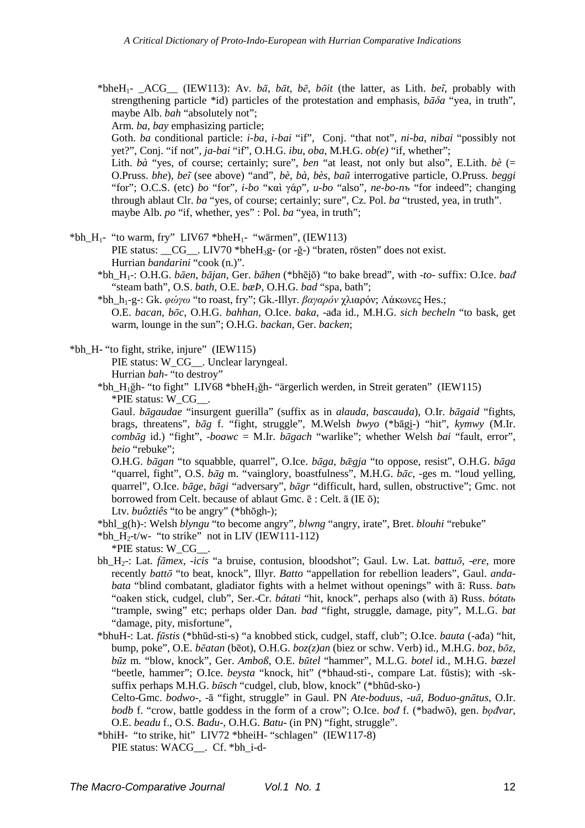\*bheH1- \_ACG\_\_ (IEW113): Av. *bā*, *bāt*, *bē*, *bōit* (the latter, as Lith. *beĩ*, probably with strengthening particle \*id) particles of the protestation and emphasis, *bāδa* "yea, in truth", maybe Alb. *bah* "absolutely not";

Arm. *ba*, *bay* emphasizing particle;

Goth. *ba* conditional particle: *i-ba*, *i-bai* "if", Conj. "that not", *ni-ba*, *nibai* "possibly not yet?", Conj. "if not", *ja-bai* "if", O.H.G. *ibu*, *oba*, M.H.G. *ob(e)* "if, whether";

Lith. *bà* "yes, of course; certainly; sure", *ben* "at least, not only but also", E.Lith. *bè* (= O.Pruss. *bhe*), *beĩ* (see above) "and", *bè*, *bà*, *bès*, *baũ* interrogative particle, O.Pruss. *beggi* "for"; O.C.S. (etc) *bo* "for", *i-bo* "καὶ γάρ", *u-bo* "also", *ne-bo-nъ* "for indeed"; changing through ablaut Clr. *ba* "yes, of course; certainly; sure", Cz. Pol. *ba* "trusted, yea, in truth". maybe Alb. *po* "if, whether, yes" : Pol. *ba* "yea, in truth";

 $*bh_H$ - "to warm, fry" LIV67  $*bh_1$ - "wärmen", (IEW113)

PIE status: \_CG\_. LIV70 \*bheH<sub>3</sub>g- (or -ğ-) "braten, rösten" does not exist. Hurrian *bandarini* "cook (n.)".

- \*bh H<sub>1</sub> : O.H.G. *bāen*, *bājan*, Ger. *bāhen* (\*bhēiō) "to bake bread", with -*to* suffix: O.Ice. *bađ* "steam bath", O.S. *bath*, O.E. *bæÞ*, O.H.G. *bad* "spa, bath";
- \*bh\_h1-g-: Gk. *φώγω* "to roast, fry"; Gk.-Illyr. *βαγαρόν* χλιαρόν; Λάκωνες Hes.; O.E. *bacan*, *bōc*, O.H.G. *bahhan*, O.Ice. *baka*, -ađa id., M.H.G. *sich becheln* "to bask, get warm, lounge in the sun"; O.H.G. *backan*, Ger. *backen*;

\*bh\_H- "to fight, strike, injure" (IEW115)

PIE status: W\_CG\_\_. Unclear laryngeal.

Hurrian *bah*- "to destroy"

\*bh\_H1ğh- "to fight" LIV68 \*bheH1ğh- "ärgerlich werden, in Streit geraten" (IEW115) \*PIE status: W\_CG\_\_.

Gaul. *bāgaudae* "insurgent guerilla" (suffix as in *alauda*, *bascauda*), O.Ir. *bāgaid* "fights, brags, threatens",  $b\bar{a}g$  f. "fight, struggle", M.Welsh *bwyo* (\*bãgi-) "hit", *kymwy* (M.Ir. *combāg* id.) "fight", -*boawc* = M.Ir. *bāgach* "warlike"; whether Welsh *bai* "fault, error", *beio* "rebuke";

O.H.G. *bāgan* "to squabble, quarrel", O.Ice. *bāga*, *bǣgja* "to oppose, resist", O.H.G. *bāga* "quarrel, fight", O.S. *bāg* m. "vainglory, boastfulness", M.H.G. *bāc*, -ges m. "loud yelling, quarrel", O.Ice. *bāge*, *bāgi* "adversary", *bāgr* "difficult, hard, sullen, obstructive"; Gmc. not borrowed from Celt. because of ablaut Gmc. ē : Celt. ā (IE ō);

Ltv. *buôztiês* "to be angry" (\*bhōgh-);

\*bhl\_g(h)-: Welsh *blyngu* "to become angry", *blwng* "angry, irate", Bret. *blouhi* "rebuke"

\*bh\_H<sub>2</sub>-t/w- "to strike" not in LIV (IEW111-112)

\*PIE status: W\_CG\_\_.

- bh\_H2-: Lat. *fāmex*, -*icis* "a bruise, contusion, bloodshot"; Gaul. Lw. Lat. *battuō*, -*ere*, more recently *battō* "to beat, knock", Illyr. *Batto* "appellation for rebellion leaders", Gaul. *andabata* "blind combatant, gladiator fights with a helmet without openings" with ā: Russ. *batъ* "oaken stick, cudgel, club", Ser.-Cr. *bátati* "hit, knock", perhaps also (with ă) Russ. *bótatь* "trample, swing" etc; perhaps older Dan. *bad* "fight, struggle, damage, pity", M.L.G. *bat* "damage, pity, misfortune",
- \*bhuH-: Lat. *fūstis* (\*bhūd-sti-s) "a knobbed stick, cudgel, staff, club"; O.Ice. *bauta* (-ađa) "hit, bump, poke", O.E. *bēatan* (bēot), O.H.G. *boz(z)an* (biez or schw. Verb) id., M.H.G. *boz*, *bōz*, *būz* m. "blow, knock", Ger. *Amboß*, O.E. *būtel* "hammer", M.L.G. *botel* id., M.H.G. *bæzel* "beetle, hammer"; O.Ice. *beysta* "knock, hit" (\*bhaud-sti-, compare Lat. fūstis); with -sksuffix perhaps M.H.G. *būsch* "cudgel, club, blow, knock" (\*bhūd-sko-)

Celto-Gmc. *bodwo*-, -ā "fight, struggle" in Gaul. PN *Ate*-*boduus*, -*uā*, *Boduo*-*gnātus*, O.Ir. *bodb* f. "crow, battle goddess in the form of a crow"; O.Ice. *bođ* f. (\*badwō), gen. *bǫđvar*, O.E. *beadu* f., O.S. *Badu*-, O.H.G. *Batu*- (in PN) "fight, struggle".

\*bhiH- "to strike, hit" LIV72 \*bheiH- "schlagen" (IEW117-8) PIE status: WACG . Cf. \*bh\_i-d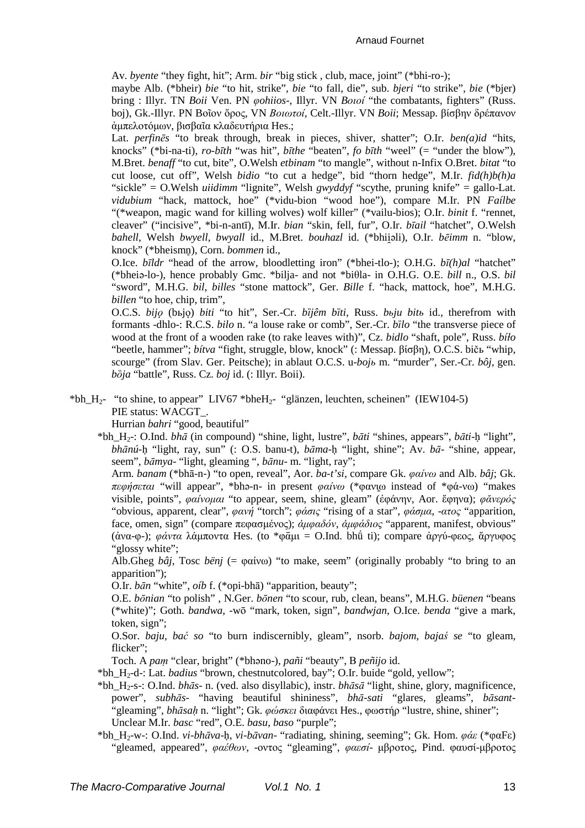Av. *byente* "they fight, hit"; Arm. *bir* "big stick , club, mace, joint" (\*bhi-ro-);

maybe Alb. (\*bheir) *bie* "to hit, strike", *bie* "to fall, die", sub. *bjeri* "to strike", *bie* (\*bjer) bring : Illyr. TN *Boii* Ven. PN *φohiios*-, Illyr. VN *Bοιοί* "the combatants, fighters" (Russ. boj), Gk.-Illyr. PN Bοῖον ὄρος, VN *Βοιωτοί*, Celt.-Illyr. VN *Boii*; Messap. βίσβην δρέπανον άμπελοτόμων, βισβαΐα κλαδευτήρια Hes.:

Lat. *perfinēs* "to break through, break in pieces, shiver, shatter"; O.Ir. *ben(a)id* "hits, knocks" (\*bi-na-ti), *ro-bīth* "was hit", *bīthe* "beaten", *fo bīth* "weel" (= "under the blow"), M.Bret. *benaff* "to cut, bite", O.Welsh *etbinam* "to mangle", without n-Infix O.Bret. *bitat* "to cut loose, cut off", Welsh *bidio* "to cut a hedge", bid "thorn hedge", M.Ir. *fid(h)b(h)a* "sickle" = O.Welsh *uiidimm* "lignite", Welsh *gwyddyf* "scythe, pruning knife" = gallo-Lat. *vidubium* "hack, mattock, hoe" (\*vidu-bion "wood hoe"), compare M.Ir. PN *Faílbe* "(\*weapon, magic wand for killing wolves) wolf killer" (\*vailu-bios); O.Ir. *binit* f. "rennet, cleaver" ("incisive", \*bi-n-antī), M.Ir. *bian* "skin, fell, fur", O.Ir. *bīail* "hatchet", O.Welsh *bahell*, Welsh *bwyell*, *bwyall* id., M.Bret. *bouhazl* id. (\*bhii̯ǝli), O.Ir. *bēimm* n. "blow, knock" (\*bheismn), Corn. *bommen* id.,

O.Ice. *bīldr* "head of the arrow, bloodletting iron" (\*bhei-tlo-); O.H.G. *bī(h)al* "hatchet" (\*bheiǝ-lo-), hence probably Gmc. \*bilja- and not \*biθla- in O.H.G. O.E. *bill* n., O.S. *bil* "sword", M.H.G. *bil*, *billes* "stone mattock", Ger. *Bille* f. "hack, mattock, hoe", M.H.G. *billen* "to hoe, chip, trim",

O.C.S. *bijǫ* (bьjǫ) *biti* "to hit", Ser.-Cr. *bȉjêm bȉti*, Russ. *bьju bitь* id., therefrom with formants -dhlo-: R.C.S. *bilo* n. "a louse rake or comb", Ser.-Cr. *bȉlo* "the transverse piece of wood at the front of a wooden rake (to rake leaves with)", Cz. *bidlo* "shaft, pole", Russ. *bíɫo* "beetle, hammer"; *bítva* "fight, struggle, blow, knock" (: Messap. βίσβη), O.C.S. bičь "whip, scourge" (from Slav. Ger. Peitsche); in ablaut O.C.S. u-*bojь* m. "murder", Ser.-Cr. *bôj*, gen. *bȍja* "battle", Russ. Cz. *boj* id. (: Illyr. Boii).

## \*bh  $H_2$ - "to shine, to appear" LIV67 \*bheH<sub>2</sub>- "glänzen, leuchten, scheinen" (IEW104-5) PIE status: WACGT.

Hurrian *bahri* "good, beautiful"

\*bh\_H2-: O.Ind. *bhā* (in compound) "shine, light, lustre", *bāti* "shines, appears", *bāti*-ḥ "light", *bhānú*-ḥ "light, ray, sun" (: O.S. banu-t), *bāma*-ḥ "light, shine"; Av. *bā*- "shine, appear, seem", *bāmya*- "light, gleaming ", *bānu*- m. "light, ray";

Arm. *banam* (\*bhā-n-) "to open, reveal", Aor. *ba-t'si*, compare Gk. *φαίνω* and Alb. *bâj*; Gk. *πεφήσεται* "will appear", \*bhǝ-n- in present *φαίνω* (\*φανι̯ω instead of \*φά-νω) "makes visible, points", *φαίνοµαι* "to appear, seem, shine, gleam" (ἐφάνην, Aor. ἔφηνα); *φᾰνερός* "obvious, apparent, clear", *φανή* "torch"; *φάσις* "rising of a star", *φάσµα*, -*ατος* "apparition, face, omen, sign" (compare πεφασµένος); *ἀµφαδόν*, *ἀµφάδιος* "apparent, manifest, obvious" (ἀνα-φ-); *φάντα* λάµποντα Hes. (to \*φᾱµι = O.Ind. bhǘ ti); compare ἀργύ-φεος, ἄργυφος "glossy white";

Alb.Gheg *bâj*, Tosc *bënj* (= φαίνω) "to make, seem" (originally probably "to bring to an apparition");

O.Ir. *bān* "white", *oíb* f. (\*opi-bhā) "apparition, beauty";

O.E. *bōnian* "to polish" , N.Ger. *bōnen* "to scour, rub, clean, beans", M.H.G. *büenen* "beans (\*white)"; Goth. *bandwa*, -wō "mark, token, sign", *bandwjan*, O.Ice. *benda* "give a mark, token, sign";

O.Sor. *baju*, *bać so* "to burn indiscernibly, gleam", nsorb. *bajom*, *bajaś se* "to gleam, flicker";

Toch. A *paṃ* "clear, bright" (\*bhǝno-), *pañi* "beauty", В *peñijo* id.

\*bh\_H2-d-: Lat. *badius* "brown, chestnutcolored, bay"; O.Ir. buide "gold, yellow";

- \*bh\_H2-s-: O.Ind. *bhās* n. (ved. also disyllabic), instr. *bhāsā* "light, shine, glory, magnificence, power", *subhās*- "having beautiful shininess", *bhā-sati* "glares, gleams", *bāsant*- "gleaming", *bhāsaḥ* n. "light"; Gk. *φώσκει* διαφάνει Hes., φωστήρ "lustre, shine, shiner"; Unclear M.Ir. *basc* "red", O.E. *basu*, *baso* "purple";
- \*bh\_H2-w-: O.Ind. *vi-bhāva*-ḥ, *vi-bāvan* "radiating, shining, seeming"; Gk. Hom. *φάε* (\*φαFε) "gleamed, appeared", *φαέθων*, -οντος "gleaming", *φαεσί*- µβροτος, Pind. φαυσί-µβροτος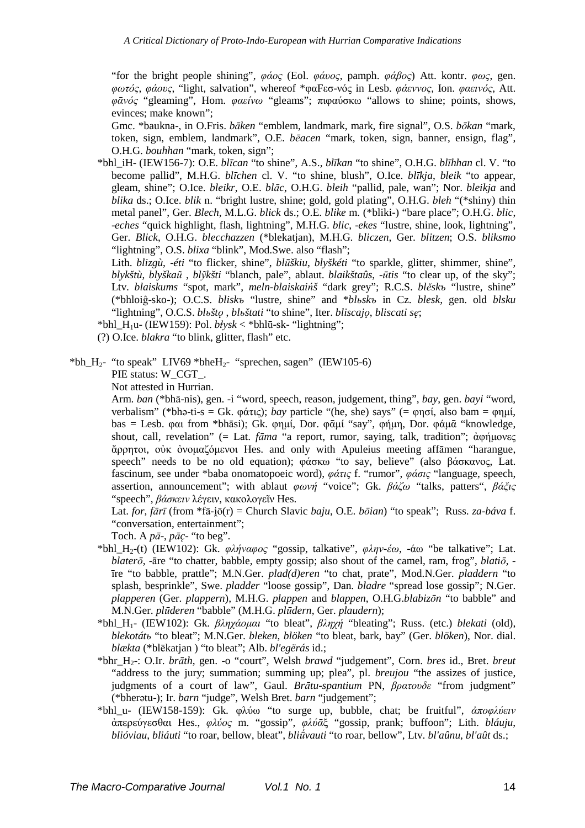"for the bright people shining", *φάος* (Eol. *φάυος*, pamph. *φάβος*) Att. kontr. *φως*, gen. *φωτός*, *φάους*, "light, salvation", whereof \*φαFεσ-νός in Lesb. *φάεννος*, Ion. *φαεινός*, Att. *φᾱνός* "gleaming", Hom. *φαείνω* "gleams"; πιφαύσκω "allows to shine; points, shows, evinces; make known";

Gmc. \*baukna-, in O.Fris. *bāken* "emblem, landmark, mark, fire signal", O.S. *bōkan* "mark, token, sign, emblem, landmark", O.E. *bēacen* "mark, token, sign, banner, ensign, flag", O.H.G. *bouhhan* "mark, token, sign";

\*bhl\_iH- (IEW156-7): O.E. *blīcan* "to shine", A.S., *blīkan* "to shine", O.H.G. *blīhhan* cl. V. "to become pallid", M.H.G. *blīchen* cl. V. "to shine, blush", O.Ice. *blīkja*, *bleik* "to appear, gleam, shine"; O.Ice. *bleikr*, O.E. *blāc*, O.H.G. *bleih* "pallid, pale, wan"; Nor. *bleikja* and *blika* ds.; O.Ice. *blik* n. "bright lustre, shine; gold, gold plating", O.H.G. *bleh* "(\*shiny) thin metal panel", Ger. *Blech*, M.L.G. *blick* ds.; O.E. *blike* m. (\*bliki-) "bare place"; O.H.G. *blic*, -*eches* "quick highlight, flash, lightning", M.H.G. *blic*, -*ekes* "lustre, shine, look, lightning", Ger. *Blick*, O.H.G. *blecchazzen* (\*blekatjan), M.H.G. *bliczen*, Ger. *blitzen*; O.S. *bliksmo* "lightning", O.S. *blixa* "blink", Mod.Swe. also "flash";

Lith. *blizgù*, -*éti* "to flicker, shine", *blūškiu*, *blyškéti* "to sparkle, glitter, shimmer, shine", *blykštù*, *blyškaũ* , *blỹkšti* "blanch, pale", ablaut. *blaikštaûs*, -*ūtis* "to clear up, of the sky"; Ltv. *blaiskums* "spot, mark", *meln-blaiskaińš* "dark grey"; R.C.S. *blěskъ* "lustre, shine" (\*bhloiĝ-sko-); O.C.S. *bliskъ* "lustre, shine" and \**blьskъ* in Cz. *blesk*, gen. old *blsku* "lightning", O.C.S. *blьštǫ* , *blьštati* "to shine", Iter. *bliscajǫ*, *bliscati sę*;

\*bhl  $H_1u$ - (IEW159): Pol.  $b\dot{t}$ *ysk* < \*bhlū-sk- "lightning";

(?) O.Ice. *blakra* "to blink, glitter, flash" etc.

\*bh  $H_2$ - "to speak" LIV69 \*bheH<sub>2</sub>- "sprechen, sagen" (IEW105-6)

PIE status: W\_CGT\_.

Not attested in Hurrian.

Arm. *ban* (\*bhā-nis), gen. -i "word, speech, reason, judgement, thing", *bay*, gen. *bayi* "word, verbalism" (\*bhǝ-ti-s = Gk. φάτις); *bay* particle "(he, she) says" (= φησί, also bam = φηµί, bas = Lesb. φαι from \*bhāsi); Gk. φηµί, Dor. φᾱµί "say", φήµη, Dor. φάµᾱ "knowledge, shout, call, revelation" (= Lat. *fāma* "a report, rumor, saying, talk, tradition"; ἀφήµονες ἄρρητοι, οὐκ ὀνοµαζόµενοι Hes. and only with Apuleius meeting affāmen "harangue, speech" needs to be no old equation); φάσκω "to say, believe" (also βάσκανος, Lat. fascinum, see under \*baba onomatopoeic word), *φάτις* f. "rumor", *φάσις* "language, speech, assertion, announcement"; with ablaut *φωνή* "voice"; Gk. *βάζω* "talks, patters", *βάξις* "speech", *βάσκειν* λέγειν, κακολογεῖν Hes.

Lat. *for*, *fārī* (from \*fā-i $\bar{o}(r)$  = Church Slavic *baju*, O.E. *bõian*) "to speak"; Russ. *za-báva* f. "conversation, entertainment";

Toch. A  $p\bar{a}$ -,  $p\bar{a}c$ - "to beg".

- \*bhl\_H2-(t) (IEW102): Gk. *φλήναφος* "gossip, talkative", *φλην-έω*, -άω "be talkative"; Lat. *blaterō*, -āre "to chatter, babble, empty gossip; also shout of the camel, ram, frog", *blatiō*, īre "to babble, prattle"; M.N.Ger. *plad(d)eren* "to chat, prate", Mod.N.Ger. *pladdern* "to splash, besprinkle", Swe. *pladder* "loose gossip", Dan. *bladre* "spread lose gossip"; N.Ger. *plapperen* (Ger. *plappern*), M.H.G. *plappen* and *blappen*, O.H.G.*blabizōn* "to babble" and M.N.Ger. *plūderen* "babble" (M.H.G. *plūdern*, Ger. *plaudern*);
- \*bhl\_H1- (IEW102): Gk. *βληχάοµαι* "to bleat", *βληχή* "bleating"; Russ. (etc.) *blekati* (old), *blekotátь* "to bleat"; M.N.Ger. *bleken*, *blöken* "to bleat, bark, bay" (Ger. *blöken*), Nor. dial. *blækta* (\*blēkatjan ) "to bleat"; Alb. *bl'egërás* id.;
- \*bhr\_H2-: O.Ir. *brāth*, gen. -o "court", Welsh *brawd* "judgement", Corn. *bres* id., Bret. *breut* "address to the jury; summation; summing up; plea", pl. *breujou* "the assizes of justice, judgments of a court of law", Gaul. *Brātu*-*spantium* PN, *βρατουδε* "from judgment" (\*bherǝtu-); Ir. *barn* "judge", Welsh Bret. *barn* "judgement";
- \*bhl\_u- (IEW158-159): Gk. φλύω "to surge up, bubble, chat; be fruitful", *ἀποφλύειν* ἀπερεύγεσθαι Hes., *φλύος* m. "gossip", *φλύᾱ*ξ "gossip, prank; buffoon"; Lith. *bláuju*, *blióviau*, *bliáuti* "to roar, bellow, bleat", *bliū́vauti* "to roar, bellow", Ltv. *bl'aûnu*, *bl'aût* ds.;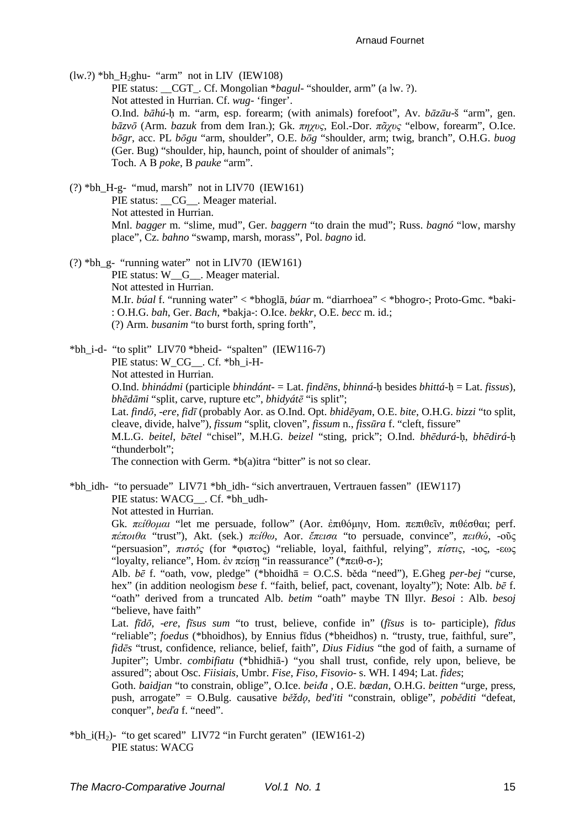$(lw?) *bh_H_2ghu- "arm" not in LIV (IEW108)$ PIE status: CGT. Cf. Mongolian \**bagul*- "shoulder, arm" (a lw. ?). Not attested in Hurrian. Cf. *wug-* 'finger'. O.Ind. *bāhú*-ḥ m. "arm, esp. forearm; (with animals) forefoot", Av. *bāzāu*-š "arm", gen. *bāzvō* (Arm. *bazuk* from dem Iran.); Gk. *πηχυς*, Eol.-Dor. *πᾶχυς* "elbow, forearm", O.Ice. *bōgr*, acc. PL *bōgu* "arm, shoulder", O.E. *bōg* "shoulder, arm; twig, branch", O.H.G. *buog* (Ger. Bug) "shoulder, hip, haunch, point of shoulder of animals"; Toch. А В *poke*, В *pauke* "arm".

(?) \*bh\_H-g- "mud, marsh" not in LIV70 (IEW161) PIE status: CG . Meager material. Not attested in Hurrian. Mnl. *bagger* m. "slime, mud", Ger. *baggern* "to drain the mud"; Russ. *bagnó* "low, marshy place", Cz. *bahno* "swamp, marsh, morass", Pol. *bagno* id.

(?) \*bh\_g- "running water" not in LIV70 (IEW161)

PIE status: W G . Meager material. Not attested in Hurrian. M.Ir. *búal* f. "running water" < \*bhoglā, *búar* m. "diarrhoea" < \*bhogro-; Proto-Gmc. \*baki- : O.H.G. *bah*, Ger. *Bach*, \*bakja-: O.Ice. *bekkr*, O.E. *becc* m. id.; (?) Arm. *busanim* "to burst forth, spring forth",

\*bh\_i-d- "to split" LIV70 \*bheid- "spalten" (IEW116-7) PIE status: W\_CG\_\_. Cf. \*bh\_i-H-Not attested in Hurrian. O.Ind. *bhinádmi* (participle *bhindánt*- = Lat. *findēns*, *bhinná*-ḥ besides *bhittá*-ḥ = Lat. *fissus*), *bhēdāmi* "split, carve, rupture etc", *bhidyátē* "is split"; Lat. *findō*, -*ere*, *fidī* (probably Aor. as O.Ind. Opt. *bhidēyam*, O.E. *bite*, O.H.G. *bizzi* "to split, cleave, divide, halve"), *fissum* "split, cloven", *fissum* n., *fissūra* f. "cleft, fissure" M.L.G. *beitel*, *bētel* "chisel", M.H.G. *beizel* "sting, prick"; O.Ind. *bhēdurá*-ḥ, *bhēdirá*-ḥ "thunderbolt"; The connection with Germ. \*b(a)itra "bitter" is not so clear.

\*bh\_idh- "to persuade" LIV71 \*bh\_idh- "sich anvertrauen, Vertrauen fassen" (IEW117) PIE status: WACG . Cf. \*bh\_udh-

Not attested in Hurrian.

Gk. *πείθοµαι* "let me persuade, follow" (Aor. ἐπιθόµην, Hom. πεπιθεῖν, πιθέσθαι; perf. *πέποιθα* "trust"), Akt. (sek.) *πείθω*, Aor. *ἔπεισα* "to persuade, convince", *πειθώ*, -οῦς "persuasion", *πιστός* (for \*φιστος) "reliable, loyal, faithful, relying", *πίστις*, -ιος, -εως "loyalty, reliance", Hom. ἐν πείση "in reassurance" (\*πειθ-σ-);

Alb. *bē* f. "oath, vow, pledge" (\*bhoidhā = O.C.S. běda "need"), E.Gheg *per-bej* "curse, hex" (in addition neologism *bese* f. "faith, belief, pact, covenant, loyalty"); Note: Alb. *bē* f. "oath" derived from a truncated Alb. *betim* "oath" maybe TN Illyr. *Besoi* : Alb. *besoj* "believe, have faith"

Lat. *fīdō*, -*ere*, *fīsus sum* "to trust, believe, confide in" (*fīsus* is to- participle), *fīdus* "reliable"; *foedus* (\*bhoidhos), by Ennius fīdus (\*bheidhos) n. "trusty, true, faithful, sure", *fidēs* "trust, confidence, reliance, belief, faith", *Dius Fidius* "the god of faith, a surname of Jupiter"; Umbr. *combifiatu* (\*bhidhiā-) "you shall trust, confide, rely upon, believe, be assured"; about Osc. *Fiisiais*, Umbr. *Fise*, *Fiso*, *Fisovio*- s. WH. I 494; Lat. *fides*;

Goth. *baidjan* "to constrain, oblige", O.Ice. *beiđa* , O.E. *bædan*, O.H.G. *beitten* "urge, press, push, arrogate" = O.Bulg. causative *běždǫ*, *bed'iti* "constrain, oblige", *poběditi* "defeat, conquer", *beďa* f. "need".

\*bh\_i(H<sub>2</sub>)- "to get scared" LIV72 "in Furcht geraten" (IEW161-2) PIE status: WACG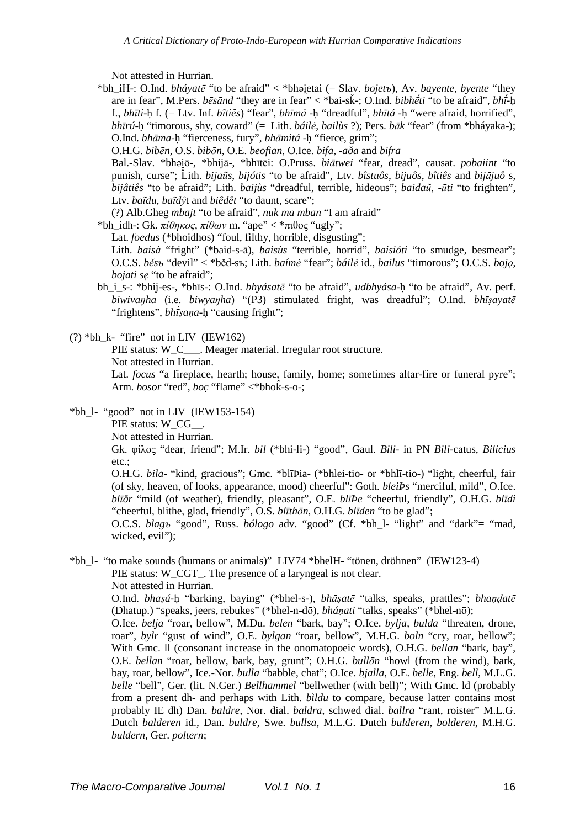Not attested in Hurrian.

\*bh\_iH-: O.Ind. *bháyatē* "to be afraid" < \*bhǝi̯etai (= Slav. *bojetъ*), Av. *bayente*, *byente* "they are in fear", M.Pers. *bēsānd* "they are in fear" < \*bai-sǩ-; O.Ind. *bibhḗti* "to be afraid", *bhī́*-ḥ f., *bhīti*-ḥ f. (= Ltv. Inf. *bîtiês*) "fear", *bhīmá* -ḥ "dreadful", *bhītá* -ḥ "were afraid, horrified", *bhīrú*-ḥ "timorous, shy, coward" (= Lith. *báilė*, *bailùs* ?); Pers. *bāk* "fear" (from \*bháyaka-); O.Ind. *bhāma*-ḥ "fierceness, fury", *bhāmitá* -ḥ "fierce, grim";

O.H.G. *bibēn*, O.S. *bibōn*, O.E. *beofian*, O.Ice. *bifa*, -*aða* and *bifra*

Bal.-Slav. \*bhǝii, \*bhijā-, \*bhītēi: O.Pruss. *biātwei* "fear, dread", causat. *pobaiint* "to punish, curse"; Lith. *bijaũs*, *bijótis* "to be afraid", Ltv. *bîstuôs*, *bijuôs*, *bîtiês* and *bijājuô* s, *bijâtiês* "to be afraid"; Lith. *baijùs* "dreadful, terrible, hideous"; *baidaũ*, -*ūti* "to frighten", Ltv. *baĩdu*, *baĩdŷ*t and *biêdêt* "to daunt, scare";

(?) Alb.Gheg *mbajt* "to be afraid", *nuk ma mban* "I am afraid"

\*bh\_idh-: Gk. *πίθηκος*, *πίθων* m. "ape" < \*πιθος "ugly";

Lat. *foedus* (\*bhoidhos) "foul, filthy, horrible, disgusting";

Lith. *baisà* "fright" (\*baid-s-ā), *baisùs* "terrible, horrid", *baisióti* "to smudge, besmear"; O.C.S. *běsъ* "devil" < \*běd-sъ; Lith. *baímė* "fear"; *báilė* id., *bailus* "timorous"; O.C.S. *bojǫ*, *bojati sę* "to be afraid";

bh\_i\_s-: \*bhij-es-, \*bhīs-: O.Ind. *bhyásatē* "to be afraid", *udbhyása*-ḥ "to be afraid", Av. perf. *biwivaŋha* (i.e. *biwyaŋha*) "(P3) stimulated fright, was dreadful"; O.Ind. *bhīṣayatē* "frightens", *bhfsana*-h "causing fright";

### $(?) *bh_k - "fire" not in LIV (IEW162)$

PIE status: W\_C\_\_\_. Meager material. Irregular root structure.

Not attested in Hurrian.

Lat. *focus* "a fireplace, hearth; house, family, home; sometimes altar-fire or funeral pyre"; Arm. *bosor* "red", *boc* "flame" <\*br/>bhok-s-o-;

 $*bh$  1- "good" not in LIV (IEW153-154)

PIE status: W\_CG\_\_.

Not attested in Hurrian.

Gk. φίλος "dear, friend"; M.Ir. *bil* (\*bhi-li-) "good", Gaul. *Bili*- in PN *Bili*-catus, *Bilicius* etc.;

O.H.G. *bila*- "kind, gracious"; Gmc. \*blīÞia- (\*bhlei-tio- or \*bhlī-tio-) "light, cheerful, fair (of sky, heaven, of looks, appearance, mood) cheerful": Goth. *bleiÞs* "merciful, mild", O.Ice. *blīðr* "mild (of weather), friendly, pleasant", O.E. *blīÞe* "cheerful, friendly", O.H.G. *blīdi* "cheerful, blithe, glad, friendly", O.S. *blīthōn*, O.H.G. *blīden* "to be glad";

O.C.S. *blagъ* "good", Russ. *bólogo* adv. "good" (Cf. \*bh\_l- "light" and "dark"= "mad, wicked, evil");

### \*bh\_l- "to make sounds (humans or animals)" LIV74 \*bhelH- "tönen, dröhnen" (IEW123-4) PIE status: W\_CGT\_. The presence of a laryngeal is not clear. Not attested in Hurrian.

O.Ind. *bhaṣá*-ḥ "barking, baying" (\*bhel-s-), *bhāṣatē* "talks, speaks, prattles"; *bhaṇḍatē* (Dhatup.) "speaks, jeers, rebukes" (\*bhel-n-dō), *bháṇati* "talks, speaks" (\*bhel-nō);

O.Ice. *belja* "roar, bellow", M.Du. *belen* "bark, bay"; O.Ice. *bylja*, *bulda* "threaten, drone, roar", *bylr* "gust of wind", O.E. *bylgan* "roar, bellow", M.H.G. *boln* "cry, roar, bellow"; With Gmc. ll (consonant increase in the onomatopoeic words), O.H.G. *bellan* "bark, bay", O.E. *bellan* "roar, bellow, bark, bay, grunt"; O.H.G. *bullōn* "howl (from the wind), bark, bay, roar, bellow", Ice.-Nor. *bulla* "babble, chat"; O.Ice. *bjalla*, O.E. *belle*, Eng. *bell*, M.L.G. *belle* "bell", Ger. (lit. N.Ger.) *Bellhammel* "bellwether (with bell)"; With Gmc. ld (probably from a present dh- and perhaps with Lith. *bìldu* to compare, because latter contains most probably IE dh) Dan. *baldre*, Nor. dial. *baldra*, schwed dial. *ballra* "rant, roister" M.L.G. Dutch *balderen* id., Dan. *buldre*, Swe. *bullsa*, M.L.G. Dutch *bulderen*, *bolderen*, M.H.G. *buldern*, Ger. *poltern*;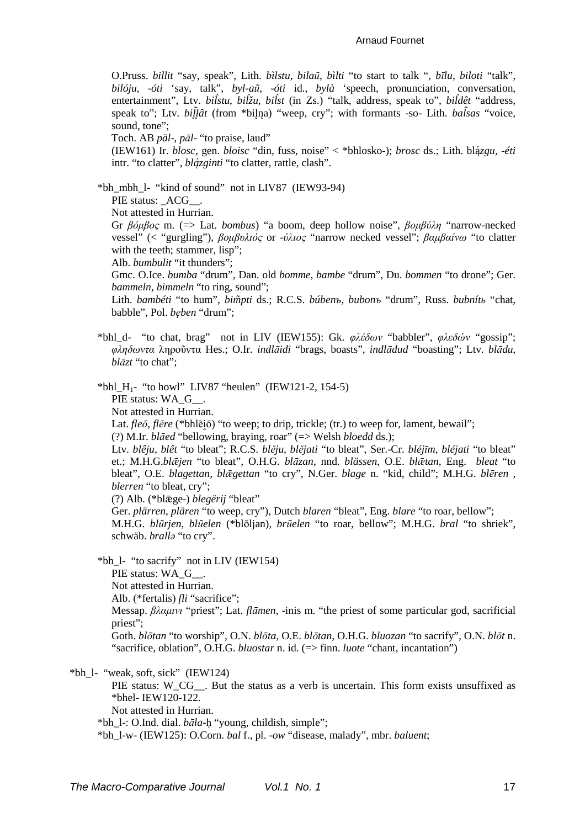#### Arnaud Fournet

O.Pruss. *billit* "say, speak", Lith. *bìlstu*, *bilaũ*, *bìlti* "to start to talk ", *bīlu*, *biloti* "talk", *bilóju*, -*óti* 'say, talk", *byl*-*aũ*, -*óti* id., *bylà* 'speech, pronunciation, conversation, entertainment", Ltv. *bil̂stu*, *bil̂žu*, *bil̂st* (in Zs.) "talk, address, speak to", *bil̂dêt* "address, speak to"; Ltv. *billat* (from \*bilna) "weep, cry"; with formants -so- Lith. *balsas* "voice, sound, tone":

Toch. AB *päl*-, *pāl*- "to praise, laud"

(IEW161) Ir. *blosc*, gen. *bloisc* "din, fuss, noise" < \*bhlosko-); *brosc* ds.; Lith. blá ̨*zgu*, -*éti* intr. "to clatter", *blá ̨zginti* "to clatter, rattle, clash".

\*bh\_mbh\_l- "kind of sound" not in LIV87 (IEW93-94)

PIE status: ACG .

Not attested in Hurrian.

Gr *βόµβος* m. (=> Lat. *bombus*) "a boom, deep hollow noise", *βοµβύλη* "narrow-necked vessel" (< "gurgling"), *βοµβυλιός* or -*ύλιος* "narrow necked vessel"; *βαµβαίνω* "to clatter with the teeth; stammer, lisp";

Alb. *bumbulit* "it thunders";

Gmc. O.Ice. *bumba* "drum", Dan. old *bomme*, *bambe* "drum", Du. *bommen* "to drone"; Ger. *bammeln*, *bimmeln* "to ring, sound";

Lith. *bambéti* "to hum", *bim̃pti* ds.; R.C.S. *búbenъ*, *bubonъ* "drum", Russ. *bubnítь* "chat, babble", Pol. *bęben* "drum";

\*bhl\_d- "to chat, brag" not in LIV (IEW155): Gk. *φλέδων* "babbler", *φλεδών* "gossip"; *φληδωντα* ληροῦντα Hes.; O.Ir. *indlāidi* "brags, boasts", *indlādud* "boasting"; Ltv. *blādu*, *blāzt* "to chat";

\*bhl\_H<sub>1</sub>- "to howl" LIV87 "heulen" (IEW121-2, 154-5)

PIE status: WA\_G\_ .

Not attested in Hurrian.

Lat. *fleō*, *flēre* (\*bhlēiō) "to weep; to drip, trickle; (tr.) to weep for, lament, bewail";

(?) M.Ir. *blāed* "bellowing, braying, roar" (=> Welsh *bloedd* ds.);

Ltv. *blêju*, *blêt* "to bleat"; R.C.S. *blěju*, *blějati* "to bleat", Ser.-Cr. *bléjīm*, *bléjati* "to bleat" et.; M.H.G.*blǣjen* "to bleat", O.H.G. *blāzan*, nnd. *blässen*, O.E. *blǣtan*, Eng. *bleat* "to bleat", O.E. *blagettan*, *blǣgettan* "to cry", N.Ger. *blage* n. "kid, child"; M.H.G. *blēren* , *blerren* "to bleat, cry";

(?) Alb. (\*blǣge-) *blegërij* "bleat"

Ger. *plärren*, *plären* "to weep, cry"), Dutch *blaren* "bleat", Eng. *blare* "to roar, bellow";

M.H.G. *blũrjen*, *blũelen* (\*blōljan), *brũelen* "to roar, bellow"; M.H.G. *bral* "to shriek", schwäb. *brallǝ* "to cry".

\*bh\_l- "to sacrify" not in LIV (IEW154)

PIE status: WA\_G\_\_.

Not attested in Hurrian.

Alb. (\*fertalis) *fli* "sacrifice";

Messap. *βλαµινι* "priest"; Lat. *flāmen*, -inis m. "the priest of some particular god, sacrificial priest";

Goth. *blōtan* "to worship", O.N. *blōta*, O.E. *blōtan*, O.H.G. *bluozan* "to sacrify", O.N. *blōt* n. "sacrifice, oblation", O.H.G. *bluostar* n. id. (=> finn. *luote* "chant, incantation")

 $*bh$  1- "weak, soft, sick" (IEW124)

PIE status: W\_CG\_\_. But the status as a verb is uncertain. This form exists unsuffixed as \*bhel- IEW120-122.

Not attested in Hurrian.

\*bh\_l-: O.Ind. dial. *bāla*-ḥ "young, childish, simple";

\*bh\_l-w- (IEW125): O.Corn. *bal* f., pl. -*ow* "disease, malady", mbr. *baluent*;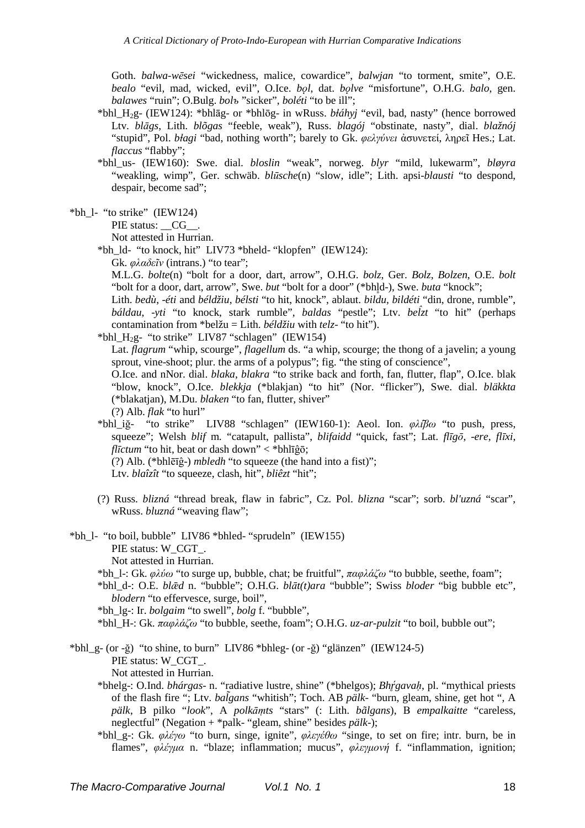Goth. *balwa-wēsei* "wickedness, malice, cowardice", *balwjan* "to torment, smite", O.E. *bealo* "evil, mad, wicked, evil", O.Ice. *bǫl*, dat. *bǫlve* "misfortune", O.H.G. *balo*, gen. *balawes* "ruin"; O.Bulg. *bolъ* "sicker", *boléti* "to be ill";

- \*bhl\_H2g- (IEW124): \*bhlāg- or \*bhlōg- in wRuss. *bɫáhyj* "evil, bad, nasty" (hence borrowed Ltv. *blāgs*, Lith. *blõgas* "feeble, weak"), Russ. *blagój* "obstinate, nasty", dial. *blažnój* "stupid", Pol. *bɫagi* "bad, nothing worth"; barely to Gk. *φελγύνει* ἀσυνετεί, ληρεῖ Hes.; Lat. *flaccus* "flabby";
- \*bhl\_us- (IEW160): Swe. dial. *bloslin* "weak", norweg. *blyr* "mild, lukewarm", *bløyra* "weakling, wimp", Ger. schwäb. *blūsche*(n) "slow, idle"; Lith. apsi-*blausti* "to despond, despair, become sad";

 $*hh$  1- "to strike" (IEW124)

PIE status: CG .

Not attested in Hurrian.

\*bh\_ld- "to knock, hit" LIV73 \*bheld- "klopfen" (IEW124):

Gk. *φλαδεῖν* (intrans.) "to tear";

M.L.G. *bolte*(n) "bolt for a door, dart, arrow", O.H.G. *bolz*, Ger. *Bolz*, *Bolzen*, O.E. *bolt* "bolt for a door, dart, arrow", Swe. *but* "bolt for a door" (\*bhl̥d-), Swe. *buta* "knock";

Lith. *bedù*, -*éti* and *béldžiu*, *bélsti* "to hit, knock", ablaut. *bildu*, *bildéti* "din, drone, rumble", *báldau*, -*yti* "to knock, stark rumble", *baldas* "pestle"; Ltv. *bel̂zt* "to hit" (perhaps contamination from \*belžu = Lith. *béldžiu* with *telz*- "to hit").

\*bhl\_H2g- "to strike" LIV87 "schlagen" (IEW154)

Lat. *flagrum* "whip, scourge", *flagellum* ds. "a whip, scourge; the thong of a javelin; a young sprout, vine-shoot; plur. the arms of a polypus"; fig. "the sting of conscience",

O.Ice. and nNor. dial. *blaka*, *blakra* "to strike back and forth, fan, flutter, flap", O.Ice. blak "blow, knock", O.Ice. *blekkja* (\*blakjan) "to hit" (Nor. "flicker"), Swe. dial. *bläkkta* (\*blakatjan), M.Du. *blaken* "to fan, flutter, shiver"

(?) Alb. *flak* "to hurl"

\*bhl\_iğ- "to strike" LIV88 "schlagen" (IEW160-1): Aeol. Ion. *φλί̄βω* "to push, press, squeeze"; Welsh *blif* m. "catapult, pallista", *blifaidd* "quick, fast"; Lat. *flīgō*, -*ere, flīxi*, *flīctum* "to hit, beat or dash down" < \*bhlīĝō; (?) Alb. (\*bhlēīĝ-) *mbledh* "to squeeze (the hand into a fist)";

- Ltv. *blaîzît* "to squeeze, clash, hit", *bliêzt* "hit";
- (?) Russ. *blizná* "thread break, flaw in fabric", Cz. Pol. *blizna* "scar"; sorb. *bl'uzná* "scar", wRuss. *bluzná* "weaving flaw";

\*bh\_l- "to boil, bubble" LIV86 \*bhled- "sprudeln" (IEW155) PIE status: W\_CGT\_. Not attested in Hurrian.

\*bh\_l-: Gk. *φλύω* "to surge up, bubble, chat; be fruitful", *παφλάζω* "to bubble, seethe, foam";

\*bhl\_d-: O.E. *blǣd* n. "bubble"; O.H.G. *blāt(t)ara* "bubble"; Swiss *bloder* "big bubble etc", *blodern* "to effervesce, surge, boil".

\*bh\_lg-: Ir. *bolgaim* "to swell", *bolg* f. "bubble",

\*bhl\_H-: Gk. *παφλάζω* "to bubble, seethe, foam"; O.H.G. *uz-ar-pulzit* "to boil, bubble out";

\*bhl\_g- (or -ğ) "to shine, to burn" LIV86 \*bhleg- (or -ğ) "glänzen" (IEW124-5) PIE status: W\_CGT\_.

Not attested in Hurrian.

\*bhelg-: O.Ind. *bhárgas*- n. "radiative lustre, shine" (\*bhelgos); *Bhr̥ ́gavaḥ*, pl. "mythical priests of the flash fire "; Ltv. *balgans ̃* "whitish"; Toch. AB *pälk*- "burn, gleam, shine, get hot ", A *pälk*, В pilko "*look*", A *polkāṃts* "stars" (: Lith. *bãlgans*), В *empalkaitte* "careless, neglectful" (Negation + \*palk- "gleam, shine" besides *pälk*-);

\*bhl\_g-: Gk. *φλέγω* "to burn, singe, ignite", *φλεγέθω* "singe, to set on fire; intr. burn, be in flames", *φλέγµα* n. "blaze; inflammation; mucus", *φλεγµονή* f. "inflammation, ignition;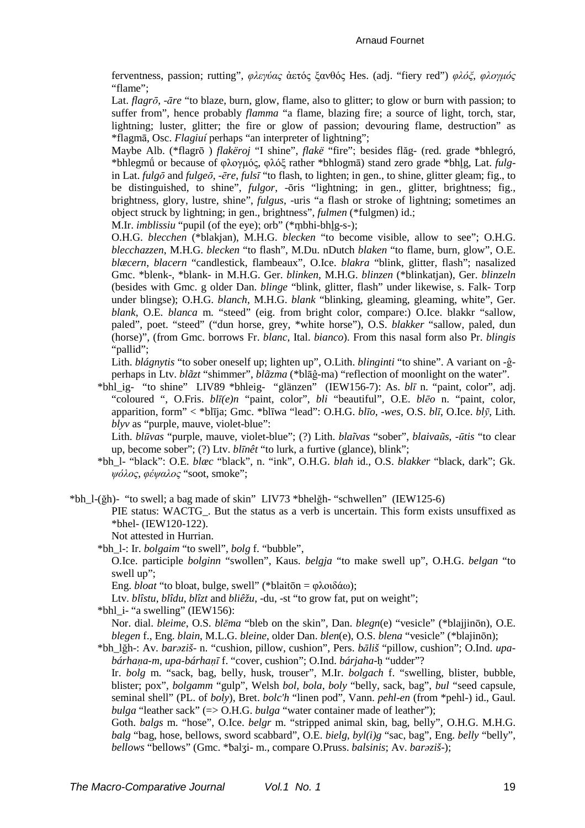ferventness, passion; rutting", φλεγύας ἀετός ξανθός Hes. (adj. "fiery red") φλόξ, φλογμός "flame":

Lat. *flagrō*, -*āre* "to blaze, burn, glow, flame, also to glitter; to glow or burn with passion; to suffer from", hence probably *flamma* "a flame, blazing fire; a source of light, torch, star, lightning: luster, glitter; the fire or glow of passion; devouring flame, destruction" as \*flagma, Osc. Flagiuí perhaps "an interpreter of lightning";

Maybe Alb. (\*flagrō) *flakëroj* "I shine", *flakë* "fire"; besides flăg- (red. grade \*bhlegró, \*bhlegmű or because of  $\omega$ νυνιός,  $\omega \wedge \omega \in$  rather \*bhlogma) stand zero grade \*bhlg, Lat. *fulg*in Lat.  $\hat{t}$ ulgo and  $\hat{t}$ ulgeo, -ēre,  $\hat{t}$ ulsī "to flash, to lighten; in gen., to shine, glitter gleam; fig., to be distinguished, to shine", fulgor, -ōris "lightning; in gen., glitter, brightness; fig., brightness, glory, lustre, shine", *fulgus*, -uris "a flash or stroke of lightning; sometimes an object struck by lightning; in gen., brightness", *fulmen* (\*fulgmen) id.:

M.Ir. *imblissiu* "pupil (of the eye); orb" (\*mbhi-bhlg-s-);

O.H.G. blecchen (\*blakjan), M.H.G. blecken "to become visible, allow to see"; O.H.G. blecchazzen, M.H.G. blecken "to flash", M.Du. nDutch blaken "to flame, burn, glow", O.E. blæcern, blacern "candlestick, flambeaux", O.Ice. blakra "blink, glitter, flash"; nasalized Gmc. \*blenk-, \*blank- in M.H.G. Ger. blinken, M.H.G. blinzen (\*blinkatjan), Ger. blinzeln (besides with Gmc. g older Dan. blinge "blink, glitter, flash" under likewise, s. Falk- Torp under blingse); O.H.G. blanch, M.H.G. blank "blinking, gleaming, gleaming, white", Ger. blank, O.E. blanca m. "steed" (eig. from bright color, compare:) O.Ice. blakkr "sallow, paled", poet. "steed" ("dun horse, grey, \*white horse"), O.S. blakker "sallow, paled, dun (horse)", (from Gmc. borrows Fr. blanc, Ital. bianco). From this nasal form also Pr. blingis "pallid";

Lith. *blágnytis* "to sober oneself up; lighten up", O.Lith. *blinginti* "to shine". A variant on -ĝperhaps in Ltv.  $bl\tilde{a}zt$  "shimmer",  $bl\tilde{a}zma$  (\*bl $\overline{a}\hat{g}$ -ma) "reflection of moonlight on the water".

\*bhl\_ig- "to shine" LIV89 \*bhleig- "glänzen" (IEW156-7): As. blī n. "paint, color", adj. "coloured ", O.Fris. bli(e)n "paint, color", bli "beautiful", O.E. bleo n. "paint, color, apparition, form" < \*blija; Gmc. \*bliwa "lead": O.H.G. blio, -wes, O.S. bli, O.Ice. bly, Lith. blyv as "purple, mauve, violet-blue":

Lith. blūvas "purple, mauve, violet-blue"; (?) Lith. blaīvas "sober", blaivaūs, -ūtis "to clear up, become sober"; (?) Ltv. *blinêt* "to lurk, a furtive (glance), blink";

\*bh 1- "black": O.E. blæc "black", n. "ink", O.H.G. blah id., O.S. blakker "black, dark"; Gk. ψόλος, φέψαλος "soot, smoke";

\*bh 1-(ğh)- "to swell; a bag made of skin" LIV73 \*bhelğh- "schwellen" (IEW125-6)

PIE status: WACTG. But the status as a verb is uncertain. This form exists unsuffixed as \*bhel- $(IEW120-122)$ .

Not attested in Hurrian.

\*bh 1-: Ir. *bolgaim* "to swell", *bolg* f. "bubble",

O.Ice. participle *bolginn* "swollen", Kaus. *belgja* "to make swell up", O.H.G. *belgan* "to swell up";

Eng. *bloat* "to bloat, bulge, swell" (\*blaitōn =  $\phi \lambda$ οιδάω):

Ltv. blîstu, blîdu, blîzt and bliêžu, -du, -st "to grow fat, put on weight";

\*bhl i- "a swelling" (IEW156):

Nor. dial. bleime, O.S. blēma "bleb on the skin", Dan. blegn(e) "vesicle" (\*blajjinon), O.E. blegen f., Eng. blain, M.L.G. bleine, older Dan. blen(e), O.S. blena "vesicle" (\*blajinōn);

\*bh lğh-: Av. baraziš- n. "cushion, pillow, cushion", Pers. bāliš "pillow, cushion"; O.Ind. upabárhana-m, upa-bárhanī f. "cover, cushion"; O.Ind. bárjaha-h "udder"?

Ir. bolg m. "sack, bag, belly, husk, trouser", M.Ir. bolgach f. "swelling, blister, bubble, blister; pox", bolgamm "gulp", Welsh bol, bola, boly "belly, sack, bag", bul "seed capsule, seminal shell" (PL, of boly). Bret, bolc'h "linen pod". Vann, pehl-en (from \*pehl-) id., Gaul. *bulga* "leather sack" ( $\Rightarrow$  O.H.G. *bulga* "water container made of leather");

Goth. balgs m. "hose", O.Ice. belgr m. "stripped animal skin, bag, belly", O.H.G. M.H.G. *balg* "bag, hose, bellows, sword scabbard", O.E. *bielg*,  $byl(i)g$  "sac, bag", Eng. *belly* "belly", bellows "bellows" (Gmc. \*balzi- m., compare O.Pruss. balsinis; Av. baraziš-);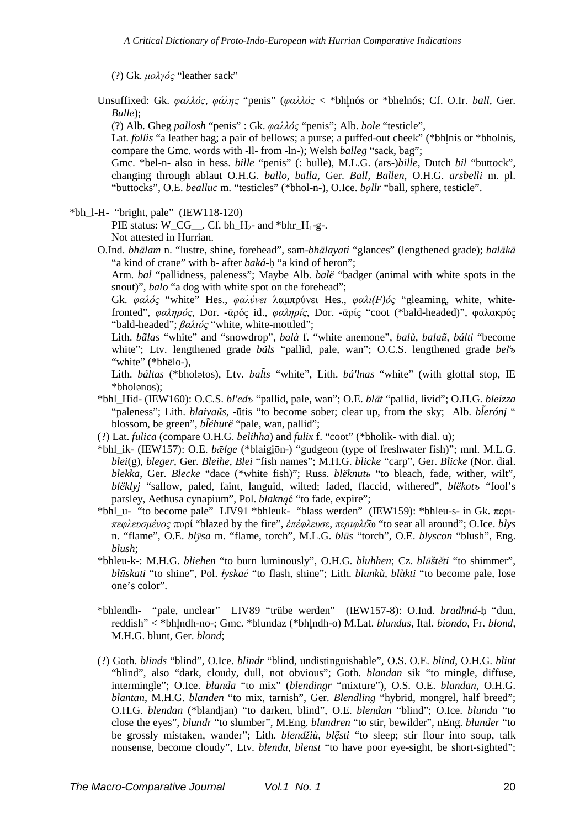(?) Gk. *µολγός* "leather sack"

Unsuffixed: Gk. *φαλλός*, *φάλης* "penis" (*φαλλός* < \*bhl̥nós or \*bhelnós; Cf. O.Ir. *ball*, Ger. *Bulle*);

(?) Alb. Gheg *pallosh* "penis" : Gk. *φαλλός* "penis"; Alb. *bole* "testicle",

Lat. *follis* "a leather bag; a pair of bellows; a purse; a puffed-out cheek" (\*bhlnis or \*bholnis, compare the Gmc. words with -ll- from -ln-); Welsh *balleg* "sack, bag";

Gmc. \*bel-n- also in hess. *bille* "penis" (: bulle), M.L.G. (ars-)*bille*, Dutch *bil* "buttock", changing through ablaut O.H.G. *ballo*, *balla*, Ger. *Ball*, *Ballen*, O.H.G. *arsbelli* m. pl. "buttocks", O.E. *bealluc* m. "testicles" (\*bhol-n-), O.Ice. *bǫllr* "ball, sphere, testicle".

 $*bh$  1-H- "bright, pale" (IEW118-120)

PIE status: W\_CG\_\_. Cf. bh\_H<sub>2</sub>- and \*bhr\_H<sub>1</sub>-g-. Not attested in Hurrian.

O.Ind. *bhālam* n. "lustre, shine, forehead", sam-*bhālayati* "glances" (lengthened grade); *balākā* "a kind of crane" with b- after *baká*-ḥ "a kind of heron";

Arm. *bal* "pallidness, paleness"; Maybe Alb. *balë* "badger (animal with white spots in the snout)", *balo* "a dog with white spot on the forehead";

Gk. *φαλός* "white" Hes., *φαλύνει* λαµπρύνει Hes., *φαλι(F)ός* "gleaming, white, whitefronted", *φαληρός*, Dor. -ᾱρός id., *φαληρίς*, Dor. -ᾱρίς "coot (\*bald-headed)", φαλακρός "bald-headed"; *βαλιός* "white, white-mottled";

Lith. *bãlas* "white" and "snowdrop", *balà* f. "white anemone", *balù*, *balaũ*, *bálti* "become white"; Ltv. lengthened grade *bãls* "pallid, pale, wan"; O.C.S. lengthened grade *beľъ* "white" (\*bhēlo-),

Lith. *báltas* (\*bholatos), Ltv. *balts* "white", Lith. *bá'lnas* "white" (with glottal stop, IE \*bholǝnos);

- \*bhl\_Hid- (IEW160): O.C.S. *bl'edъ* "pallid, pale, wan"; O.E. *blāt* "pallid, livid"; O.H.G. *bleizza* "paleness"; Lith. *blaivaũs*, -ūtis "to become sober; clear up, from the sky; Alb. *blerónj ̃* " blossom, be green", *bléhurë* "pale, wan, pallid";
- (?) Lat. *fulica* (compare O.H.G. *belihha*) and *fulix* f. "coot" (\*bholik- with dial. u);
- \*bhl\_ik- (IEW157): O.E. *bǣlge* (\*blaigi̯ōn-) "gudgeon (type of freshwater fish)"; mnl. M.L.G. *blei*(g), *bleger*, Ger. *Bleihe*, *Blei* "fish names"; M.H.G. *blicke* "carp", Ger. *Blicke* (Nor. dial. *blekka*, Ger. *Blecke* "dace (\*white fish)"; Russ. *blëknutь* "to bleach, fade, wither, wilt", *blëklyj* "sallow, paled, faint, languid, wilted; faded, flaccid, withered", *blëkotъ* "fool's parsley, Aethusa cynapium", Pol. *blakną*ć "to fade, expire";
- \*bhl\_u- "to become pale" LIV91 \*bhleuk- "blass werden" (IEW159): \*bhleu-s- in Gk. περι*πεφλευσµένος* πυρί "blazed by the fire", *ἐπέφλευσε*, *περιφλύ̄*ω "to sear all around"; O.Ice. *blys* n. "flame", O.E. *blȳsa* m. "flame, torch", M.L.G. *blūs* "torch", O.E. *blyscon* "blush", Eng. *blush*;
- \*bhleu-k-: M.H.G. *bliehen* "to burn luminously", O.H.G. *bluhhen*; Cz. *blūštěti* "to shimmer", *blūskati* "to shine", Pol. *ɫyskać* "to flash, shine"; Lith. *blunkù*, *blùkti* "to become pale, lose one's color".
- \*bhlendh- "pale, unclear" LIV89 "trübe werden" (IEW157-8): O.Ind. *bradhná*-ḥ "dun, reddish" < \*bhl̥ndh-no-; Gmc. \*blundaz (\*bhl̥ndh-o) M.Lat. *blundus*, Ital. *biondo*, Fr. *blond*, M.H.G. blunt, Ger. *blond*;
- (?) Goth. *blinds* "blind", O.Ice. *blindr* "blind, undistinguishable", O.S. O.E. *blind*, O.H.G. *blint* "blind", also "dark, cloudy, dull, not obvious"; Goth. *blandan* sik "to mingle, diffuse, intermingle"; O.Ice. *blanda* "to mix" (*blendingr* "mixture"), O.S. O.E. *blandan*, O.H.G. *blantan*, M.H.G. *blanden* "to mix, tarnish", Ger. *Blendling* "hybrid, mongrel, half breed"; O.H.G. *blendan* (\*blandjan) "to darken, blind", O.E. *blendan* "blind"; O.Ice. *blunda* "to close the eyes", *blundr* "to slumber", M.Eng. *blundren* "to stir, bewilder", nEng. *blunder* "to be grossly mistaken, wander"; Lith. *blendžiù*, *blę̃sti* "to sleep; stir flour into soup, talk nonsense, become cloudy", Ltv. *blendu*, *blenst* "to have poor eye-sight, be short-sighted";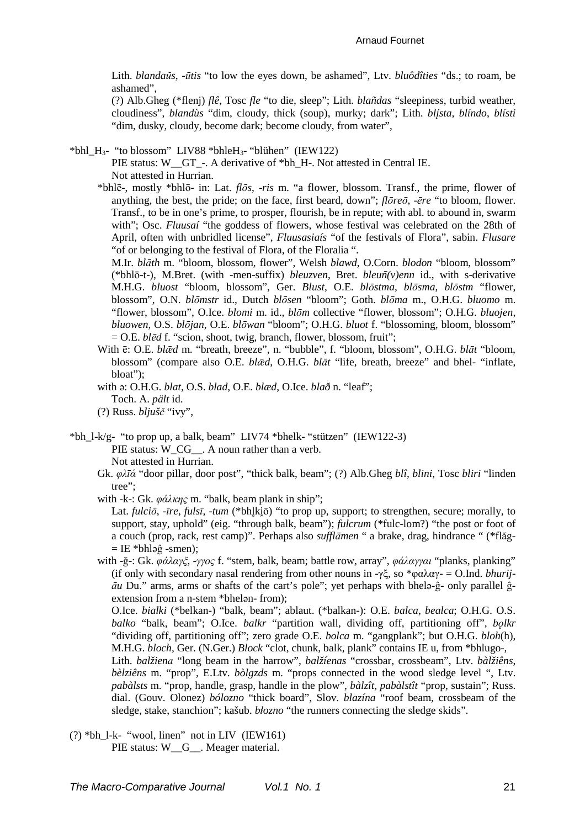Lith. blandaũs, -ūtis "to low the eyes down, be ashamed", Ltv. bluôdîties "ds.; to roam, be ashamed",

(?) Alb.Gheg (\*flenj) flê, Tosc fle "to die, sleep"; Lith. blañdas "sleepiness, turbid weather, cloudiness", *blandus* "dim. cloudy, thick (soup), murky: dark": Lith. *blista, blindo, blisti* "dim. dusky, cloudy, become dark; become cloudy, from water".

\*bhl  $H_3$ - "to blossom" LIV88 \*bhle $H_3$ - "blühen" (IEW122)

PIE status: W GT -. A derivative of \*bh H-. Not attested in Central IE. Not attested in Hurrian.

\*bhlē-, mostly \*bhlō- in: Lat. *flōs*, -ris m. "a flower, blossom. Transf., the prime, flower of anything, the best, the pride; on the face, first beard, down";  $f\bar{\theta}r\bar{e}\bar{\theta}$ , - $\bar{\theta}r\bar{e}$  "to bloom, flower. Transf., to be in one's prime, to prosper, flourish, be in repute; with abl. to abound in, swarm with"; Osc. Fluusaí "the goddess of flowers, whose festival was celebrated on the 28th of April, often with unbridled license", Fluusasiais "of the festivals of Flora", sabin. Flusare "of or belonging to the festival of Flora, of the Floralia".

M.Ir. blāth m. "bloom, blossom, flower", Welsh blawd, O.Corn. blodon "bloom, blossom" (\*bhlō-t-), M.Bret. (with -men-suffix) bleuzven, Bret. bleun(v)enn id., with s-derivative M.H.G. bluost "bloom, blossom", Ger. Blust, O.E. blostma, blosma, blostm "flower, blossom", O.N. blomstr id., Dutch blosen "bloom"; Goth. bloma m., O.H.G. bluomo m. "flower, blossom", O.Ice. blomi m. id., blom collective "flower, blossom"; O.H.G. bluojen, bluowen, O.S. blōjan, O.E. blōwan "bloom"; O.H.G. bluot f. "blossoming, bloom, blossom"  $=$  O.E. *bled* f. "scion, shoot, twig, branch, flower, blossom, fruit";

- With  $\bar{e}$ : O.E. *bl* $\bar{e}d$  m. "breath, breeze", n. "bubble", f. "bloom, blossom", O.H.G. *blāt* "bloom, blossom" (compare also O.E. blæd, O.H.G. blat "life, breath, breeze" and bhel- "inflate, bloat":
- with a: O.H.G. blat, O.S. blad, O.E. blæd, O.Ice. blað n. "leaf"; Toch. A. pält id.
- $(?)$  Russ.  $bliušč$  "ivy",

\*bh\_l-k/g- "to prop up, a balk, beam" LIV74 \*bhelk- "stützen" (IEW122-3) PIE status: W CG . A noun rather than a verb. Not attested in Hurrian.

Gk.  $\varphi\lambda\bar{\iota}\varphi$  "door pillar, door post", "thick balk, beam"; (?) Alb.Gheg blî, blini, Tosc bliri "linden tree";

with -k-: Gk.  $\varphi \acute{\alpha} \lambda \kappa \eta \varsigma$  m. "balk, beam plank in ship";

Lat. fulcio, -ire, fulsi, -tum (\*bhlkiō) "to prop up, support; to strengthen, secure; morally, to support, stay, uphold" (eig. "through balk, beam"); *fulcrum* (\*fulc-lom?) "the post or foot of a couch (prop, rack, rest camp)". Perhaps also sufflamen " a brake, drag, hindrance " (\*flăg- $=$  IE \*bhlə $\hat{g}$  -smen);

with -ğ-: Gk. φάλαγξ, -γγος f. "stem, balk, beam; battle row, array", φάλαγγαι "planks, planking" (if only with secondary nasal rendering from other nouns in  $-\gamma \xi$ , so  $*\varphi \alpha \lambda \alpha \gamma = O$ .Ind. *bhurij*- $\bar{a}u$  Du." arms, arms or shafts of the cart's pole"; yet perhaps with bhela- $\hat{g}$ - only parallel  $\hat{g}$ extension from a n-stem \*bhelan-from):

O.Ice. bialki (\*belkan-) "balk, beam"; ablaut. (\*balkan-): O.E. balca, bealca; O.H.G. O.S. balko "balk, beam"; O.Ice. balkr "partition wall, dividing off, partitioning off", bolkr "dividing off, partitioning off"; zero grade O.E. bolca m. "gangplank"; but O.H.G. bloh(h), M.H.G. bloch, Ger. (N.Ger.) Block "clot, chunk, balk, plank" contains IE u, from \*bhlugo-,

Lith. balžiena "long beam in the harrow", balžíenas "crossbar, crossbeam", Ltv. bàlžiêns, bèlziêns m. "prop", E.Ltv. bòlgzds m. "props connected in the wood sledge level ", Ltv. pabàlsts m. "prop, handle, grasp, handle in the plow", bàlzît, pabàlstît "prop, sustain"; Russ. dial. (Gouv. Olonez) *bólozno* "thick board". Slov. *blazína* "roof beam, crossbeam of the sledge, stake, stanchion"; kašub. błozno "the runners connecting the sledge skids".

 $(?) *bh_l-k-$  "wool, linen" not in LIV (IEW161) PIE status: W\_G\_. Meager material.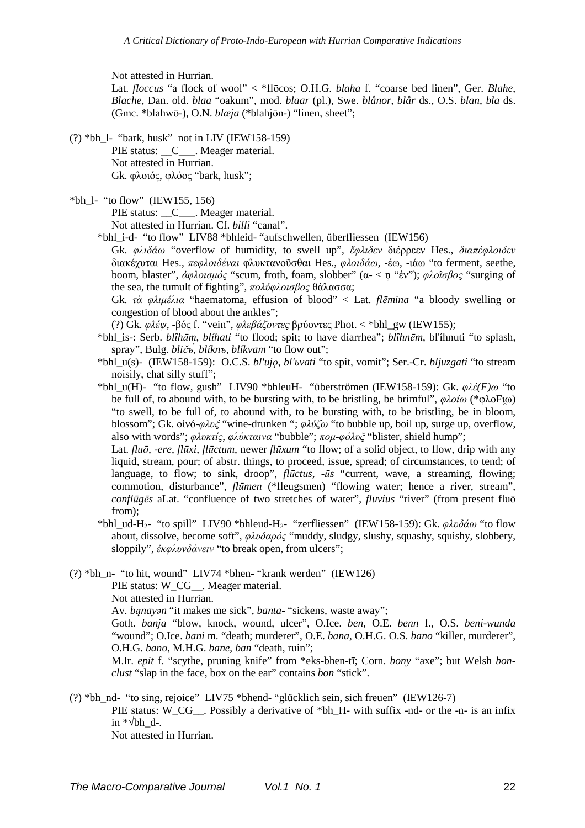Not attested in Hurrian.

Lat. *floccus* "a flock of wool" < \*flōcos; O.H.G. *blaha* f. "coarse bed linen", Ger. *Blahe*, *Blache*, Dan. old. *blaa* "oakum", mod. *blaar* (pl.), Swe. *blånor*, *blår* ds., O.S. *blan*, *bla* ds. (Gmc. \*blahwō-), O.N. *blæja* (\*blahjōn-) "linen, sheet";

(?) \*bh\_l- "bark, husk" not in LIV (IEW158-159) PIE status: C\_\_\_. Meager material. Not attested in Hurrian. Gk. φλοιός, φλόος "bark, husk";

 $*bh$  1- "to flow" (IEW155, 156)

PIE status: C . Meager material. Not attested in Hurrian. Cf. *billi* "canal".

\*bhl\_i-d- "to flow" LIV88 \*bhleid- "aufschwellen, überfliessen (IEW156)

Gk. *φλιδάω* "overflow of humidity, to swell up", *ἔφλιδεν* διέρρεεν Hes., *διαπέφλοιδεν* διακέχυται Hes., *πεφλοιδέναι* φλυκτανοῦσθαι Hes., *φλοιδάω*, -έω, -ιάω "to ferment, seethe, boom, blaster", *ἀφλοισµός* "scum, froth, foam, slobber" (α- < n̥ "ἐν"); *φλοῖσβος* "surging of the sea, the tumult of fighting", *πολύφλοισβος* θάλασσα;

Gk. *τὰ φλιµέλια* "haematoma, effusion of blood" < Lat. *flēmina* "a bloody swelling or congestion of blood about the ankles";

(?) Gk. *φλέψ*, -βός f. "vein", *φλεβάζοντες* βρύοντες Phot. < \*bhl\_gw (IEW155);

- \*bhl\_is-: Serb. *blîhām*, *blíhati* "to flood; spit; to have diarrhea"; *blîhnēm*, bl'íhnuti "to splash, spray", Bulg. *bličъ́*, *blíknъ*, *blíkvam* "to flow out";
- \*bhl\_u(s)- (IEW158-159): O.C.S. *bl'ujǫ*, *bl'ьvati* "to spit, vomit"; Ser.-Cr. *bljuzgati* "to stream noisily, chat silly stuff";
- \*bhl\_u(H)- "to flow, gush" LIV90 \*bhleuH- "überströmen (IEW158-159): Gk. *φλέ(F)ω* "to be full of, to abound with, to be bursting with, to be bristling, be brimful", *φλοίω* (\*φλοFι̯ω) "to swell, to be full of, to abound with, to be bursting with, to be bristling, be in bloom, blossom"; Gk. οἰνό-*φλυξ* "wine-drunken "; *φλύζω* "to bubble up, boil up, surge up, overflow, also with words"; *φλυκτίς*, *φλύκταινα* "bubble"; *ποµ*-*φόλυξ* "blister, shield hump";

Lat. *fluō*, -*ere*, *flūxi*, *flūctum*, newer *flūxum* "to flow; of a solid object, to flow, drip with any liquid, stream, pour; of abstr. things, to proceed, issue, spread; of circumstances, to tend; of language, to flow; to sink, droop", *flūctus*, -*ūs* "current, wave, a streaming, flowing; commotion, disturbance", *flūmen* (\*fleugsmen) "flowing water; hence a river, stream", *conflūgēs* aLat. "confluence of two stretches of water", *fluvius* "river" (from present fluō from);

\*bhl\_ud-H2- "to spill" LIV90 \*bhleud-H2- "zerfliessen" (IEW158-159): Gk. *φλυδάω* "to flow about, dissolve, become soft", *φλυδαρός* "muddy, sludgy, slushy, squashy, squishy, slobbery, sloppily", *ἐκφλυνδάνειν* "to break open, from ulcers";

(?) \*bh\_n- "to hit, wound" LIV74 \*bhen- "krank werden" (IEW126)

PIE status: W\_CG\_\_. Meager material.

Not attested in Hurrian.

Av. *bąnayǝn* "it makes me sick", *banta*- "sickens, waste away";

Goth. *banja* "blow, knock, wound, ulcer", O.Ice. *ben*, O.E. *benn* f., O.S. *beni*-*wunda* "wound"; O.Ice. *bani* m. "death; murderer", O.E. *bana*, O.H.G. O.S. *bano* "killer, murderer", O.H.G. *bano*, M.H.G. *bane*, *ban* "death, ruin";

M.Ir. *epit* f. "scythe, pruning knife" from \*eks-bhen-tī; Corn. *bony* "axe"; but Welsh *bonclust* "slap in the face, box on the ear" contains *bon* "stick".

(?) \*bh\_nd- "to sing, rejoice" LIV75 \*bhend- "glücklich sein, sich freuen" (IEW126-7) PIE status: W\_CG\_\_. Possibly a derivative of \*bh\_H- with suffix -nd- or the -n- is an infix in  $*\sqrt{bh}$  d-. Not attested in Hurrian.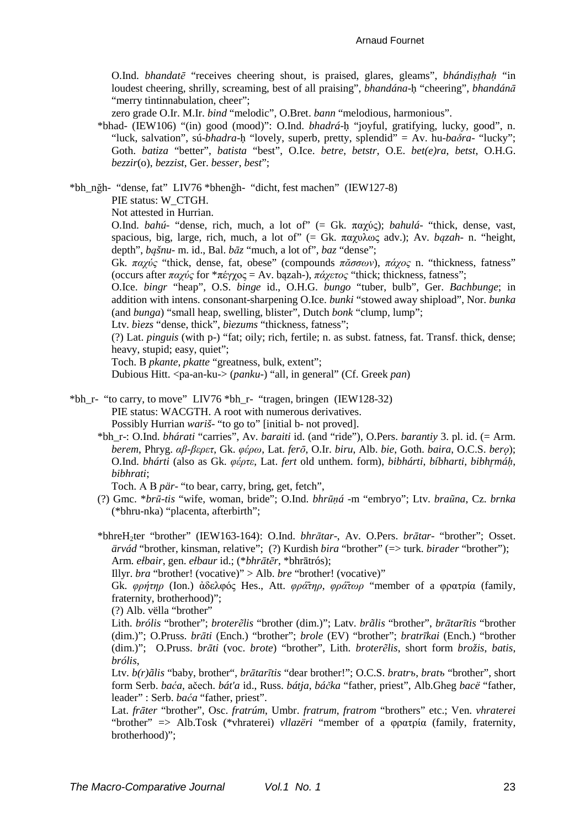#### Arnaud Fournet

O.Ind. *bhandatē* "receives cheering shout, is praised, glares, gleams", *bhándiṣṭhaḥ* "in loudest cheering, shrilly, screaming, best of all praising", *bhandána*-ḥ "cheering", *bhandánā* "merry tintinnabulation, cheer";

zero grade O.Ir. M.Ir. *bind* "melodic", O.Bret. *bann* "melodious, harmonious".

\*bhad- (IEW106) "(in) good (mood)": O.Ind. *bhadrá*-ḥ "joyful, gratifying, lucky, good", n. "luck, salvation", sú-*bhadra*-ḥ "lovely, superb, pretty, splendid" = Av. hu-*baδra*- "lucky"; Goth. *batiza* "better", *batista* "best", O.Ice. *betre*, *betstr*, O.E. *bet(e)ra*, *betst*, O.H.G. *bezzir*(o), *bezzist*, Ger. *besser*, *best*";

\*bh\_nğh- "dense, fat" LIV76 \*bhenğh- "dicht, fest machen" (IEW127-8)

PIE status: W\_CTGH.

Not attested in Hurrian.

O.Ind. *bahú*- "dense, rich, much, a lot of" (= Gk. παχύς); *bahulá*- "thick, dense, vast, spacious, big, large, rich, much, a lot of" (= Gk. παχυλως adv.); Av. *bązah*- n. "height, depth", *bąšnu*- m. id., Bal. *bāz* "much, a lot of", *baz* "dense";

Gk. *παχύς* "thick, dense, fat, obese" (compounds *πᾰσσων*), *πάχος* n. "thickness, fatness" (occurs after *παχύς* for \*πέγχος = Av. bązah-), *πάχετος* "thick; thickness, fatness";

O.Ice. *bingr* "heap", O.S. *binge* id., O.H.G. *bungo* "tuber, bulb", Ger. *Bachbunge*; in addition with intens. consonant-sharpening O.Ice. *bunki* "stowed away shipload", Nor. *bunka* (and *bunga*) "small heap, swelling, blister", Dutch *bonk* "clump, lump";

Ltv. *bìezs* "dense, thick", *bìezums* "thickness, fatness";

(?) Lat. *pinguis* (with p-) "fat; oily; rich, fertile; n. as subst. fatness, fat. Transf. thick, dense; heavy, stupid; easy, quiet";

Toch. В *pkante*, *pkatte* "greatness, bulk, extent";

Dubious Hitt. <pa-an-ku-> (*panku*-) "all, in general" (Cf. Greek *pan*)

- \*bh\_r- "to carry, to move" LIV76 \*bh\_r- "tragen, bringen (IEW128-32) PIE status: WACGTH. A root with numerous derivatives. Possibly Hurrian *wariš*- "to go to" [initial b- not proved].
	- \*bh\_r-: O.Ind. *bhárati* "carries", Av. *baraiti* id. (and "ride"), O.Pers. *barantiy* 3. pl. id. (= Arm. *berem*, Phryg. *αβ-βερετ*, Gk. *φέρω*, Lat. *ferō*, O.Ir. *biru*, Alb. *bie*, Goth. *baira*, O.C.S. *berǫ*); O.Ind. *bhárti* (also as Gk. *φέρτε*, Lat. *fert* old unthem. form), *bibhárti*, *bíbharti*, *bibhr̥máḥ*, *bibhrati*;

Toch. А В *pär*- "to bear, carry, bring, get, fetch",

(?) Gmc. \**brū-tis* "wife, woman, bride"; O.Ind. *bhrūṇá* -m "embryo"; Ltv. *braũna*, Cz. *brnka* (\*bhru-nka) "placenta, afterbirth";

\*bhreH2ter "brother" (IEW163-164): O.Ind. *bhrātar*-, Av. O.Pers. *brātar*- "brother"; Osset. *ärvád* "brother, kinsman, relative"; (?) Kurdish *bira* "brother" (=> turk. *birader* "brother"); Arm. *eɫbair*, gen. *eɫbaur* id.; (\**bhrātēr*, \*bhrātrós);

Illyr. *bra* "brother! (vocative)" > Alb. *bre* "brother! (vocative)"

Gk. *φρήτηρ* (Ion.) ἀδελφός Hes., Att. *φρά̄τηρ*, *φρά̄τωρ* "member of a φρατρία (family, fraternity, brotherhood)";

(?) Alb. vëlla "brother"

Lith. *brólis* "brother"; *broterẽlis* "brother (dim.)"; Latv. *brãlis* "brother", *brātarītis* "brother (dim.)"; O.Pruss. *brāti* (Ench.) "brother"; *brole* (EV) "brother"; *bratrīkai* (Ench.) "brother (dim.)"; O.Pruss. *brāti* (voc. *brote*) "brother", Lith. *broterẽlis*, short form *brožis*, *batis*, *brólis*,

Ltv. *b(r)ãlis* "baby, brother", *brātarītis* "dear brother!"; O.C.S. *bratrъ*, *bratъ* "brother", short form Serb. *baća*, аčеch. *bát'a* id., Russ. *bátja*, *báčka* "father, priest", Alb.Gheg *bacë* "father, leader" : Serb. *baća* "father, priest".

Lat. *frāter* "brother", Osc. *fratrúm*, Umbr. *fratrum*, *fratrom* "brothers" etc.; Ven. *vhraterei* "brother" => Alb.Tosk (\*vhraterei) *vllazëri* "member of a φρατρία (family, fraternity, brotherhood)";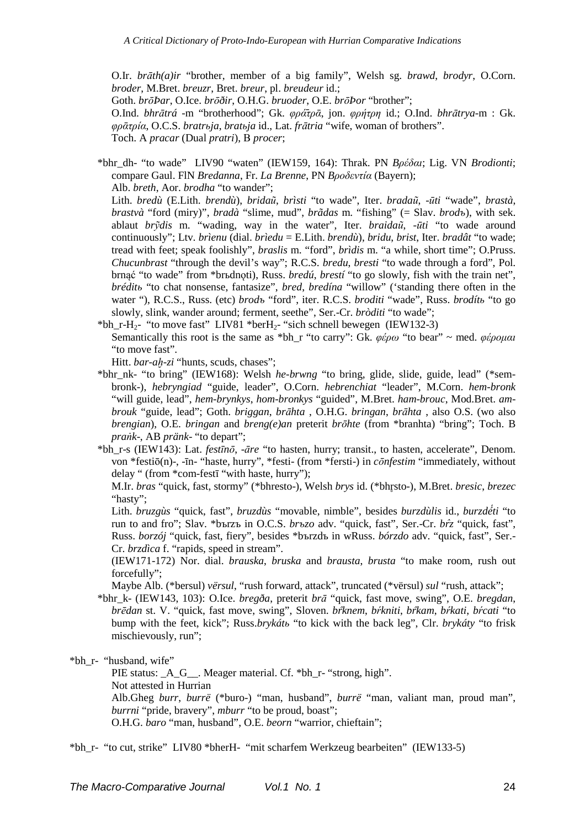O.Ir. *brāth(a)ir* "brother, member of a big family", Welsh sg. *brawd*, *brodyr*, O.Corn. *broder*, M.Bret. *breuzr*, Bret. *breur*, pl. *breudeur* id.;

Goth. *brōÞar*, O.Ice. *brōðir*, O.H.G. *bruoder*, O.E. *brōÞor* "brother";

O.Ind. *bhrātrá* -m "brotherhood"; Gk. *φρά̄τρᾱ*, jon. *φρήτρη* id.; O.Ind. *bhrātrya*-m : Gk. *φρᾱτρία*, O.C.S. *bratrьja*, *bratьja* id., Lat. *frātria* "wife, woman of brothers".

Toch. A *pracar* (Dual *pratri*), В *procer*;

\*bhr\_dh- "to wade" LIV90 "waten" (IEW159, 164): Thrak. PN *Bρέδαι*; Lig. VN *Brodionti*; compare Gaul. FlN *Bredanna*, Fr. *La Brenne*, PN *Bροδεντία* (Bayern);

Alb. *breth*, Aor. *brodha* "to wander";

Lith. *bredù* (E.Lith. *brendù*), *bridaũ*, *brìsti* "to wade", Iter. *bradaũ*, -*ūti* "wade", *brastà*, *brastvà* "ford (miry)", *bradà* "slime, mud", *brãdas* m. "fishing" (= Slav. *brodъ*), with sek. ablaut *brỹdis* m. "wading, way in the water", Iter. *braidaũ*, -*ūti* "to wade around continuously"; Ltv. *brìenu* (dial. *brìedu* = E.Lith. *brendù*), *bridu*, *brist*, Iter. *bradât* "to wade; tread with feet; speak foolishly", *braslis* m. "ford", *brìdis* m. "a while, short time"; O.Pruss. *Chucunbrast* "through the devil's way"; R.C.S. *bredu*, *bresti* "to wade through a ford", Pol. brnąć "to wade" from \*brьdnoti), Russ. *bredú*, *brestí* "to go slowly, fish with the train net", *bréditь* "to chat nonsense, fantasize", *bred*, *bredína* "willow" ('standing there often in the water "), R.C.S., Russ. (etc) *brodъ* "ford", iter. R.C.S. *broditi* "wade", Russ. *brodítь* "to go slowly, slink, wander around; ferment, seethe", Ser.-Cr. *bròditi* "to wade";

\*bh\_r-H<sub>2</sub>- "to move fast" LIV81 \*berH<sub>2</sub>- "sich schnell bewegen (IEW132-3) Semantically this root is the same as \*bh\_r "to carry": Gk. *φέρω* "to bear" ~ med. *φέροµαι* "to move fast".

Hitt. *bar-ah-zi* "hunts, scuds, chases";

\*bhr\_nk- "to bring" (IEW168): Welsh *he-brwng* "to bring, glide, slide, guide, lead" (\*sembronk-), *hebryngiad* "guide, leader", O.Corn. *hebrenchiat* "leader", M.Corn. *hem-bronk* "will guide, lead", *hem-brynkys*, *hom-bronkys* "guided", M.Bret. *ham*-*brouc*, Mod.Bret. *ambrouk* "guide, lead"; Goth. *briggan*, *brāhta* , O.H.G. *bringan*, *brāhta* , also O.S. (wo also *brengian*), O.E. *bringan* and *breng(e)an* preterit *brōhte* (from \*branhta) "bring"; Toch. B *praṅk*-, AB *pränk*- "to depart";

\*bh\_r-s (IEW143): Lat. *festīnō*, -*āre* "to hasten, hurry; transit., to hasten, accelerate", Denom. von \*festiō(n)-, -īn- "haste, hurry", \*festi- (from \*fersti-) in *cōnfestim* "immediately, without delay " (from \*com-festī "with haste, hurry");

M.Ir. *bras* "quick, fast, stormy" (\*bhresto-), Welsh *brys* id. (\*bhr̥sto-), M.Bret. *bresic*, *brezec* "hasty";

Lith. *bruzgùs* "quick, fast", *bruzdùs* "movable, nimble", besides *burzdùlis* id., *burzdé́ti* "to run to and fro"; Slav. \*bъrzъ in O.C.S. *brъzo* adv. "quick, fast", Ser.-Cr. *br̂z* "quick, fast", Russ. *borzój* "quick, fast, fiery", besides \*bъrzdъ in wRuss. *bórzdo* adv. "quick, fast", Ser.- Cr. *brzdìca* f. "rapids, speed in stream".

(IEW171-172) Nor. dial. *brauska*, *bruska* and *brausta*, *brusta* "to make room, rush out forcefully";

Maybe Alb. (\*bersul) *vërsul*, "rush forward, attack", truncated (\*vërsul) *sul* "rush, attack";

\*bhr\_k- (IEW143, 103): O.Ice. *bregða*, preterit *brā* "quick, fast move, swing", O.E. *bregdan*, *brēdan* st. V. "quick, fast move, swing", Sloven. *br̂knem*, *bŕkniti*, *br̂kam*, *bŕkati*, *bŕcati* "to bump with the feet, kick"; Russ.*brykátь* "to kick with the back leg", Clr. *brykáty* "to frisk mischievously, run";

\*bh\_r- "husband, wife"

PIE status: A G . Meager material. Cf. \*bh\_r- "strong, high". Not attested in Hurrian Alb.Gheg *burr*, *burrë* (\*buro-) "man, husband", *burrë* "man, valiant man, proud man", *burrni* "pride, bravery", *mburr* "to be proud, boast"; O.H.G. *baro* "man, husband", O.E. *beorn* "warrior, chieftain";

\*bh\_r- "to cut, strike" LIV80 \*bherH- "mit scharfem Werkzeug bearbeiten" (IEW133-5)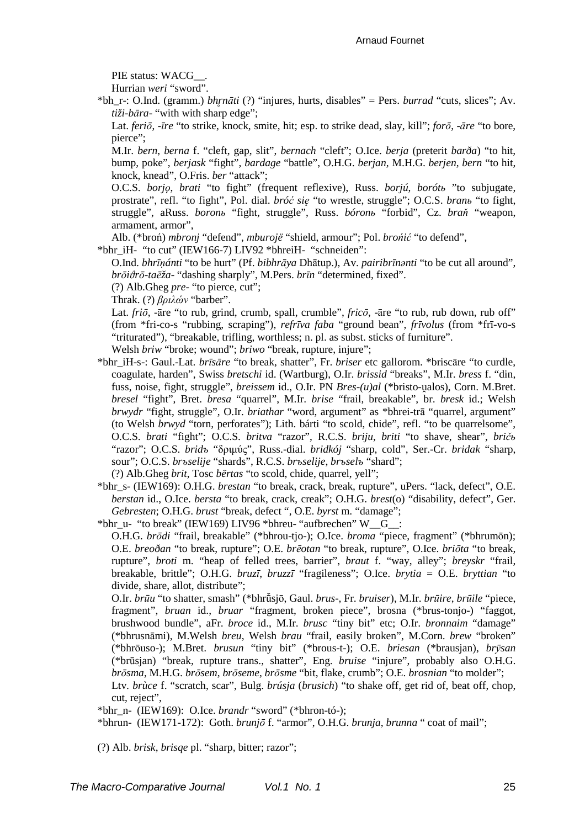PIE status: WACG\_\_.

Hurrian *weri* "sword".

- \*bh\_r-: O.Ind. (gramm.) *bhr̥nāti* (?) "injures, hurts, disables" = Pers. *burrad* "cuts, slices"; Av. *tiži-bāra*- "with with sharp edge";
	- Lat. *feriō*, -*īre* "to strike, knock, smite, hit; esp. to strike dead, slay, kill"; *forō*, -*āre* "to bore, pierce";
	- M.Ir. *bern*, *berna* f. "cleft, gap, slit", *bernach* "cleft"; O.Ice. *berja* (preterit *barða*) "to hit, bump, poke", *berjask* "fight", *bardage* "battle", O.H.G. *berjan*, M.H.G. *berjen*, *bern* "to hit, knock, knead", O.Fris. *ber* "attack";
	- O.C.S. *borjǫ*, *brati* "to fight" (frequent reflexive), Russ. *borjú*, *borótь* "to subjugate, prostrate", refl. "to fight", Pol. dial. *bróć się* "to wrestle, struggle"; O.C.S. *branь* "to fight, struggle", aRuss. *boronь* "fight, struggle", Russ. *bóronь* "forbid", Cz. *braň* "weapon, armament, armor",

Alb. (\*broń) *mbronj* "defend", *mburojë* "shield, armour"; Pol. *brońić* "to defend",

\*bhr\_iH- "to cut" (IEW166-7) LIV92 \*bhreiH- "schneiden":

- O.Ind. *bhrīṇánti* "to be hurt" (Pf. *bibhrāya* Dhātup.), Av. *pairibrīnǝnti* "to be cut all around", *brōiϑrō-taēža*- "dashing sharply", M.Pers. *brīn* "determined, fixed".
- (?) Alb.Gheg *pre* "to pierce, cut";
- Thrak. (?) *βριλών* "barber".
- Lat. *friō*, -āre "to rub, grind, crumb, spall, crumble", *fricō*, -āre "to rub, rub down, rub off" (from \*fri-co-s "rubbing, scraping"), *refrīva faba* "ground bean", *frīvolus* (from \*frī-vo-s "triturated"), "breakable, trifling, worthless; n. pl. as subst. sticks of furniture".

Welsh *briw* "broke; wound"; *briwo* "break, rupture, injure";

- \*bhr\_iH-s-: Gaul.-Lat. *brīsāre* "to break, shatter", Fr. *briser* etc gallorom. \*briscāre "to curdle, coagulate, harden", Swiss *bretschi* id. (Wartburg), O.Ir. *brissid* "breaks", M.Ir. *bress* f. "din, fuss, noise, fight, struggle", *breissem* id., O.Ir. PN *Bres-(u)al* (\*bristo-u̯alos), Corn. M.Bret. *bresel* "fight", Bret. *bresa* "quarrel", M.Ir. *brise* "frail, breakable", br. *bresk* id.; Welsh *brwydr* "fight, struggle", O.Ir. *briathar* "word, argument" as \*bhrei-trā "quarrel, argument" (to Welsh *brwyd* "torn, perforates"); Lith. bárti "to scold, chide", refl. "to be quarrelsome", O.C.S. *brati* "fight"; O.C.S. *britva* "razor", R.C.S. *briju*, *briti* "to shave, shear", *bričь* "razor"; O.C.S. *bridъ* "δριµύς", Russ.-dial. *bridkój* "sharp, cold", Ser.-Cr. *bridak* "sharp, sour"; O.C.S. *brъselije* "shards", R.C.S. *brъselije*, *brъselъ* "shard"; (?) Alb.Gheg *brit*, Tosc *bërtas* "to scold, chide, quarrel, yell";
	-
- \*bhr\_s- (IEW169): O.H.G. *brestan* "to break, crack, break, rupture", uPers. "lack, defect", O.E. *berstan* id., O.Ice. *bersta* "to break, crack, creak"; O.H.G. *brest*(o) "disability, defect", Ger. *Gebresten*; O.H.G. *brust* "break, defect ", O.E. *byrst* m. "damage";
- \*bhr\_u- "to break" (IEW169) LIV96 \*bhreu- "aufbrechen" W\_G\_:

O.H.G. *brōdi* "frail, breakable" (\*bhrou-tjo-); O.Ice. *broma* "piece, fragment" (\*bhrumōn); O.E. *breoðan* "to break, rupture"; O.E. *brēotan* "to break, rupture", O.Ice. *briōta* "to break, rupture", *broti* m. "heap of felled trees, barrier", *braut* f. "way, alley"; *breyskr* "frail, breakable, brittle"; O.H.G. *bruzī*, *bruzzī* "fragileness"; O.Ice. *brytia* = O.E. *bryttian* "to divide, share, allot, distribute";

O.Ir. *brūu* "to shatter, smash" (\*bhrū̆sjō, Gaul. *brus*-, Fr. *bruiser*), M.Ir. *brūire*, *brūile* "piece, fragment", *bruan* id., *bruar* "fragment, broken piece", brosna (\*brus-tonjo-) "faggot, brushwood bundle", aFr. *broce* id., M.Ir. *brusc* "tiny bit" etc; O.Ir. *bronnaim* "damage" (\*bhrusnāmi), M.Welsh *breu*, Welsh *brau* "frail, easily broken", M.Corn. *brew* "broken" (\*bhrōuso-); M.Bret. *brusun* "tiny bit" (\*brous-t-); O.E. *briesan* (\*brausjan), *brȳsan* (\*brūsjan) "break, rupture trans., shatter", Eng. *bruise* "injure", probably also O.H.G. *brōsma*, M.H.G. *brōsem*, *brōseme*, *brōsme* "bit, flake, crumb"; O.E. *brosnian* "to molder"; Ltv. *brùce* f. "scratch, scar", Bulg. *brúsja* (*brusich*) "to shake off, get rid of, beat off, chop,

\*bhrun- (IEW171-172): Goth. *brunjō* f. "armor", O.H.G. *brunja*, *brunna* " coat of mail";

(?) Alb. *brisk*, *brisqe* pl. "sharp, bitter; razor";

cut, reject",

<sup>\*</sup>bhr\_n- (IEW169): O.Ice. *brandr* "sword" (\*bhron-tó-);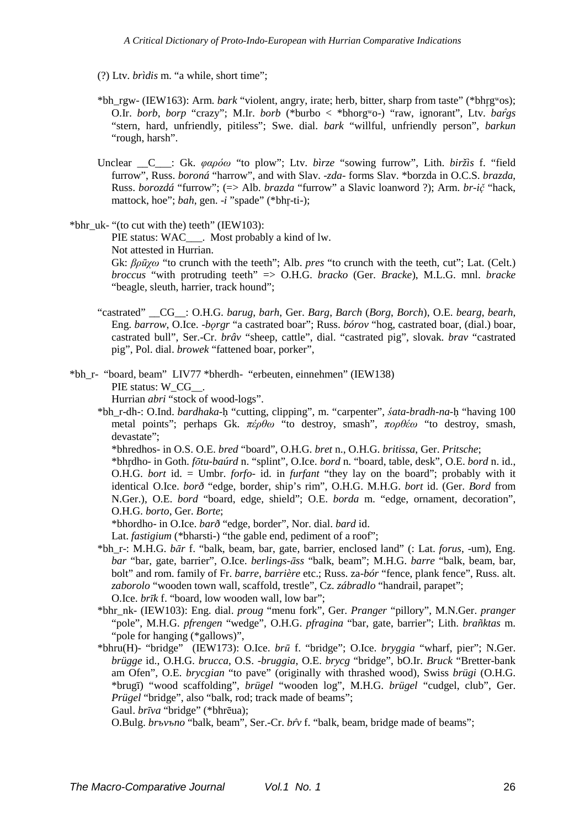(?) Ltv. *brìdis* m. "a while, short time";

- \*bh\_rgw- (IEW163): Arm. *bark* "violent, angry, irate; herb, bitter, sharp from taste" (\*bhr̥gʷos); O.Ir. *borb*, *borp* "crazy"; M.Ir. *borb* (\*burbo < \*bhorgʷo-) "raw, ignorant", Ltv. *bar̂gs* "stern, hard, unfriendly, pitiless"; Swe. dial. *bark* "willful, unfriendly person", *barkun* "rough, harsh".
- Unclear \_\_C\_\_\_: Gk. *φαρόω* "to plow"; Ltv. *bìrze* "sowing furrow", Lith. *biržìs* f. "field furrow", Russ. *boroná* "harrow", and with Slav. -*zda*- forms Slav. \*borzda in O.C.S. *brazda*, Russ. *borozdá* "furrow"; (=> Alb. *brazda* "furrow" a Slavic loanword ?); Arm. *br-ič* "hack, *̣* mattock, hoe"; *bah*, gen. -*i* "spade" (\*bhr-ti-);

\*bhr\_uk- "(to cut with the) teeth" (IEW103):

PIE status: WAC\_\_\_. Most probably a kind of lw. Not attested in Hurrian.

Gk: *βρūχω* "to crunch with the teeth"; Alb. *pres* "to crunch with the teeth, cut"; Lat. (Celt.) *broccus* "with protruding teeth" => O.H.G. *bracko* (Ger. *Bracke*), M.L.G. mnl. *bracke* "beagle, sleuth, harrier, track hound";

"castrated" \_\_CG\_\_: O.H.G. *barug*, *barh*, Ger. *Barg*, *Barch* (*Borg*, *Borch*), O.E. *bearg*, *bearh*, Eng. *barrow*, O.Ice. *-borgr* "a castrated boar"; Russ. *bórov* "hog, castrated boar, (dial.) boar, castrated bull", Ser.-Cr. *brâv* "sheep, cattle", dial. "castrated pig", slovak. *brav* "castrated pig", Pol. dial. *browek* "fattened boar, porker",

\*bh\_r- "board, beam" LIV77 \*bherdh- "erbeuten, einnehmen" (IEW138) PIE status: W\_CG\_\_.

Hurrian *abri* "stock of wood-logs".

\*bh\_r-dh-: O.Ind. *bardhaka*-ḥ "cutting, clipping", m. "carpenter", *śata-bradh-na*-ḥ "having 100 metal points"; perhaps Gk. *πέρθω* "to destroy, smash", *πορθέω* "to destroy, smash, devastate";

\*bhredhos- in O.S. O.E. *bred* "board", O.H.G. *bret* n., O.H.G. *britissa*, Ger. *Pritsche*;

\*bhr̥dho- in Goth. *fōtu-baúrd* n. "splint", O.Ice. *bord* n. "board, table, desk", O.E. *bord* n. id., O.H.G. *bort* id. = Umbr. *forfo*- id. in *furfant* "they lay on the board"; probably with it identical O.Ice. *borð* "edge, border, ship's rim", O.H.G. M.H.G. *bort* id. (Ger. *Bord* from N.Ger.), O.E. *bord* "board, edge, shield"; O.E. *borda* m. "edge, ornament, decoration", O.H.G. *borto*, Ger. *Borte*;

\*bhordho- in O.Ice. *barð* "edge, border", Nor. dial. *bard* id.

Lat. *fastigium* (\*bharsti-) "the gable end, pediment of a roof";

- \*bh\_r-: M.H.G. *bār* f. "balk, beam, bar, gate, barrier, enclosed land" (: Lat. *forus*, -um), Eng. *bar* "bar, gate, barrier", O.Ice. *berlings-āss* "balk, beam"; M.H.G. *barre* "balk, beam, bar, bolt" and rom. family of Fr. *barre*, *barrière* etc.; Russ. za-*bór* "fence, plank fence", Russ. alt. *zaborolo* "wooden town wall, scaffold, trestle", Cz. *zábradlo* "handrail, parapet"; O.Ice. *brīk* f. "board, low wooden wall, low bar";
- \*bhr\_nk- (IEW103): Eng. dial. *proug* "menu fork", Ger. *Pranger* "pillory", M.N.Ger. *pranger* "pole", M.H.G. *pfrengen* "wedge", O.H.G. *pfragina* "bar, gate, barrier"; Lith. *brañktas* m. "pole for hanging (\*gallows)",
- \*bhru(H)- "bridge" (IEW173): O.Ice. *brū* f. "bridge"; O.Ice. *bryggia* "wharf, pier"; N.Ger. *brügge* id., O.H.G. *brucca*, O.S. -*bruggia*, O.E. *brycg* "bridge", bO.Ir. *Bruck* "Bretter-bank am Ofen", O.E. *brycgian* "to pave" (originally with thrashed wood), Swiss *brügi* (O.H.G. \*brugī) "wood scaffolding", *brügel* "wooden log", M.H.G. *brügel* "cudgel, club", Ger. *Prügel* "bridge", also "balk, rod; track made of beams"; Gaul. *brīva* "bridge" (\*bhrēua);

O.Bulg. *brъvъno* "balk, beam", Ser.-Cr. *br̂v* f. "balk, beam, bridge made of beams";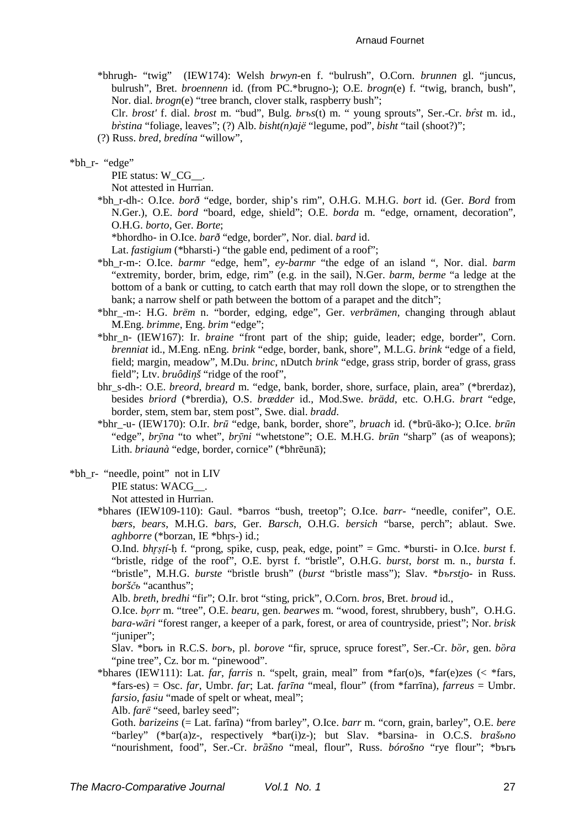#### Arnaud Fournet

\*bhrugh- "twig" (IEW174): Welsh *brwyn*-en f. "bulrush", O.Corn. *brunnen* gl. "juncus, bulrush", Bret. *broennenn* id. (from PC.\*brugno-); O.E. *brogn*(e) f. "twig, branch, bush", Nor. dial. *brogn*(e) "tree branch, clover stalk, raspberry bush";

Clr. *brost'* f. dial. *brost* m. "bud", Bulg. *brъs*(t) m. " young sprouts", Ser.-Cr. *br̂st* m. id., *br̀stina* "foliage, leaves"; (?) Alb. *bisht(n)ajë* "legume, pod", *bisht* "tail (shoot?)";

(?) Russ. *bred*, *bredína* "willow",

#### \*bh\_r- "edge"

PIE status: W\_CG\_ .

Not attested in Hurrian.

- \*bh\_r-dh-: O.Ice. *borð* "edge, border, ship's rim", O.H.G. M.H.G. *bort* id. (Ger. *Bord* from N.Ger.), O.E. *bord* "board, edge, shield"; O.E. *borda* m. "edge, ornament, decoration", O.H.G. *borto*, Ger. *Borte*;
	- \*bhordho- in O.Ice. *barð* "edge, border", Nor. dial. *bard* id.

Lat. *fastigium* (\*bharsti-) "the gable end, pediment of a roof";

- \*bh\_r-m-: O.Ice. *barmr* "edge, hem", *ey-barmr* "the edge of an island ", Nor. dial. *barm* "extremity, border, brim, edge, rim" (e.g. in the sail), N.Ger. *barm*, *berme* "a ledge at the bottom of a bank or cutting, to catch earth that may roll down the slope, or to strengthen the bank; a narrow shelf or path between the bottom of a parapet and the ditch";
- \*bhr\_-m-: H.G. *brëm* n. "border, edging, edge", Ger. *verbrämen*, changing through ablaut M.Eng. *brimme*, Eng. *brim* "edge";
- \*bhr\_n- (IEW167): Ir. *braine* "front part of the ship; guide, leader; edge, border", Corn. *brenniat* id., M.Eng. nEng. *brink* "edge, border, bank, shore", M.L.G. *brink* "edge of a field, field; margin, meadow", M.Du. *brinc*, nDutch *brink* "edge, grass strip, border of grass, grass field"; Ltv. *bruôdinš* "ridge of the roof",
- bhr\_s-dh-: O.E. *breord*, *breard* m. "edge, bank, border, shore, surface, plain, area" (\*brerdaz), besides *briord* (\*brerdia), O.S. *brædder* id., Mod.Swe. *brädd*, etc. O.H.G. *brart* "edge, border, stem, stem bar, stem post", Swe. dial. *bradd*.
- \*bhr\_-u- (IEW170): O.Ir. *brū* "edge, bank, border, shore", *bruach* id. (\*brū-āko-); O.Ice. *brūn* "edge", *brȳna* "to whet", *brȳni* "whetstone"; O.E. M.H.G. *brūn* "sharp" (as of weapons); Lith. *briaunà* "edge, border, cornice" (\*bhrēunā);
- \*bh\_r- "needle, point" not in LIV

PIE status: WACG\_ .

Not attested in Hurrian.

\*bhares (IEW109-110): Gaul. \*barros "bush, treetop"; O.Ice. *barr*- "needle, conifer", O.E. *bærs*, *bears*, M.H.G. *bars*, Ger. *Barsch*, O.H.G. *bersich* "barse, perch"; ablaut. Swe. *aghborre* (\*borzan, IE \*bhrs-) id.;

O.Ind. *bhr̥ṣṭí*-ḥ f. "prong, spike, cusp, peak, edge, point" = Gmc. \*bursti- in O.Ice. *burst* f. "bristle, ridge of the roof", O.E. byrst f. "bristle", O.H.G. *burst*, *borst* m. n., *bursta* f. "bristle", M.H.G. *burste* "bristle brush" (*burst* "bristle mass"); Slav. \**bъrsti̯*o- in Russ. *borščь* "acanthus";

Alb. *breth*, *bredhi* "fir"; O.Ir. brot "sting, prick", O.Corn. *bros*, Bret. *broud* id.,

O.Ice. *bǫrr* m. "tree", O.E. *bearu*, gen. *bearwes* m. "wood, forest, shrubbery, bush", O.H.G. *bara-wāri* "forest ranger, a keeper of a park, forest, or area of countryside, priest"; Nor. *brisk* "juniper";

Slav. \*borъ in R.C.S. *borъ*, pl. *borove* "fir, spruce, spruce forest", Ser.-Cr. *bȍr*, gen. *bȍra* "pine tree", Cz. bor m. "pinewood".

\*bhares (IEW111): Lat. *far*, *farris* n. "spelt, grain, meal" from \*far(o)s, \*far(e)zes (< \*fars, \*fars-es) = Osc. *far*, Umbr. *far*; Lat. *farīna* "meal, flour" (from \*farrīna), *farreus* = Umbr. *farsio*, *fasiu* "made of spelt or wheat, meal";

Alb. *farë* "seed, barley seed";

Goth. *barizeins* (= Lat. farīna) "from barley", O.Ice. *barr* m. "corn, grain, barley", O.E. *bere* "barley" (\*bar(a)z-, respectively \*bar(i)z-); but Slav. \*barsina- in O.C.S. *brašьno* "nourishment, food", Ser.-Cr. *brȁšno* "meal, flour", Russ. *bórošno* "rye flour"; \*bъrъ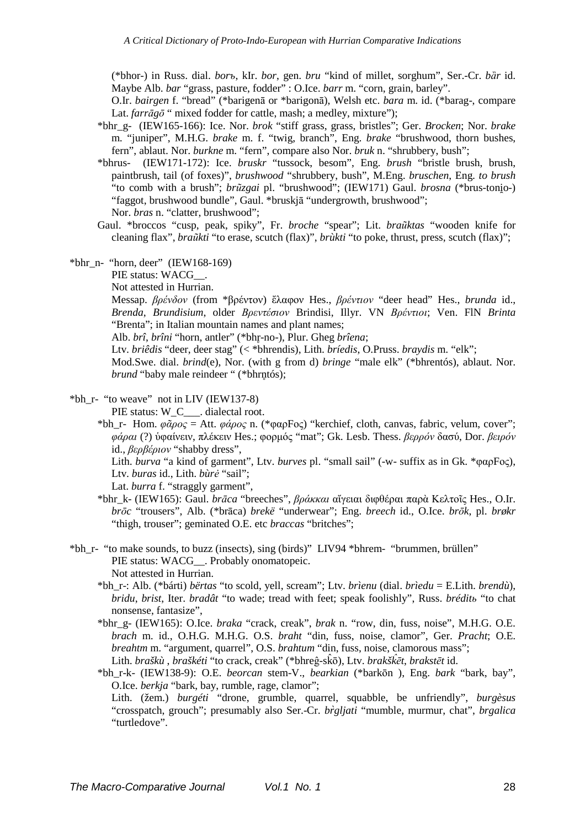(\*bhor-) in Russ. dial. *borъ*, kIr. *bor*, gen. *bru* "kind of millet, sorghum", Ser.-Cr. *bȁr* id. Maybe Alb. *bar* "grass, pasture, fodder" : O.Ice. *barr* m. "corn, grain, barley".

O.Ir. *bairgen* f. "bread" (\*barigenā or \*barigonā), Welsh etc. *bara* m. id. (\*barag-, compare Lat. *farrāg*<sup> $\bar{o}$ </sup> " mixed fodder for cattle, mash; a medley, mixture");

- \*bhr\_g- (IEW165-166): Ice. Nor. *brok* "stiff grass, grass, bristles"; Ger. *Brocken*; Nor. *brake* m. "juniper", M.H.G. *brake* m. f. "twig, branch", Eng. *brake* "brushwood, thorn bushes, fern", ablaut. Nor. *burkne* m. "fern", compare also Nor. *bruk* n. "shrubbery, bush";
- \*bhrus- (IEW171-172): Ice. *bruskr* "tussock, besom", Eng. *brush* "bristle brush, brush, paintbrush, tail (of foxes)", *brushwood* "shrubbery, bush", M.Eng. *bruschen*, Eng. *to brush* "to comb with a brush"; *brūzgai* pl. "brushwood"; (IEW171) Gaul. *brosna* (\*brus-tonio-) "faggot, brushwood bundle", Gaul. \*bruskjā "undergrowth, brushwood"; Nor. *bras* n. "clatter, brushwood";
- Gaul. \*broccos "cusp, peak, spiky", Fr. *broche* "spear"; Lit. *braũktas* "wooden knife for cleaning flax", *braũkti* "to erase, scutch (flax)", *brùkti* "to poke, thrust, press, scutch (flax)";
- \*bhr\_n- "horn, deer" (IEW168-169)

PIE status: WACG\_ .

Not attested in Hurrian.

Messap. *βρένδον* (from \*βρέντον) ἔλαφον Hes., *βρέντιον* "deer head" Hes., *brunda* id., *Brenda*, *Brundisium*, older *Βρεντέσιον* Brindisi, Illyr. VN *Βρέντιοι*; Ven. FlN *Brinta* "Brenta"; in Italian mountain names and plant names;

Alb. *brî*, *brîni* "horn, antler" (\*bhr̥-no-), Plur. Gheg *brîena*;

Ltv. *briêdis* "deer, deer stag" (< \*bhrendis), Lith. *bríedis*, O.Pruss. *braydis* m. "elk";

Mod.Swe. dial. *brind*(e), Nor. (with g from d) *bringe* "male elk" (\*bhrentós), ablaut. Nor. *brund* "baby male reindeer " (\*bhrntós);

\*bh\_r- "to weave" not in LIV (IEW137-8)

PIE status: W\_C\_\_\_\_. dialectal root.

\*bh\_r- Hom. *φᾶρος* = Att. *φάρος* n. (\*φαρFος) "kerchief, cloth, canvas, fabric, velum, cover"; *φάραι* (?) ὑφαίνειν, πλέκειν Hes.; φορµός "mat"; Gk. Lesb. Thess. *βερρόν* δασύ, Dor. *βειρόν* id., *βερβέριον* "shabby dress",

Lith. *burva* "a kind of garment", Ltv. *burves* pl. "small sail" (-w- suffix as in Gk. \*φαρFος), Ltv. *buras* id., Lith. *bùrė* "sail";

Lat. *burra* f. "straggly garment",

- \*bhr\_k- (IEW165): Gaul. *brāca* "breeches", *βράκκαι* αἴγειαι διφθέραι παρὰ Κελτοῖς Hes., O.Ir. *brōc* "trousers", Alb. (\*brāca) *brekë* "underwear"; Eng. *breech* id., O.Ice. *brōk*, pl. *brøkr* "thigh, trouser"; geminated O.E. etc *braccas* "britches";
- \*bh\_r- "to make sounds, to buzz (insects), sing (birds)" LIV94 \*bhrem- "brummen, brüllen" PIE status: WACG\_\_. Probably onomatopeic. Not attested in Hurrian.
	- \*bh\_r-: Alb. (\*bárti) *bërtas* "to scold, yell, scream"; Ltv. *brìenu* (dial. *brìedu* = E.Lith. *brendù*), *bridu*, *brist*, Iter. *bradât* "to wade; tread with feet; speak foolishly", Russ. *bréditь* "to chat nonsense, fantasize",

\*bhr\_g- (IEW165): O.Ice. *braka* "crack, creak", *brak* n. "row, din, fuss, noise", M.H.G. O.E. *brach* m. id., O.H.G. M.H.G. O.S. *braht* "din, fuss, noise, clamor", Ger. *Pracht*; O.E. *breahtm* m. "argument, quarrel", O.S. *brahtum* "din, fuss, noise, clamorous mass"; Lith. *braškù* , *braškéti* "to crack, creak" (\*bhreĝ-sk̂ō), Ltv. *brakšk̂ēt*, *brakstēt* id.

\*bh\_r-k- (IEW138-9): O.E. *beorcan* stem-V., *bearkian* (\*barkōn ), Eng. *bark* "bark, bay", O.Ice. *berkja* "bark, bay, rumble, rage, clamor";

Lith. (žem.) *burgéti* "drone, grumble, quarrel, squabble, be unfriendly", *burgèsus* "crosspatch, grouch"; presumably also Ser.-Cr. *br̀gljati* "mumble, murmur, chat", *brgalica*  "turtledove".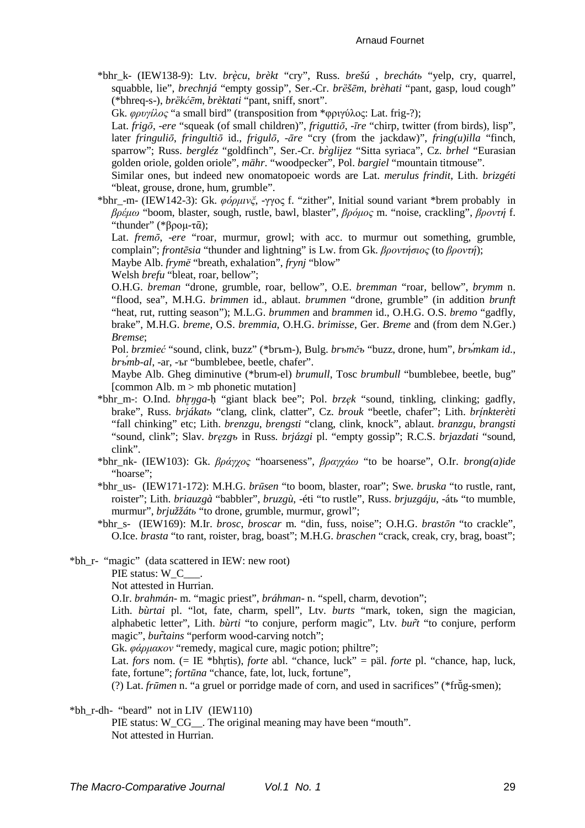#### Arnaud Fournet

\*bhr\_k- (IEW138-9): Ltv. *brè ̨cu*, *brèkt* "cry", Russ. *brešú* , *brechátь* "yelp, cry, quarrel, squabble, lie", *brechnjá* "empty gossip", Ser.-Cr. *brèšēm*, *brèhati* "pant, gasp, loud cough" (\*bhreq-s-), *brȅkćēm*, *brèktati* "pant, sniff, snort".

Gk. *φρυγίλος* "a small bird" (transposition from \*φριγύλος: Lat. frig-?);

Lat. *frigō*, -*ere* "squeak (of small children)", *friguttiō*, -*īre* "chirp, twitter (from birds), lisp", later *fringuliō*, *fringultiō* id., *frigulō*, -*āre* "cry (from the jackdaw)", *fring(u)illa* "finch, sparrow"; Russ. *bergléz* "goldfinch", Ser.-Cr. *br̀glijez* "Sitta syriaca", Cz. *brhel* "Eurasian golden oriole, golden oriole", *mähr*. "woodpecker", Pol. *bargiel* "mountain titmouse".

- Similar ones, but indeed new onomatopoeic words are Lat. *merulus frindit*, Lith. *brizgéti* "bleat, grouse, drone, hum, grumble".
- \*bhr\_-m- (IEW142-3): Gk. *φόρµινξ*, -γγος f. "zither", Initial sound variant \*brem probably in *βρέµω* "boom, blaster, sough, rustle, bawl, blaster", *βρόµος* m. "noise, crackling", *βροντή* f. "thunder" (\*βρομ-τ $\bar{\alpha}$ );

Lat. *fremō*, -*ere* "roar, murmur, growl; with acc. to murmur out something, grumble, complain"; *frontēsia* "thunder and lightning" is Lw. from Gk. *βροντήσιος* (to *βροντή*);

Maybe Alb. *frymë* "breath, exhalation", *frynj* "blow"

Welsh *brefu* "bleat, roar, bellow";

O.H.G. *breman* "drone, grumble, roar, bellow", O.E. *bremman* "roar, bellow", *brymm* n. "flood, sea", M.H.G. *brimmen* id., ablaut. *brummen* "drone, grumble" (in addition *brunft* "heat, rut, rutting season"); M.L.G. *brummen* and *brammen* id., O.H.G. O.S. *bremo* "gadfly, brake", M.H.G. *breme*, O.S. *bremmia*, O.H.G. *brimisse*, Ger. *Breme* and (from dem N.Ger.) *Bremse*;

Pol. *brzmieć* "sound, clink, buzz" (\*brъm-), Bulg. *brъmčъ* "buzz, drone, hum", *brъ́mkam id.*, *brъ́mb-al*, -ar, -ъr "bumblebee, beetle, chafer".

Maybe Alb. Gheg diminutive (\*brum-el) *brumull*, Tosc *brumbull* "bumblebee, beetle, bug" [common Alb.  $m > mb$  phonetic mutation]

- \*bhr\_m-: O.Ind. *bhr̥ŋga*-ḥ "giant black bee"; Pol. *brzęk* "sound, tinkling, clinking; gadfly, brake", Russ. *brjákatь* "clang, clink, clatter", Cz. *brouk* "beetle, chafer"; Lith. *brı́ ̨nkterèti* "fall chinking" etc; Lith. *brenzgu*, *brengsti* "clang, clink, knock", ablaut. *branzgu*, *brangsti* "sound, clink"; Slav. *bręzgъ* in Russ. *brjázgi* pl. "empty gossip"; R.C.S. *brjazdati* "sound, clink".
- \*bhr\_nk- (IEW103): Gk. *βράγχος* "hoarseness", *βραγχάω* "to be hoarse", O.Ir. *brong(a)ide* "hoarse":
- \*bhr\_us- (IEW171-172): M.H.G. *brūsen* "to boom, blaster, roar"; Swe. *bruska* "to rustle, rant, roister"; Lith. *briauzgà* "babbler", *bruzgù*, -éti "to rustle", Russ. *brjuzgáju*, -átь "to mumble, murmur", *brjužžátь* "to drone, grumble, murmur, growl";
- \*bhr\_s- (IEW169): M.Ir. *brosc*, *broscar* m. "din, fuss, noise"; O.H.G. *brastōn* "to crackle", O.Ice. *brasta* "to rant, roister, brag, boast"; M.H.G. *braschen* "crack, creak, cry, brag, boast";
- \*bh\_r- "magic" (data scattered in IEW: new root)

PIE status: W\_C\_

Not attested in Hurrian.

O.Ir. *brahmán*- m. "magic priest", *bráhman*- n. "spell, charm, devotion";

Lith. *bùrtai* pl. "lot, fate, charm, spell", Ltv. *burts* "mark, token, sign the magician, alphabetic letter", Lith. *bùrti* "to conjure, perform magic", Ltv. *burt̃* "to conjure, perform magic", *burtains* "perform wood-carving notch";

Gk. *φάρµακον* "remedy, magical cure, magic potion; philtre";

Lat. *fors* nom. (= IE \*bhr̥tis), *forte* abl. "chance, luck" = päl. *forte* pl. "chance, hap, luck, fate, fortune"; *fortūna* "chance, fate, lot, luck, fortune",

(?) Lat. *frūmen* n. "a gruel or porridge made of corn, and used in sacrifices" (\*frū̆g-smen);

\*bh\_r-dh- "beard" not in LIV (IEW110)

PIE status: W\_CG\_\_. The original meaning may have been "mouth". Not attested in Hurrian.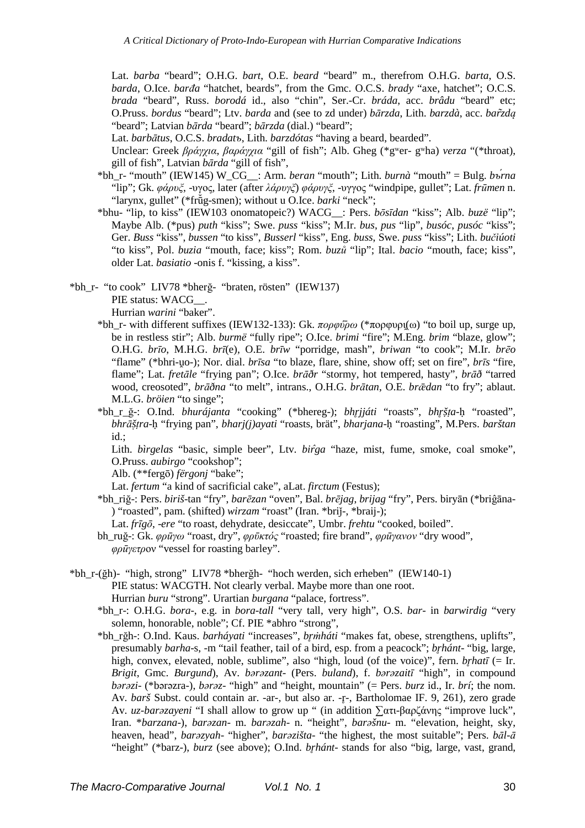Lat. *barba* "beard"; O.H.G. *bart*, O.E. *beard* "beard" m., therefrom O.H.G. *barta*, O.S. *barda*, O.Ice. *barđa* "hatchet, beards", from the Gmc. O.C.S. *brady* "axe, hatchet"; O.C.S. *brada* "beard", Russ. *borodá* id., also "chin", Ser.-Cr. *bráda*, acc. *brâdu* "beard" etc; O.Pruss. *bordus* "beard"; Ltv. *barda* and (see to zd under) *bārzda*, Lith. *barzdà*, acc. *barzd̃ ą* "beard"; Latvian *bārda* "beard"; *bārzda* (dial.) "beard";

Lat. *barbātus*, O.C.S. *bradatъ*, Lith. *barzdótas* "having a beard, bearded".

Unclear: Greek *βράγχια*, *βαράγχια* "gill of fish"; Alb. Gheg (\*gʷer- gʷha) *verza* "(\*throat), gill of fish", Latvian *bārda* "gill of fish",

- \*bh\_r- "mouth" (IEW145) W\_CG\_\_: Arm. *beran* "mouth"; Lith. *burnà* "mouth" = Bulg. *bъ́rna* "lip"; Gk. *φάρυξ*, -υγος, later (after *λάρυγξ*) *φάρυγξ*, -υγγος "windpipe, gullet"; Lat. *frūmen* n. "larynx, gullet" (\*frū̆g-smen); without u O.Ice. *barki* "neck";
- \*bhu- "lip, to kiss" (IEW103 onomatopeic?) WACG\_\_: Pers. *bōsīdan* "kiss"; Alb. *buzë* "lip"; Maybe Alb. (\*pus) *puth* "kiss"; Swe. *puss* "kiss"; M.Ir. *bus*, *pus* "lip", *busóc*, *pusóc* "kiss"; Ger. *Buss* "kiss", *bussen* "to kiss", *Busserl* "kiss", Eng. *buss*, Swe. *puss* "kiss"; Lith. *bučiúoti* "to kiss", Pol. *buzia* "mouth, face; kiss"; Rom. *buzů* "lip"; Ital. *bacio* "mouth, face; kiss", older Lat. *basiatio* -onis f. "kissing, a kiss".

\*bh\_r- "to cook" LIV78 \*bherğ- "braten, rösten" (IEW137)

PIE status: WACG\_\_.

Hurrian *warini* "baker".

- \*bh\_r- with different suffixes (IEW132-133): Gk. *πορφύ̄ρω* (\*πορφυρι̯(ω) "to boil up, surge up, be in restless stir"; Alb. *burmë* "fully ripe"; O.Ice. *brimi* "fire"; M.Eng. *brim* "blaze, glow"; O.H.G. *brīo*, M.H.G. *brī*(e), O.E. *brīw* "porridge, mash", *briwan* "to cook"; M.Ir. *brēo* "flame" (\*bhri-uo-); Nor. dial. *brīsa* "to blaze, flare, shine, show off; set on fire", *brīs* "fire, flame"; Lat. *fretāle* "frying pan"; O.Ice. *brāðr* "stormy, hot tempered, hasty", *brāð* "tarred wood, creosoted", *brāðna* "to melt", intrans., O.H.G. *brātan*, O.E. *brǣdan* "to fry"; ablaut. M.L.G. *bröien* "to singe";
- \*bh\_r\_ğ-: O.Ind. *bhurájanta* "cooking" (\*bhereg-); *bhr̥jjáti* "roasts", *bhr̥šṭ̣a*-ḥ "roasted", *bhrāšṭ̣ra*-ḥ "frying pan", *bharj(j)ayati* "roasts, brät", *bharjana*-ḥ "roasting", M.Pers. *barštan* id.;

Lith. *bìrgelas* "basic, simple beer", Ltv. *bir̂ga* "haze, mist, fume, smoke, coal smoke", O.Pruss. *aubirgo* "cookshop";

Alb. (\*\*fergō) *fërgonj* "bake";

Lat. *fertum* "a kind of sacrificial cake", aLat. *firctum* (Festus);

\*bh\_riğ-: Pers. *biriš*-tan "fry", *barēzan* "oven", Bal. *brējag*, *brijag* "fry", Pers. biryān (\*briĝāna- ) "roasted", pam. (shifted) *wirzam* "roast" (Iran. \*briǰ-, \*braij-);

Lat. *frīgō*, -*ere* "to roast, dehydrate, desiccate", Umbr. *frehtu* "cooked, boiled".

- bh\_ruğ-: Gk. *φρūγω* "roast, dry", *φρῡκτός* "roasted; fire brand", *φρūγανον* "dry wood", *φρūγετρ*ον "vessel for roasting barley".
- \*bh\_r-(ğh)- "high, strong" LIV78 \*bherğh- "hoch werden, sich erheben" (IEW140-1) PIE status: WACGTH. Not clearly verbal. Maybe more than one root. Hurrian *buru* "strong". Urartian *burgana* "palace, fortress".
	- \*bh\_r-: O.H.G. *bora*-, e.g. in *bora-tall* "very tall, very high", O.S. *bar* in *barwirdig* "very solemn, honorable, noble"; Cf. PIE \*abhro "strong",
	- \*bh\_rğh-: O.Ind. Kaus. *barháyati* "increases", *br̥ṁháti* "makes fat, obese, strengthens, uplifts", presumably *barha*-s, -m "tail feather, tail of a bird, esp. from a peacock"; *br̥hánt*- "big, large, high, convex, elevated, noble, sublime", also "high, loud (of the voice)", fern. *brhatī* (= Ir. *Brigit*, Gmc. *Burgund*), Av. *bǝrǝzant*- (Pers. *buland*), f. *bǝrǝzaitī* "high", in compound *bǝrǝzi*- (\*bǝrǝzra-), *bǝrǝz*- "high" and "height, mountain" (= Pers. *burz* id., Ir. *brí*; the nom. Av. *barš* Subst. could contain ar. -ar-, but also ar. -r-, Bartholomae IF. 9, 261), zero grade Av. *uz-barǝzayeni* "I shall allow to grow up " (in addition ∑ατι-βαρζάνης "improve luck", Iran. \**barzana*-), *barǝzan*- m. *barǝzah*- n. "height", *barǝšnu*- m. "elevation, height, sky, heaven, head", *barǝzyah*- "higher", *barǝzišta*- "the highest, the most suitable"; Pers. *bāl-ā* "height" (\*barz-), *burz* (see above); O.Ind. *brhánt*- stands for also "big, large, vast, grand,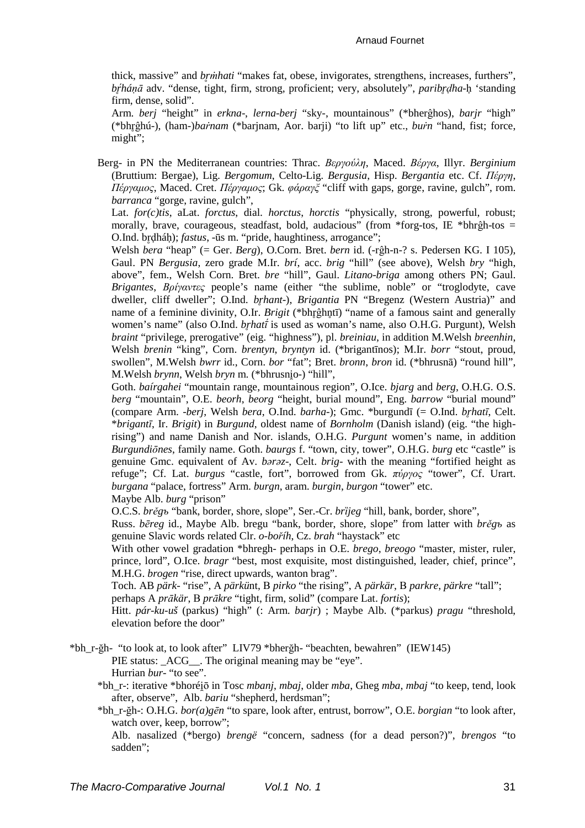### Arnaud Fournet

thick, massive" and *br̥ṁhati* "makes fat, obese, invigorates, strengthens, increases, furthers", *br̥ ́háṇā* adv. "dense, tight, firm, strong, proficient; very, absolutely", *paribr̥ḍha*-ḥ 'standing firm, dense, solid".

Arm. *berj* "height" in *erkna*-, *lerna*-*berj* "sky-, mountainous" (\*bherĝhos), *barjr* "high" (\*bhr̥ĝhú-), (ham-)*baṙnam* (\*barjnam, Aor. barji) "to lift up" etc., *buṙn* "hand, fist; force, might";

Berg- in PN the Mediterranean countries: Thrac. *Βεργούλη*, Maced. *Βέργα*, Illyr. *Berginium* (Bruttium: Bergae), Lig. *Bergomum*, Celto-Lig. *Bergusia*, Hisp. *Bergantia* etc. Cf. *Πέργη*, *Πέργαµος*, Maced. Cret. *Πέργαµος*; Gk. *φάραγξ* "cliff with gaps, gorge, ravine, gulch", rom. *barranca* "gorge, ravine, gulch",

Lat. *for(c)tis*, aLat. *forctus*, dial. *horctus*, *horctis* "physically, strong, powerful, robust; morally, brave, courageous, steadfast, bold, audacious" (from  $*$ forg-tos, IE  $*$ bhrĝh-tos = O.Ind. br̥ḍháḥ); *fastus*, -ūs m. "pride, haughtiness, arrogance";

Welsh *bera* "heap" (= Ger. *Berg*), O.Corn. Bret. *bern* id. (-rĝh-n-? s. Pedersen KG. I 105), Gaul. PN *Bergusia*, zero grade M.Ir. *brí*, acc. *brig* "hill" (see above), Welsh *bry* "high, above", fem., Welsh Corn. Bret. *bre* "hill", Gaul. *Litano*-*briga* among others PN; Gaul. *Brigantes*, *Βρίγαντες* people's name (either "the sublime, noble" or "troglodyte, cave dweller, cliff dweller"; O.Ind. *br̥hant*-), *Brigantia* PN "Bregenz (Western Austria)" and name of a feminine divinity, O.Ir. *Brigit* (\*bhr̥ĝhn̥tī) "name of a famous saint and generally women's name" (also O.Ind. *br̥hatī́* is used as woman's name, also O.H.G. Purgunt), Welsh *braint* "privilege, prerogative" (eig. "highness"), pl. *breiniau*, in addition M.Welsh *breenhin*, Welsh *brenin* "king", Corn. *brentyn*, *bryntyn* id. (\*brigantīnos); M.Ir. *borr* "stout, proud, swollen", M.Welsh *bwrr* id., Corn. *bor* "fat"; Bret. *bronn*, *bron* id. (\*bhrusnā) "round hill", M.Welsh *brynn*, Welsh *bryn* m. (\*bhrusnio-) "hill",

Goth. *baírgahei* "mountain range, mountainous region", O.Ice. *bjarg* and *berg*, O.H.G. O.S. *berg* "mountain", O.E. *beorh*, *beorg* "height, burial mound", Eng. *barrow* "burial mound" (compare Arm. -*berj*, Welsh *bera*, O.Ind. *barha*-); Gmc. \*burgundī (= O.Ind. *br̥hatī*, Celt. \**brigantī*, Ir. *Brigit*) in *Burgund*, oldest name of *Bornholm* (Danish island) (eig. "the highrising") and name Danish and Nor. islands, O.H.G. *Purgunt* women's name, in addition *Burgundiōnes*, family name. Goth. *baurgs* f. "town, city, tower", O.H.G. *burg* etc "castle" is genuine Gmc. equivalent of Av. *bǝrǝz*-, Celt. *brig*- with the meaning "fortified height as refuge"; Cf. Lat. *burgus* "castle, fort", borrowed from Gk. *πύργος* "tower", Cf. Urart. *burgana* "palace, fortress" Arm. *burgn*, aram. *burgin*, *burgon* "tower" etc. Maybe Alb. *burg* "prison"

O.C.S. *brěgъ* "bank, border, shore, slope", Ser.-Cr. *brȉjeg* "hill, bank, border, shore",

Russ. *bēreg* id., Maybe Alb. bregu "bank, border, shore, slope" from latter with *brěgъ* as genuine Slavic words related Clr. *o-boříh*, Cz. *brah* "haystack" etc

With other vowel gradation \*bhregh- perhaps in O.E. *brego*, *breogo* "master, mister, ruler, prince, lord", O.Ice. *bragr* "best, most exquisite, most distinguished, leader, chief, prince", M.H.G. *brogen* "rise, direct upwards, wanton brag".

Toch. AB *pärk*- "rise", A *pärkü*nt, В *pirko* "the rising", A *pärkär*, В *parkre*, *pärkre* "tall"; perhaps A *prākär*, В *prākre* "tight, firm, solid" (compare Lat. *fortis*);

Hitt. *pár-ku-uš* (parkus) "high" (: Arm. *barjr*) ; Maybe Alb. (\*parkus) *pragu* "threshold, elevation before the door"

\*bh\_r-ğh- "to look at, to look after" LIV79 \*bherğh- "beachten, bewahren" (IEW145)

PIE status: \_ACG\_\_. The original meaning may be "eye". Hurrian *bur*- "to see".

\*bh\_r-: iterative \*bhoréi̯ō in Tosc *mbanj*, *mbaj*, older *mba*, Gheg *mba*, *mbaj* "to keep, tend, look after, observe", Alb. *bariu* "shepherd, herdsman";

\*bh\_r-ğh-: O.H.G. *bor(a)gēn* "to spare, look after, entrust, borrow", O.E. *borgian* "to look after, watch over, keep, borrow";

Alb. nasalized (\*bergo) *brengë* "concern, sadness (for a dead person?)", *brengos* "to sadden";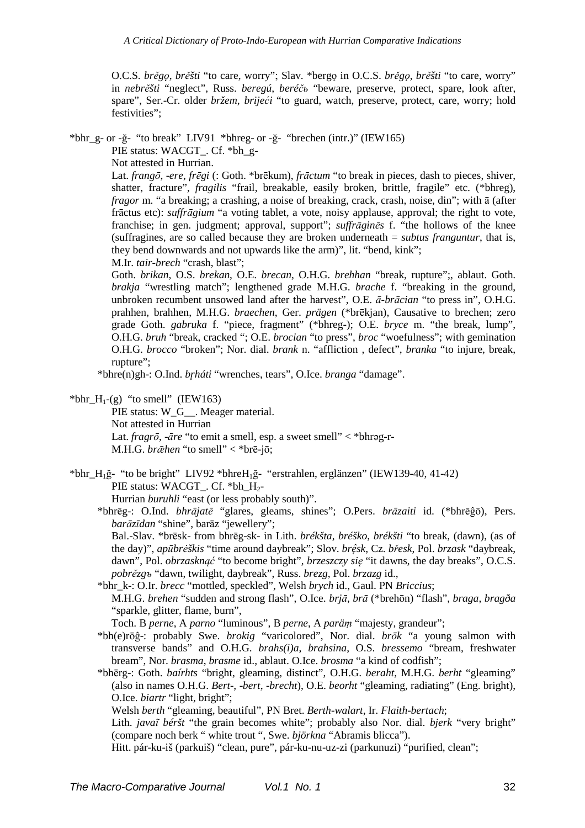O.C.S. *brěgǫ*, *brěšti* "to care, worry"; Slav. \*bergǫ in O.C.S. *brěgǫ*, *brěšti* "to care, worry" in *nebrěšti* "neglect", Russ. *beregú*, *beréčь* "beware, preserve, protect, spare, look after, spare", Ser.-Cr. older *bržem*, *brijeći* "to guard, watch, preserve, protect, care, worry; hold festivities":

\*bhr\_g- or -ğ- "to break" LIV91 \*bhreg- or -ğ- "brechen (intr.)" (IEW165)

PIE status: WACGT . Cf. \*bh g-

Not attested in Hurrian.

Lat. *frangō*, -*ere*, *frēgi* (: Goth. \*brēkum), *frāctum* "to break in pieces, dash to pieces, shiver, shatter, fracture", *fragilis* "frail, breakable, easily broken, brittle, fragile" etc. (\*bhreg), *fragor* m. "a breaking; a crashing, a noise of breaking, crack, crash, noise, din"; with ā (after frāctus etc): *suffrāgium* "a voting tablet, a vote, noisy applause, approval; the right to vote, franchise; in gen. judgment; approval, support"; *suffrāginēs* f. "the hollows of the knee (suffragines, are so called because they are broken underneath = *subtus franguntur*, that is, they bend downwards and not upwards like the arm)", lit. "bend, kink";

M.Ir. *tair-brech* "crash, blast";

Goth. *brikan*, O.S. *brekan*, O.E. *brecan*, O.H.G. *brehhan* "break, rupture";, ablaut. Goth. *brakja* "wrestling match"; lengthened grade M.H.G. *brache* f. "breaking in the ground, unbroken recumbent unsowed land after the harvest", O.E. *ā-brācian* "to press in", O.H.G. prahhen, brahhen, M.H.G. *braechen*, Ger. *prägen* (\*brēkjan), Causative to brechen; zero grade Goth. *gabruka* f. "piece, fragment" (\*bhreg-); O.E. *bryce* m. "the break, lump", O.H.G. *bruh* "break, cracked "; O.E. *brocian* "to press", *broc* "woefulness"; with gemination O.H.G. *brocco* "broken"; Nor. dial. *brank* n. "affliction , defect", *branka* "to injure, break, rupture";

\*bhre(n)gh-: O.Ind. *br̥háti* "wrenches, tears", O.Ice. *branga* "damage".

### \*bhr  $H_1$ -(g) "to smell" (IEW163)

PIE status: W<sub>G\_\_</sub>. Meager material. Not attested in Hurrian Lat. *fragrō*, -*āre* "to emit a smell, esp. a sweet smell" < \*bhrǝg-r-M.H.G. *brǣhen* "to smell" < \*brē-jō;

\*bhr\_H1ğ- "to be bright" LIV92 \*bhreH1ğ- "erstrahlen, erglänzen" (IEW139-40, 41-42) PIE status: WACGT . Cf. \*bh  $H_2$ -

Hurrian *buruhli* "east (or less probably south)".

\*bhrēg-: O.Ind. *bhrājatē* "glares, gleams, shines"; O.Pers. *brāzaiti* id. (\*bhrēĝō), Pers. *barāzīdan* "shine", barāz "jewellery";

Bal.-Slav. \*brēsk- from bhrēg-sk- in Lith. *brékšta*, *bréško*, *brékšti* "to break, (dawn), (as of the day)", *apūbrėškis* "time around daybreak"; Slov. *brę̂sk*, Cz. *břesk*, Pol. *brzask* "daybreak, dawn", Pol. *obrzasknąć* "to become bright", *brzeszczy się* "it dawns, the day breaks", O.C.S. *pobrězgъ* "dawn, twilight, daybreak", Russ. *brezg*, Pol. *brzazg* id.,

\*bhr\_k-: O.Ir. *brecc* "mottled, speckled", Welsh *brych* id., Gaul. PN *Briccius*; M.H.G. *brehen* "sudden and strong flash", O.Ice. *brjā*, *brā* (\*brehōn) "flash", *braga*, *bragða* "sparkle, glitter, flame, burn",

Toch. B *perne*, A *parno* "luminous", B *perne*, A *paräṃ* "majesty, grandeur";

- \*bh(e)rōĝ-: probably Swe. *brokig* "varicolored", Nor. dial. *brōk* "a young salmon with transverse bands" and O.H.G. *brahs(i)a*, *brahsina*, O.S. *bressemo* "bream, freshwater bream", Nor. *brasma*, *brasme* id., ablaut. O.Ice. *brosma* "a kind of codfish";
- \*bhērg-: Goth. *baírhts* "bright, gleaming, distinct", O.H.G. *beraht*, M.H.G. *berht* "gleaming" (also in names O.H.G. *Bert*-, -*bert*, -*brecht*), O.E. *beorht* "gleaming, radiating" (Eng. bright), O.Ice. *biartr* "light, bright";

Welsh *berth* "gleaming, beautiful", PN Bret. *Berth-walart*, Ir. *Flaith*-*bertach*;

Lith. *javaĩ béršt* "the grain becomes white"; probably also Nor. dial. *bjerk* "very bright" (compare noch berk " white trout ", Swe. *björkna* "Abramis blicca").

Hitt. pár-ku-iš (parkuiš) "clean, pure", pár-ku-nu-uz-zi (parkunuzi) "purified, clean";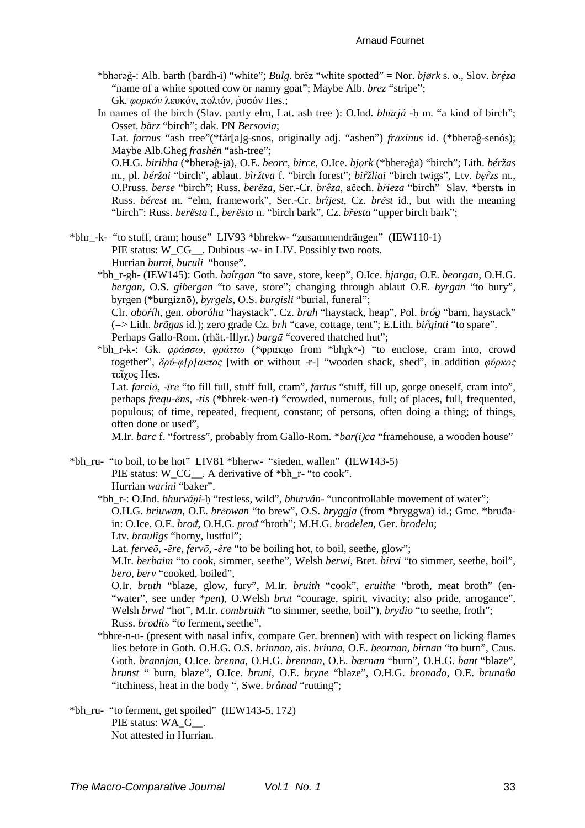#### **Arnaud Fournet**

- \*bhərəĝ-: Alb. barth (bardh-i) "white"; Bulg. brěz "white spotted" = Nor. bjørk s. o., Slov. brę́za "name of a white spotted cow or nanny goat"; Maybe Alb. brez "stripe"; Gk. φορκόν λευκόν, πολιόν, ρυσόν Hes.;
- In names of the birch (Slav. partly elm, Lat. ash tree): O.Ind. bhūrjá -h m. "a kind of birch"; Osset. bärz "birch": dak. PN Bersovia: Lat. farnus "ash tree" (\*fár[a]g-snos, originally adj. "ashen") frāxinus id. (\*bheraĝ-senós);

Maybe Alb.Gheg frashën "ash-tree": O.H.G. birihha (\*bheraĝ-iā), O.E. beorc, birce, O.Ice. bjork (\*bheraĝā) "birch"; Lith. béržas

m., pl. béržai "birch", ablaut. bìržtva f. "birch forest"; biržliai "birch twigs", Ltv. berzs m., O.Pruss. berse "birch"; Russ. berëza, Ser.-Cr. brëza, ačech. břieza "birch" Slav. \*berstъ in Russ. bérest m. "elm, framework", Ser.-Cr. brijest, Cz. brěst id., but with the meaning "birch": Russ. berësta f., berësto n. "birch bark". Cz. břesta "upper birch bark":

\*bhr\_-k- "to stuff, cram; house" LIV93 \*bhrekw- "zusammendrängen" (IEW110-1) PIE status: W\_CG\_. Dubious -w- in LIV. Possibly two roots. Hurrian burni, buruli "house".

- \*bh r-gh- (IEW145): Goth. bairgan "to save, store, keep", O.Ice. bjarga, O.E. beorgan, O.H.G. bergan, O.S. gibergan "to save, store"; changing through ablaut O.E. byrgan "to bury", byrgen (\*burgiznō), byrgels, O.S. burgisli "burial, funeral"; Clr. *oboříh*, gen. *oboróha* "havstack", Cz. brah "havstack, heap", Pol. bróg "barn, havstack" (=> Lith. brãgas id.); zero grade Cz. brh "cave, cottage, tent"; E.Lith. birginti "to spare". Perhaps Gallo-Rom. (rhät.-Illyr.) bargā "covered thatched hut";
- \*bh\_r-k-: Gk.  $\varphi \rho \dot{\alpha} \sigma \omega$ ,  $\varphi \rho \dot{\alpha} \tau \omega$  (\* $\varphi \rho \alpha \kappa \omega$  from \*bhrk\*-) "to enclose, cram into, crowd together",  $\delta \rho \dot{\rho} - \rho / \rho / \rho \dot{\alpha}$  (with or without -r-) "wooden shack, shed", in addition  $\phi \dot{\rho} \rho \dot{\alpha}$ τεῖχος Hes.

Lat. farcio, -īre "to fill full, stuff full, cram", fartus "stuff, fill up, gorge oneself, cram into", perhaps *frequ-ens*, -*tis* (\*bhrek-wen-t) "crowded, numerous, full; of places, full, frequented, populous; of time, repeated, frequent, constant; of persons, often doing a thing; of things, often done or used".

M.Ir. barc f. "fortress", probably from Gallo-Rom. \*bar(i)ca "framehouse, a wooden house"

\*bh ru- "to boil, to be hot" LIV81 \*bherw- "sieden, wallen" (IEW143-5) PIE status: W\_CG\_. A derivative of \*bh\_r- "to cook". Hurrian warini "baker".

\*bh r-: O.Ind. bhurváni-h "restless, wild", bhurván- "uncontrollable movement of water"; O.H.G. briuwan, O.E. brēowan "to brew", O.S. bryggia (from \*bryggwa) id.; Gmc. \*bruđain: O.Ice. O.E. brod, O.H.G. prod "broth"; M.H.G. brodelen, Ger. brodeln; Ltv. brauligs "horny, lustful";

Lat. ferveo, -ẽre, fervo, -ẽre "to be boiling hot, to boil, seethe, glow";

M.Ir. berbaim "to cook, simmer, seethe", Welsh berwi, Bret. birvi "to simmer, seethe, boil", bero, berv "cooked, boiled",

O.Ir. bruth "blaze, glow, fury", M.Ir. bruith "cook", eruithe "broth, meat broth" (en-"water", see under \*pen), O.Welsh brut "courage, spirit, vivacity; also pride, arrogance". Welsh brwd "hot", M.Ir. combruith "to simmer, seethe, boil"), brydio "to seethe, froth"; Russ. brodíto "to ferment, seethe",

- \*bhre-n-u- (present with nasal infix, compare Ger. brennen) with with respect on licking flames lies before in Goth. O.H.G. O.S. *brinnan*, ais. *brinna*, O.E. *beornan*, *birnan* "to burn", Caus. Goth. brannjan, O.Ice. brenna, O.H.G. brennan, O.E. bærnan "burn", O.H.G. bant "blaze", brunst " burn, blaze", O.Ice. bruni, O.E. bryne "blaze", O.H.G. bronado, O.E. bruna $\theta$ a "itchiness, heat in the body ", Swe. brånad "rutting";
- \*bh\_ru- "to ferment, get spoiled" (IEW143-5, 172) PIE status: WA G . Not attested in Hurrian.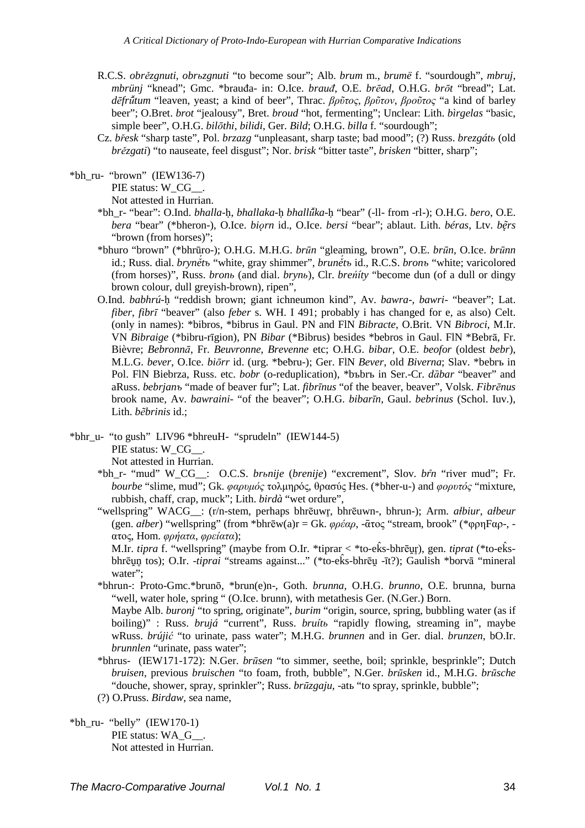- R.C.S. *obrězgnuti*, *obrьzgnuti* "to become sour"; Alb. *brum* m., *brumë* f. "sourdough", *mbruj*, *mbrünj* "knead"; Gmc. \*brauđa- in: O.Ice. *brauđ*, O.E. *brēad*, O.H.G. *brōt* "bread"; Lat. *dēfrū̆tum* "leaven, yeast; a kind of beer", Thrac. *βρῦτος*, *βρῦτον*, *βροῦτος* "a kind of barley beer"; O.Bret. *brot* "jealousy", Bret. *broud* "hot, fermenting"; Unclear: Lith. *bìrgelas* "basic, simple beer", O.H.G. *bilōthi*, *bilidi*, Ger. *Bild*; O.H.G. *billa* f. "sourdough";
- Cz. *břesk* "sharp taste", Pol. *brzazg* "unpleasant, sharp taste; bad mood"; (?) Russ. *brezgátь* (old *brězgati*) "to nauseate, feel disgust"; Nor. *brisk* "bitter taste", *brisken* "bitter, sharp";
- $*bh$  ru- "brown" (IEW136-7)

PIE status: W\_CG\_\_.

Not attested in Hurrian.

- \*bh\_r- "bear": O.Ind. *bhalla*-ḥ, *bhallaka*-ḥ *bhallū̆ka*-ḥ "bear" (-ll- from -rl-); O.H.G. *bero*, O.E. *bera* "bear" (\*bheron-), O.Ice. *biorn* id., O.Ice. *bersi* "bear"; ablaut. Lith. *béras*, Ltv. *b* $\tilde{e}$ *rs* "brown (from horses)";
- \*bhuro "brown" (\*bhrūro-); O.H.G. M.H.G. *brūn* "gleaming, brown", O.E. *brūn*, O.Ice. *brūnn* id.; Russ. dial. *bryně́tъ* "white, gray shimmer", *bruně́tъ* id., R.C.S. *bronъ* "white; varicolored (from horses)", Russ. *bronь* (and dial. *brynь*), Clr. *breńíty* "become dun (of a dull or dingy brown colour, dull greyish-brown), ripen",
- O.Ind. *babhrú*-ḥ "reddish brown; giant ichneumon kind", Av. *bawra*-, *bawri* "beaver"; Lat. *fiber*, *fibrī* "beaver" (also *feber* s. WH. I 491; probably i has changed for e, as also) Celt. (only in names): \*bibros, \*bibrus in Gaul. PN and FlN *Bibracte*, O.Brit. VN *Bibroci*, M.Ir. VN *Bibraige* (\*bibru-rīgion), PN *Bibar* (\*Bibrus) besides \*bebros in Gaul. FlN \*Bebrā, Fr. Bièvre; *Bebronnā*, Fr. *Beuvronne*, *Brevenne* etc; O.H.G. *bibar*, O.E. *beofor* (oldest *bebr*), M.L.G. *bever*, O.Ice. *biōrr* id. (urg. \*ƀeƀru-); Ger. FlN *Bever*, old *Biverna*; Slav. \*bebrъ in Pol. FlN Biebrza, Russ. etc. *bobr* (o-reduplication), \*bъbrъ in Ser.-Cr. *dȁbar* "beaver" and aRuss. *bebrjanъ* "made of beaver fur"; Lat. *fibrīnus* "of the beaver, beaver", Volsk. *Fibrēnus* brook name, Av. *bawraini*- "of the beaver"; O.H.G. *bibarīn*, Gaul. *bebrinus* (Schol. Iuv.), Lith. *bẽbrinis* id.;
- \*bhr\_u- "to gush" LIV96 \*bhreuH- "sprudeln" (IEW144-5) PIE status: W\_CG\_ . Not attested in Hurrian.
	- \*bh\_r- "mud" W\_CG\_\_: O.C.S. *brьnije* (*brenije*) "excrement", Slov. *br̂n* "river mud"; Fr. *bourbe* "slime, mud"; Gk. *φαρυµός* τολµηρός, θρασύς Hes. (\*bher-u-) and *φορυτός* "mixture, rubbish, chaff, crap, muck"; Lith. *birdà* "wet ordure",
	- "wellspring" WACG\_\_: (r/n-stem, perhaps bhrēuwr̥, bhrēuwn-, bhrun-); Arm. *aɫbiur*, *aɫbeur* (gen. *aɫber*) "wellspring" (from \*bhrēw(a)r = Gk. *φρέαρ*, -ᾱτος "stream, brook" (\*φρηFαρ-, ατος, Hom. *φρήατα*, *φρείατα*);

M.Ir. *tipra* f. "wellspring" (maybe from O.Ir. \*tiprar < \*to-ek̂s-bhrēur), gen. *tiprat* (\*to-ek̂sbhrēu̯n̥ tos); O.Ir. -*tiprai* "streams against..." (\*to-ek̂s-bhrēu̯ -īt?); Gaulish \*borvā "mineral water";

- \*bhrun-: Proto-Gmc.\*brunō, \*brun(e)n-, Goth. *brunna*, O.H.G. *brunno*, O.E. brunna, burna "well, water hole, spring " (O.Ice. brunn), with metathesis Ger. (N.Ger.) Born. Maybe Alb. *buronj* "to spring, originate", *burim* "origin, source, spring, bubbling water (as if boiling)" : Russ. *brujá* "current", Russ. *bruítь* "rapidly flowing, streaming in", maybe wRuss. *brújić* "to urinate, pass water"; M.H.G. *brunnen* and in Ger. dial. *brunzen*, bO.Ir. *brunnlen* "urinate, pass water";
- \*bhrus- (IEW171-172): N.Ger. *brūsen* "to simmer, seethe, boil; sprinkle, besprinkle"; Dutch *bruisen*, previous *bruischen* "to foam, froth, bubble", N.Ger. *brūsken* id., M.H.G. *brūsche* "douche, shower, spray, sprinkler"; Russ. *brūzgaju*, -atь "to spray, sprinkle, bubble";
- (?) O.Pruss. *Birdaw*, sea name,
- $*bh_ru-$  "belly" (IEW170-1) PIE status: WA\_G\_\_. Not attested in Hurrian.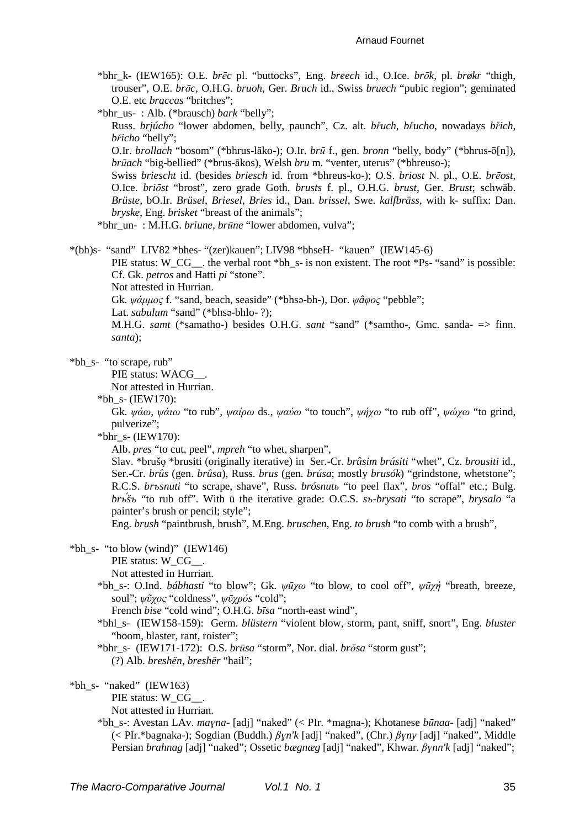#### **Arnaud Fournet**

\*bhr\_k- (IEW165): O.E. brēc pl. "buttocks", Eng. breech id., O.Ice. brōk, pl. brøkr "thigh, trouser", O.E. brōc, O.H.G. bruoh, Ger. Bruch id., Swiss bruech "pubic region"; geminated O.E. etc braccas "britches";

\*bhr us-: Alb. (\*brausch) bark "belly": Russ. briúcho "lower abdomen, belly, paunch", Cz. alt. břuch, břucho, nowadays břich, břicho "belly";

O.Ir. brollach "bosom" (\*bhrus-lāko-); O.Ir. brū f., gen. bronn "belly, body" (\*bhrus-ō[n]), *brūach* "big-bellied" (\*brus-ākos), Welsh *bru* m. "venter, uterus" (\*bhreuso-);

Swiss briescht id. (besides briesch id. from \*bhreus-ko-); O.S. briost N. pl., O.E. breost, O.Ice. briōst "brost", zero grade Goth. brusts f. pl., O.H.G. brust, Ger. Brust; schwäb. Brüste, bO.Ir. Brüsel, Briesel, Bries id., Dan. brissel, Swe. kalfbräss, with k- suffix: Dan. *bryske*, Eng. *brisket* "breast of the animals":

\*bhr un-: M.H.G. briune, brūne "lower abdomen, vulva";

\*(bh)s- "sand" LIV82 \*bhes- "(zer)kauen"; LIV98 \*bhseH- "kauen" (IEW145-6)

PIE status: W\_CG\_\_. the verbal root \*bh\_s- is non existent. The root \*Ps- "sand" is possible: Cf. Gk. petros and Hatti pi "stone".

Not attested in Hurrian.

Gk. ψάμμος f. "sand, beach, seaside" (\*bhsa-bh-), Dor. ψάφος "pebble":

Lat. sabulum "sand" (\*bhsə-bhlo-?):

M.H.G. samt (\*samatho-) besides O.H.G. sant "sand" (\*samtho-, Gmc. sanda- => finn. santa);

### \*bh s- "to scrape, rub"

PIE status: WACG .

Not attested in Hurrian.

\*bh s-  $(IEW170)$ :

Gk.  $\psi \dot{\alpha} \omega$ ,  $\psi \dot{\alpha} \omega$  "to rub",  $\psi \alpha \dot{\beta} \omega$  ds.,  $\psi \alpha \dot{\alpha} \omega$  "to touch",  $\psi \dot{\gamma} \gamma \omega$  "to rub off",  $\psi \dot{\alpha} \gamma \omega$  "to grind, pulverize";

\*bhr s- (IEW170):

Alb. *pres* "to cut, peel", *mpreh* "to whet, sharpen".

Slav. \*brušo \*brusiti (originally iterative) in Ser.-Cr. *brûsim brúsiti* "whet", Cz. *brousiti* id., Ser.-Cr. brûs (gen. brûsa), Russ. brus (gen. brúsa; mostly brusók) "grindstone, whetstone"; R.C.S. brosnuti "to scrape, shave", Russ. brósnuto "to peel flax", bros "offal" etc.; Bulg. brost "to rub off". With u the iterative grade: O.C.S. sv-brysati "to scrape", brysalo "a painter's brush or pencil; style";

Eng. brush "paintbrush, brush", M.Eng. bruschen, Eng. to brush "to comb with a brush",

### \*bh s- "to blow (wind)" (IEW146)

PIE status: W\_CG\_\_.

Not attested in Hurrian.

\*bh\_s-: O.Ind. bábhasti "to blow"; Gk.  $\psi \bar{u} \chi \omega$  "to blow, to cool off",  $\psi \bar{u} \chi \eta$  "breath, breeze, soul":  $\psi\tilde{v}\gamma\tilde{o}c$  "coldness",  $\psi\bar{v}\gamma\tilde{o}b\tilde{o}s$  "cold":

French bise "cold wind"; O.H.G. bīsa "north-east wind",

\*bhl s- (IEW158-159): Germ. blüstern "violent blow, storm, pant, sniff, snort", Eng. bluster "boom, blaster, rant, roister";

### \*bhr\_s- (IEW171-172): O.S. brūsa "storm", Nor. dial. brŏsa "storm gust"; (?) Alb. breshën, breshër "hail";

# \*bh s- "naked" (IEW163)

PIE status: W CG .

Not attested in Hurrian.

\*bh\_s-: Avestan LAv. mayna- [adj] "naked" (< Plr. \*magna-); Khotanese būnaa- [adj] "naked" (< PIr.\*bagnaka-); Sogdian (Buddh.)  $\beta Y^n$ k [adj] "naked", (Chr.)  $\beta Y^n$  [adj] "naked", Middle Persian brahnag [adj] "naked"; Ossetic bagnag [adj] "naked", Khwar. Bynn'k [adj] "naked";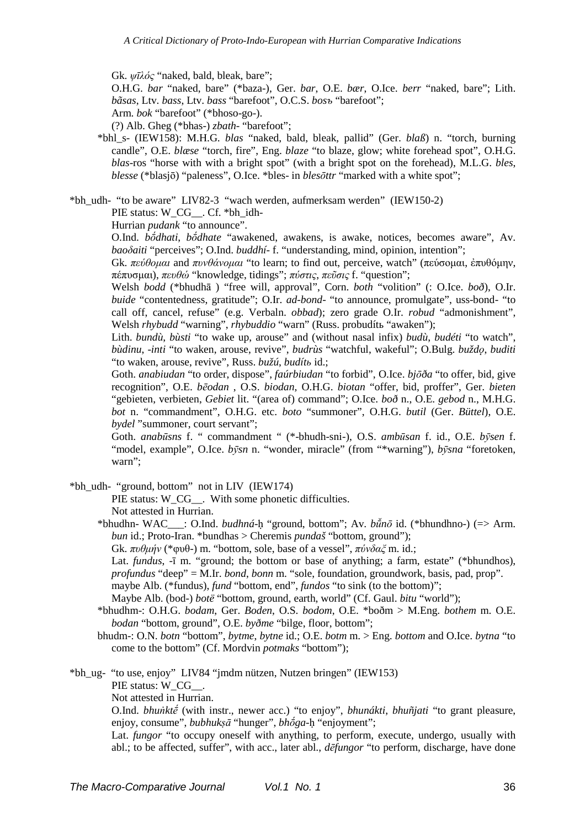Gk. *ψῑλός* "naked, bald, bleak, bare";

O.H.G. *bar* "naked, bare" (\*baza-), Ger. *bar*, O.E. *bær*, O.Ice. *berr* "naked, bare"; Lith. *bãsas*, Ltv. *bass*, Ltv. *bass* "barefoot", O.C.S. *bosъ* "barefoot";

Arm. *bok* "barefoot" (\*bhoso-go-).

(?) Alb. Gheg (\*bhas-) *zbath*- "barefoot";

\*bhl\_s- (IEW158): M.H.G. *blas* "naked, bald, bleak, pallid" (Ger. *blaß*) n. "torch, burning candle", O.E. *blæse* "torch, fire", Eng. *blaze* "to blaze, glow; white forehead spot", O.H.G. *blas*-ros "horse with with a bright spot" (with a bright spot on the forehead), M.L.G. *bles*, *blesse* (\*blasjō) "paleness", O.Ice. \*bles- in *blesōttr* "marked with a white spot";

\*bh\_udh- "to be aware" LIV82-3 "wach werden, aufmerksam werden" (IEW150-2)

PIE status: W\_CG\_\_. Cf. \*bh\_idh-

Hurrian *pudank* "to announce".

O.Ind. *bṓdhati*, *bṓdhate* "awakened, awakens, is awake, notices, becomes aware", Av. *baoδaiti* "perceives"; O.Ind. *buddhí*- f. "understanding, mind, opinion, intention";

Gk. *πεύθοµαι* and *πυνθάνοµαι* "to learn; to find out, perceive, watch" (πεύσοµαι, ἐπυθόµην, πέπυσµαι), *πευθώ* "knowledge, tidings"; *πύστις*, *πεῦσις* f. "question";

Welsh *bodd* (\*bhudhā ) "free will, approval", Corn. *both* "volition" (: O.Ice. *boð*), O.Ir. *buide* "contentedness, gratitude"; O.Ir. *ad-bond*- "to announce, promulgate", uss-bond- "to call off, cancel, refuse" (e.g. Verbaln. *obbad*); zero grade O.Ir. *robud* "admonishment", Welsh *rhybudd* "warning", *rhybuddio* "warn" (Russ. probudítь "awaken");

Lith. *bundù*, *bùsti* "to wake up, arouse" and (without nasal infix) *budù*, *budéti* "to watch", *bùdinu*, -*inti* "to waken, arouse, revive", *budrùs* "watchful, wakeful"; O.Bulg. *buždǫ*, *buditi* "to waken, arouse, revive", Russ. *bužú*, *budítь* id.;

Goth. *anabiudan* "to order, dispose", *faúrbiudan* "to forbid", O.Ice. *bjōða* "to offer, bid, give recognition", O.E. *bēodan* , O.S. *biodan*, O.H.G. *biotan* "offer, bid, proffer", Ger. *bieten* "gebieten, verbieten, *Gebiet* lit. "(area of) command"; O.Ice. *boð* n., O.E. *gebod* n., M.H.G. *bot* n. "commandment", O.H.G. etc. *boto* "summoner", O.H.G. *butil* (Ger. *Büttel*), O.E. *bydel* "summoner, court servant";

Goth. *anabūsns* f. " commandment " (\*-bhudh-sni-), O.S. *ambūsan* f. id., O.E. *bȳsen* f. "model, example", O.Ice. *b* $\bar{v}$ *sn* n. "wonder, miracle" (from "\*warning"), *b* $\bar{v}$ *sna* "foretoken, warn";

\*bh\_udh- "ground, bottom" not in LIV (IEW174)

PIE status: W\_CG\_\_. With some phonetic difficulties. Not attested in Hurrian.

\*bhudhn- WAC\_\_\_: O.Ind. *budhná*-ḥ "ground, bottom"; Av. *bū̆nō* id. (\*bhundhno-) (=> Arm. *bun* id.; Proto-Iran. \*bundhas > Cheremis *pundaš* "bottom, ground");

Gk. *πυθµήν* (\*φυθ-) m. "bottom, sole, base of a vessel", *πύνδαξ* m. id.;

Lat. *fundus*, -ī m. "ground; the bottom or base of anything; a farm, estate" (\*bhundhos), *profundus* "deep" = M.Ir. *bond*, *bonn* m. "sole, foundation, groundwork, basis, pad, prop".

maybe Alb. (\*fundus), *fund* "bottom, end", *fundos* "to sink (to the bottom)";

Maybe Alb. (bod-) *botë* "bottom, ground, earth, world" (Cf. Gaul. *bitu* "world");

\*bhudhm-: O.H.G. *bodam*, Ger. *Boden*, O.S. *bodom*, O.E. \*boðm > M.Eng. *bothem* m. O.E. *bodan* "bottom, ground", O.E. *byðme* "bilge, floor, bottom";

bhudm-: O.N. *botn* "bottom", *bytme*, *bytne* id.; O.E. *botm* m. > Eng. *bottom* and O.Ice. *bytna* "to come to the bottom" (Cf. Mordvin *potmaks* "bottom");

\*bh\_ug- "to use, enjoy" LIV84 "jmdm nützen, Nutzen bringen" (IEW153) PIE status: W\_CG\_\_.

Not attested in Hurrian.

O.Ind. *bhuṅktḗ* (with instr., newer acc.) "to enjoy", *bhunákti*, *bhuñjati* "to grant pleasure, enjoy, consume", *bubhukṣā* "hunger", *bhṓga*-ḥ "enjoyment";

Lat. *fungor* "to occupy oneself with anything, to perform, execute, undergo, usually with abl.; to be affected, suffer", with acc., later abl., *dēfungor* "to perform, discharge, have done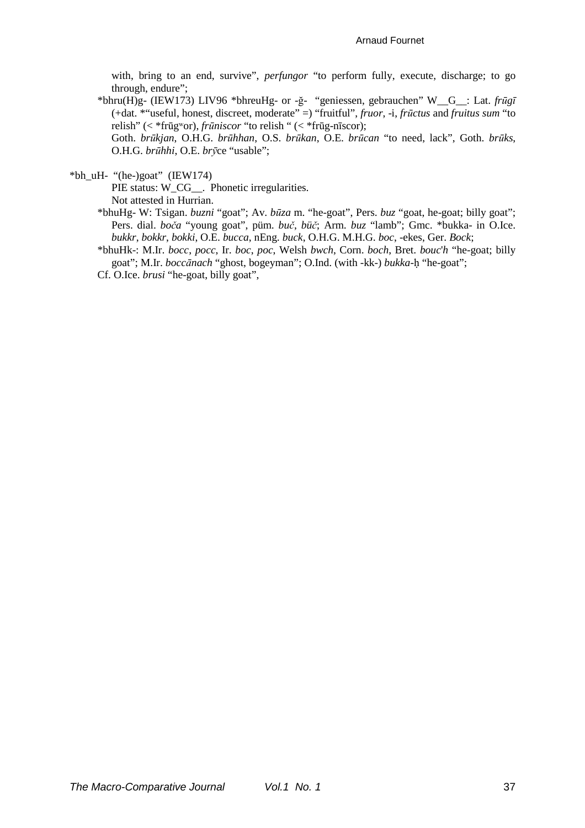with, bring to an end, survive", perfungor "to perform fully, execute, discharge; to go through, endure";

\*bhru(H)g- (IEW173) LIV96 \*bhreuHg- or -ğ- "geniessen, gebrauchen" W\_G\_: Lat. frūgī  $(+dat. **useful, honest, discrete, moderate")$  "fruitful", *fruor*, -i, *fructus* and *fruitus sum* "to" relish" (< \*frūgwor), *frūniscor* "to relish " (< \*frūg-nīscor);

Goth. brūkjan, O.H.G. brūhhan, O.S. brūkan, O.E. brūcan "to need, lack", Goth. brūks, O.H.G. brūhhi, O.E. bryce "usable";

\*bh\_uH- "(he-)goat" (IEW174)

PIE status: W\_CG\_\_. Phonetic irregularities. Not attested in Hurrian.

- \*bhuHg-W: Tsigan. buzni "goat"; Av. būza m. "he-goat", Pers. buz "goat, he-goat; billy goat"; Pers. dial. boča "young goat", püm. buč, büč; Arm. buz "lamb"; Gmc. \*bukka- in O.Ice. bukkr, bokkr, bokki, O.E. bucca, nEng. buck, O.H.G. M.H.G. boc, -ekes, Ger. Bock;
- \*bhuHk-: M.Ir. bocc, pocc, Ir. boc, poc, Welsh bwch, Corn. boch, Bret. bouc'h "he-goat; billy goat"; M.Ir. boccānach "ghost, bogeyman"; O.Ind. (with -kk-) bukka-h "he-goat";

Cf. O.Ice. *brusi* "he-goat, billy goat",